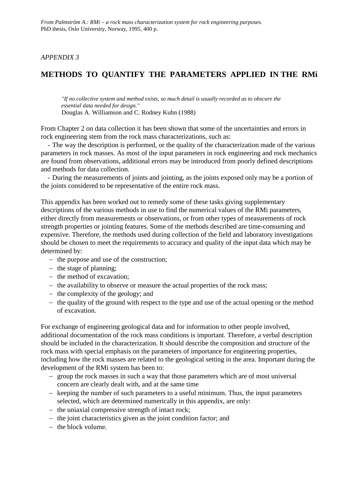# *APPENDIX 3*

# **METHODS TO QUANTIFY THE PARAMETERS APPLIED IN THE RMi**

*"If no collective system and method exists, so much detail is usually recorded as to obscure the essential data needed for design."* Douglas A. Williamson and C. Rodney Kuhn (1988)

From Chapter 2 on data collection it has been shown that some of the uncertainties and errors in rock engineering stem from the rock mass characterizations, such as:

 - The way the description is performed, or the quality of the characterization made of the various parameters in rock masses. As most of the input parameters in rock engineering and rock mechanics are found from observations, additional errors may be introduced from poorly defined descriptions and methods for data collection.

 - During the measurements of joints and jointing, as the joints exposed only may be a portion of the joints considered to be representative of the entire rock mass.

This appendix has been worked out to remedy some of these tasks giving supplementary descriptions of the various methods in use to find the numerical values of the RMi parameters, either directly from measurements or observations, or from other types of measurements of rock strength properties or jointing features. Some of the methods described are time-consuming and expensive. Therefore, the methods used during collection of the field and laboratory investigations should be chosen to meet the requirements to accuracy and quality of the input data which may be determined by:

- − the purpose and use of the construction;
- − the stage of planning;
- − the method of excavation;
- − the availability to observe or measure the actual properties of the rock mass;
- − the complexity of the geology; and
- − the quality of the ground with respect to the type and use of the actual opening or the method of excavation.

For exchange of engineering geological data and for information to other people involved, additional documentation of the rock mass conditions is important. Therefore, a verbal description should be included in the characterization. It should describe the composition and structure of the rock mass with special emphasis on the parameters of importance for engineering properties, including how the rock masses are related to the geological setting in the area. Important during the development of the RMi system has been to:

- − group the rock masses in such a way that those parameters which are of most universal concern are clearly dealt with, and at the same time
- − keeping the number of such parameters to a useful minimum. Thus, the input parameters selected, which are determined numerically in this appendix, are only:
- − the uniaxial compressive strength of intact rock;
- − the joint characteristics given as the joint condition factor; and
- − the block volume.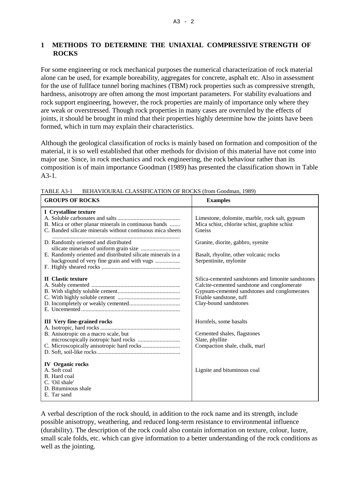# **1 METHODS TO DETERMINE THE UNIAXIAL COMPRESSIVE STRENGTH OF ROCKS**

For some engineering or rock mechanical purposes the numerical characterization of rock material alone can be used, for example boreability, aggregates for concrete, asphalt etc. Also in assessment for the use of fullface tunnel boring machines (TBM) rock properties such as compressive strength, hardness, anisotropy are often among the most important parameters. For stability evaluations and rock support engineering, however, the rock properties are mainly of importance only where they are weak or overstressed. Though rock properties in many cases are overruled by the effects of joints, it should be brought in mind that their properties highly determine how the joints have been formed, which in turn may explain their characteristics.

Although the geological classification of rocks is mainly based on formation and composition of the material, it is so well established that other methods for division of this material have not come into major use. Since, in rock mechanics and rock engineering, the rock behaviour rather than its composition is of main importance Goodman (1989) has presented the classification shown in Table A3-1.

| <b>GROUPS OF ROCKS</b>                                                                                                                             | <b>Examples</b>                                                                                                                                                                                       |
|----------------------------------------------------------------------------------------------------------------------------------------------------|-------------------------------------------------------------------------------------------------------------------------------------------------------------------------------------------------------|
| I Crystalline texture<br>B. Mica or other planar minerals in continuous bands<br>C. Banded silicate minerals without continuous mica sheets        | Limestone, dolomite, marble, rock salt, gypsum<br>Mica schist, chlorite schist, graphite schist<br>Gneiss                                                                                             |
| D. Randomly oriented and distributed<br>E. Randomly oriented and distributed silicate minerals in a<br>background of very fine grain and with vugs | Granite, diorite, gabbro, syenite<br>Basalt, rhyolite, other volcanic rocks<br>Serpentinite, mylonite                                                                                                 |
| <b>II</b> Clastic texture                                                                                                                          | Silica-cemented sandstones and limonite sandstones<br>Calcite-cemented sandstone and conglomerate<br>Gypsum-cemented sandstones and conglomerates<br>Friable sandstone, tuff<br>Clay-bound sandstones |
| <b>III</b> Very fine-grained rocks<br>B. Anisotropic on a macro scale, but                                                                         | Hornfels, some basalts<br>Cemented shales, flagstones<br>Slate, phyllite<br>Compaction shale, chalk, marl                                                                                             |
| <b>IV</b> Organic rocks<br>A. Soft coal<br>B. Hard coal<br>C. 'Oil shale'<br>D. Bituminous shale<br>E. Tar sand                                    | Lignite and bituminous coal                                                                                                                                                                           |

TABLE A3-1 BEHAVIOURAL CLASSIFICATION OF ROCKS (from Goodman, 1989)

A verbal description of the rock should, in addition to the rock name and its strength, include possible anisotropy, weathering, and reduced long-term resistance to environmental influence (durability). The description of the rock could also contain information on texture, colour, lustre, small scale folds, etc. which can give information to a better understanding of the rock conditions as well as the jointing.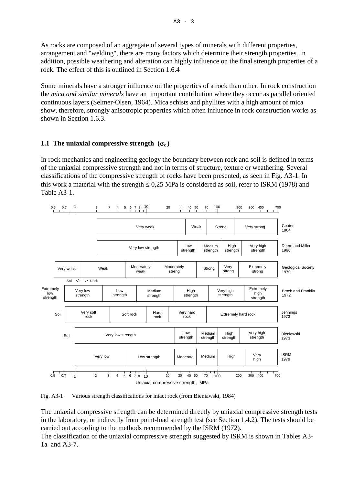As rocks are composed of an aggregate of several types of minerals with different properties, arrangement and "welding", there are many factors which determine their strength properties. In addition, possible weathering and alteration can highly influence on the final strength properties of a rock. The effect of this is outlined in Section 1.6.4

Some minerals have a stronger influence on the properties of a rock than other. In rock construction the *mica and similar minerals* have an important contribution where they occur as parallel oriented continuous layers (Selmer-Olsen, 1964). Mica schists and phyllites with a high amount of mica show, therefore, strongly anisotropic properties which often influence in rock construction works as shown in Section 1.6.3.

# **1.1 The uniaxial compressive strength**  $(\sigma_c)$

In rock mechanics and engineering geology the boundary between rock and soil is defined in terms of the uniaxial compressive strength and not in terms of structure, texture or weathering. Several classifications of the compressive strength of rocks have been presented, as seen in Fig. A3-1. In this work a material with the strength  $\leq 0.25$  MPa is considered as soil, refer to ISRM (1978) and Table A3-1.



Fig. A3-1 Various strength classifications for intact rock (from Bieniawski, 1984)

The uniaxial compressive strength can be determined directly by uniaxial compressive strength tests in the laboratory, or indirectly from point-load strength test (see Section 1.4.2). The tests should be carried out according to the methods recommended by the ISRM (1972).

The classification of the uniaxial compressive strength suggested by ISRM is shown in Tables A3- 1a and A3-7.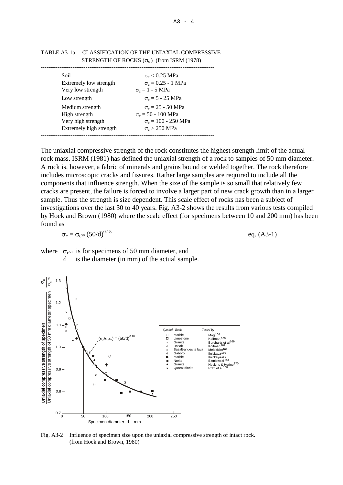| Soil<br>Extremely low strength                | $\sigma_c < 0.25$ MPa<br>$\sigma_c = 0.25 - 1 \text{ MPa}$            |
|-----------------------------------------------|-----------------------------------------------------------------------|
| Very low strength                             | $\sigma_c = 1 - 5 \text{ MPa}$                                        |
| Low strength                                  | $\sigma_c = 5 - 25 \text{ MPa}$                                       |
| Medium strength<br>High strength              | $\sigma_c = 25 - 50 \text{ MPa}$<br>$\sigma_c = 50 - 100 \text{ MPa}$ |
| Very high strength<br>Extremely high strength | $\sigma_c = 100 - 250 \text{ MPa}$<br>$\sigma_c > 250$ MPa            |
|                                               |                                                                       |

TABLE A3-1a CLASSIFICATION OF THE UNIAXIAL COMPRESSIVE STRENGTH OF ROCKS  $(\sigma_c)$  (from ISRM (1978)

The uniaxial compressive strength of the rock constitutes the highest strength limit of the actual rock mass. ISRM (1981) has defined the uniaxial strength of a rock to samples of 50 mm diameter. A rock is, however, a fabric of minerals and grains bound or welded together. The rock therefore includes microscopic cracks and fissures. Rather large samples are required to include all the components that influence strength. When the size of the sample is so small that relatively few cracks are present, the failure is forced to involve a larger part of new crack growth than in a larger sample. Thus the strength is size dependent. This scale effect of rocks has been a subject of investigations over the last 30 to 40 years. Fig. A3-2 shows the results from various tests compiled by Hoek and Brown (1980) where the scale effect (for specimens between 10 and 200 mm) has been found as

 $\sigma_c = \sigma_{c^{50}} (50/d)^{0.18}$  eq. (A3-1)

where  $\sigma_{c50}$  is for specimens of 50 mm diameter, and

d is the diameter (in mm) of the actual sample.



Fig. A3-2 Influence of specimen size upon the uniaxial compressive strength of intact rock. (from Hoek and Brown, 1980)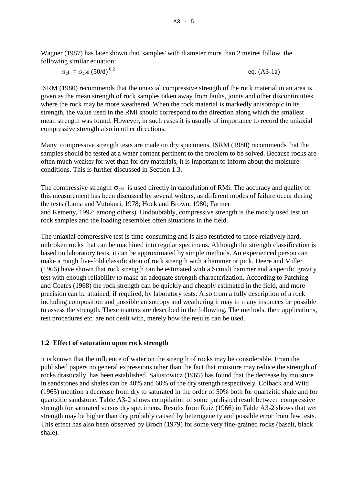Wagner (1987) has later shown that 'samples' with diameter more than 2 metres follow the following similar equation:

$$
\sigma_{c}f = \sigma_{c}f^{0}(50/d)^{0.2}
$$
 eq. (A3-1a)

ISRM (1980) recommends that the uniaxial compressive strength of the rock material in an area is given as the mean strength of rock samples taken away from faults, joints and other discontinuities where the rock may be more weathered. When the rock material is markedly anisotropic in its strength, the value used in the RMi should correspond to the direction along which the smallest mean strength was found. However, in such cases it is usually of importance to record the uniaxial compressive strength also in other directions.

Many compressive strength tests are made on dry specimens. ISRM (1980) recommends that the samples should be tested at a water content pertinent to the problem to be solved. Because rocks are often much weaker for wet than for dry materials, it is important to inform about the moisture conditions. This is further discussed in Section 1.3.

The compressive strength  $\sigma_{c50}$  is used directly in calculation of RMi. The accuracy and quality of this measurement has been discussed by several writers, as different modes of failure occur during the tests (Lama and Vutukuri, 1978; Hoek and Brown, 1980; Farmer and Kemeny, 1992; among others). Undoubtably, compressive strength is the mostly used test on rock samples and the loading resembles often situations in the field.

The uniaxial compressive test is time-consuming and is also restricted to those relatively hard, unbroken rocks that can be machined into regular specimens. Although the strength classification is based on laboratory tests, it can be approximated by simple methods. An experienced person can make a rough five-fold classification of rock strength with a hammer or pick. Deere and Miller (1966) have shown that rock strength can be estimated with a Scmidt hammer and a specific gravity test with enough reliability to make an adequate strength characterization. According to Patching and Coates (1968) the rock strength can be quickly and cheaply estimated in the field, and more precision can be attained, if required, by laboratory tests. Also from a fully description of a rock including composition and possible anisotropy and weathering it may in many instances be possible to assess the strength. These matters are described in the following. The methods, their applications, test procedures etc. are not dealt with, merely how the results can be used.

# **1.2 Effect of saturation upon rock strength**

It is known that the influence of water on the strength of rocks may be considerable. From the published papers no general expressions other than the fact that moisture may reduce the strength of rocks drastically, has been established. Salustowicz (1965) has found that the decrease by moisture in sandstones and shales can be 40% and 60% of the dry strength respectively. Colback and Wiid (1965) mention a decrease from dry to saturated in the order of 50% both for quartzitic shale and for quartzitic sandstone. Table A3-2 shows compilation of some published result between compressive strength for saturated versus dry specimens. Results from Ruiz (1966) in Table A3-2 shows that wet strength may be higher than dry probably caused by heterogeneity and possible error from few tests. This effect has also been observed by Broch (1979) for some very fine-grained rocks (basalt, black shale).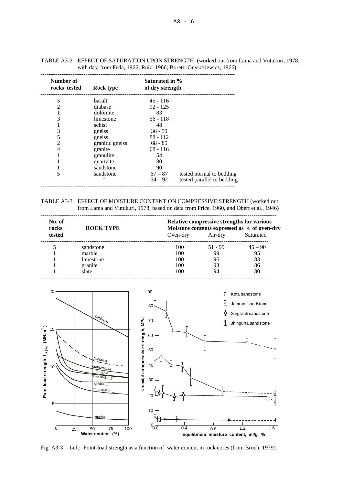| Number of<br>rocks tested | Rock type       | Saturated in %<br>of dry strength |                            |
|---------------------------|-----------------|-----------------------------------|----------------------------|
|                           |                 |                                   |                            |
| 5                         | basalt          | $45 - 116$                        |                            |
| $\overline{c}$            | diabase         | $92 - 125$                        |                            |
|                           | dolomite        | 83                                |                            |
| 3                         | limestone       | $56 - 118$                        |                            |
|                           | schist          | 48                                |                            |
| 3                         | gneiss          | $36 - 59$                         |                            |
| 5                         | gneiss          | $88 - 112$                        |                            |
| $\overline{2}$            | granitic gneiss | $68 - 85$                         |                            |
| 4                         | granite         | $68 - 116$                        |                            |
|                           | granulite       | 54                                |                            |
|                           | quartzite       | 80                                |                            |
|                           | sandstone       | 90                                |                            |
| 5                         | sandstone       | $67 - 87$                         | tested normal to bedding   |
|                           | "               | $54 - 92$                         | tested parallel to bedding |

--------------------------------------------------------------------------------------------------------

TABLE A3-2 EFFECT OF SATURATION UPON STRENGTH (worked out from Lama and Vutukuri, 1978, with data from Feda, 1966; Ruiz, 1966; Boretti-Onyszkiewicz, 1966)

TABLE A3-3 EFFECT OF MOISTURE CONTENT ON COMPRESSIVE STRENGTH (worked out from Lama and Vutukuri, 1978, based on data from Price, 1960, and Obert et al., 1946)

| No. of<br>rocks | <b>ROCK TYPE</b> |          |           | <b>Relative compressive strengths for various</b><br>Moisture contents expressed as % of oven-dry |
|-----------------|------------------|----------|-----------|---------------------------------------------------------------------------------------------------|
| tested          |                  | Oven-dry | Air-dry   | Saturated                                                                                         |
|                 | sandstone        | 100      | $51 - 99$ | $45 - 90$                                                                                         |
|                 | marble           | 100      | 99        | 95                                                                                                |
|                 | limestone        | 100      | 96        | 83                                                                                                |
|                 | granite          | 100      | 93        | 86                                                                                                |
|                 | slate            | 100      | 94        | 80                                                                                                |



Fig. A3-3 Left: Point-load strength as a function of water content in rock cores (from Broch, 1979).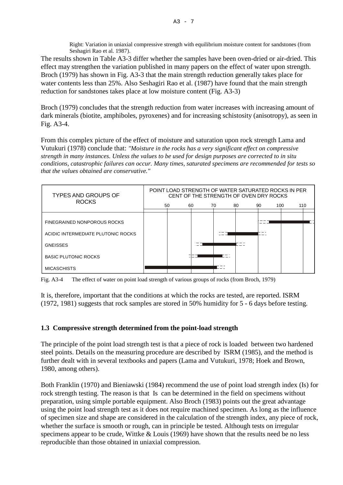Right: Variation in uniaxial compressive strength with equilibrium moisture content for sandstones (from Seshagiri Rao et al. 1987).

The results shown in Table A3-3 differ whether the samples have been oven-dried or air-dried. This effect may strengthen the variation published in many papers on the effect of water upon strength. Broch (1979) has shown in Fig. A3-3 that the main strength reduction generally takes place for water contents less than 25%. Also Seshagiri Rao et al. (1987) have found that the main strength reduction for sandstones takes place at low moisture content (Fig. A3-3)

Broch (1979) concludes that the strength reduction from water increases with increasing amount of dark minerals (biotite, amphiboles, pyroxenes) and for increasing schistosity (anisotropy), as seen in Fig. A3-4.

From this complex picture of the effect of moisture and saturation upon rock strength Lama and Vutukuri (1978) conclude that: *"Moisture in the rocks has a very significant effect on compressive strength in many instances. Unless the values to be used for design purposes are corrected to in situ conditions, catastrophic failures can occur. Many times, saturated specimens are recommended for tests so that the values obtained are conservative."*



Fig. A3-4 The effect of water on point load strength of various groups of rocks (from Broch, 1979)

It is, therefore, important that the conditions at which the rocks are tested, are reported. ISRM (1972, 1981) suggests that rock samples are stored in 50% humidity for 5 - 6 days before testing.

# **1.3 Compressive strength determined from the point-load strength**

The principle of the point load strength test is that a piece of rock is loaded between two hardened steel points. Details on the measuring procedure are described by ISRM (1985), and the method is further dealt with in several textbooks and papers (Lama and Vutukuri, 1978; Hoek and Brown, 1980, among others).

Both Franklin (1970) and Bieniawski (1984) recommend the use of point load strength index (Is) for rock strength testing. The reason is that Is can be determined in the field on specimens without preparation, using simple portable equipment. Also Broch (1983) points out the great advantage using the point load strength test as it does not require machined specimen. As long as the influence of specimen size and shape are considered in the calculation of the strength index, any piece of rock, whether the surface is smooth or rough, can in principle be tested. Although tests on irregular specimens appear to be crude, Wittke & Louis (1969) have shown that the results need be no less reproducible than those obtained in uniaxial compression.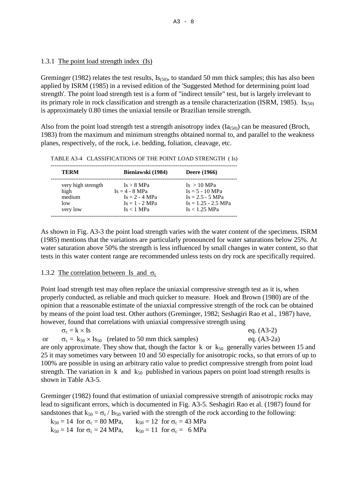## 1.3.1 The point load strength index (Is)

Greminger (1982) relates the test results,  $I_{(50)}$ , to standard 50 mm thick samples; this has also been applied by ISRM (1985) in a revised edition of the 'Suggested Method for determining point load strength'. The point load strength test is a form of "indirect tensile" test, but is largely irrelevant to its primary role in rock classification and strength as a tensile characterization (ISRM, 1985). Is $_{(50)}$ is approximately 0.80 times the uniaxial tensile or Brazilian tensile strength.

Also from the point load strength test a strength anisotropy index  $(Ia_{(50)})$  can be measured (Broch, 1983) from the maximum and minimum strengths obtained normal to, and parallel to the weakness planes, respectively, of the rock, i.e. bedding, foliation, cleavage, etc.

| <b>TERM</b>        | Bieniawski (1984) | <b>Deere</b> (1966)   |
|--------------------|-------------------|-----------------------|
| very high strength | Is > 8 MPa        | Is > 10 MPa           |
| high               | $Is = 4 - 8 MPa$  | $Is = 5 - 10 MPa$     |
| medium             | $Is = 2 - 4 MPa$  | $Is = 2.5 - 5 MPa$    |
| low                | $Is = 1 - 2 MPa$  | $Is = 1.25 - 2.5 MPa$ |
| very low           | Is < 1 MPa        | Is < 1.25 MPa         |

TABLE A3-4 CLASSIFICATIONS OF THE POINT LOAD STRENGTH ( Is)

As shown in Fig. A3-3 the point load strength varies with the water content of the specimens. ISRM (1985) mentions that the variations are particularly pronounced for water saturations below 25%. At water saturation above 50% the strength is less influenced by small changes in water content, so that tests in this water content range are recommended unless tests on dry rock are specifically required.

# 1.3.2 The correlation between Is and  $\sigma_c$

Point load strength test may often replace the uniaxial compressive strength test as it is, when properly conducted, as reliable and much quicker to measure. Hoek and Brown (1980) are of the opinion that a reasonable estimate of the uniaxial compressive strength of the rock can be obtained by means of the point load test. Other authors (Greminger, 1982; Seshagiri Rao et al., 1987) have, however, found that correlations with uniaxial compressive strength using

| $\sigma_c = k \times Is$                                                                                | eq. $(A3-2)$  |
|---------------------------------------------------------------------------------------------------------|---------------|
| $\sigma_c = k_{50} \times I_{550}$ (related to 50 mm thick samples)<br><sub>or</sub>                    | eq. $(A3-2a)$ |
| are only approximate. They show that, though the factor $k$ or $k_{50}$ generally varies between 15 and |               |
| 25 it may sometimes vary between 10 and 50 especially for anisotropic rocks, so that errors of up to    |               |
| 100% are possible in using an arbitrary ratio value to predict compressive strength from point load     |               |
| strength. The variation in k and $k_{50}$ published in various papers on point load strength results is |               |
| shown in Table A3-5.                                                                                    |               |

Greminger (1982) found that estimation of uniaxial compressive strength of anisotropic rocks may lead to significant errors, which is documented in Fig. A3-5. Seshagiri Rao et al. (1987) found for sandstones that  $k_{50} = \sigma_c / I_{550}$  varied with the strength of the rock according to the following:

 $k_{50} = 14$  for  $\sigma_c = 80$  MPa,  $k_{50} = 12$  for  $\sigma_c = 43$  MPa  $k_{50} = 14$  for  $\sigma_c = 24 \text{ MPa}$ ,  $k_{50} = 11$  for  $\sigma_c = 6 \text{ MPa}$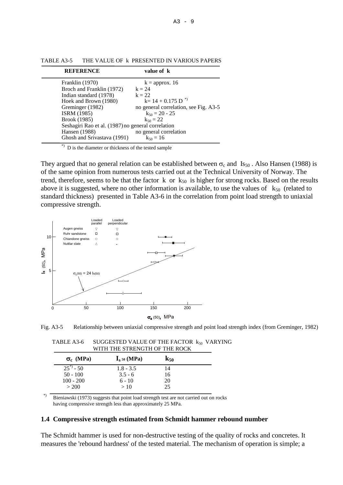| <b>REFERENCE</b>                                                                                                                                                                                                                 | value of k                                                                                                                                                               |
|----------------------------------------------------------------------------------------------------------------------------------------------------------------------------------------------------------------------------------|--------------------------------------------------------------------------------------------------------------------------------------------------------------------------|
| Franklin (1970)<br>Broch and Franklin (1972)<br>Indian standard (1978)<br>Hoek and Brown (1980)<br>Greminger (1982)<br><b>ISRM</b> (1985)<br>Brook (1985)<br>Seshagiri Rao et al. (1987) no general correlation<br>Hansen (1988) | $k =$ approx. 16<br>$k = 24$<br>$k = 22$<br>$k=14+0.175 D^{*}$<br>no general correlation, see Fig. A3-5<br>$k_{50} = 20 - 25$<br>$k_{50} = 22$<br>no general correlation |
| Ghosh and Srivastava (1991)                                                                                                                                                                                                      | $k_{50} = 16$                                                                                                                                                            |
|                                                                                                                                                                                                                                  |                                                                                                                                                                          |

TABLE A3-5 THE VALUE OF k PRESENTED IN VARIOUS PAPERS

\*) D is the diameter or thickness of the tested sample

They argued that no general relation can be established between  $\sigma_c$  and Is<sub>50</sub>. Also Hansen (1988) is of the same opinion from numerous tests carried out at the Technical University of Norway. The trend, therefore, seems to be that the factor k or  $k_{50}$  is higher for strong rocks. Based on the results above it is suggested, where no other information is available, to use the values of  $k_{50}$  (related to standard thickness) presented in Table A3-6 in the correlation from point load strength to uniaxial compressive strength.





| TABLE A3-6 | SUGGESTED VALUE OF THE FACTOR $k_{50}$ VARYING |  |
|------------|------------------------------------------------|--|
|            | WITH THE STRENGTH OF THE ROCK                  |  |
|            |                                                |  |

| $\sigma_c$ (MPa) | $Is$ 50 (MPa) | $K_{50}$ |  |
|------------------|---------------|----------|--|
| $25^*$ - 50      | $1.8 - 3.5$   | 14       |  |
| $50 - 100$       | $3.5 - 6$     | 16       |  |
| $100 - 200$      | $6 - 10$      | 20       |  |
| > 200            | >10           | 25       |  |

\*) Bieniawski (1973) suggests that point load strength test are not carried out on rocks having compressive strength less than approximately 25 MPa.

#### **1.4 Compressive strength estimated from Schmidt hammer rebound number**

The Schmidt hammer is used for non-destructive testing of the quality of rocks and concretes. It measures the 'rebound hardness' of the tested material. The mechanism of operation is simple; a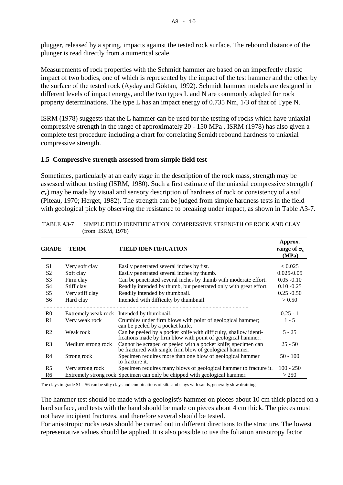plugger, released by a spring, impacts against the tested rock surface. The rebound distance of the plunger is read directly from a numerical scale.

Measurements of rock properties with the Schmidt hammer are based on an imperfectly elastic impact of two bodies, one of which is represented by the impact of the test hammer and the other by the surface of the tested rock (Ayday and Göktan, 1992). Schmidt hammer models are designed in different levels of impact energy, and the two types L and N are commonly adapted for rock property determinations. The type L has an impact energy of 0.735 Nm, 1/3 of that of Type N.

ISRM (1978) suggests that the L hammer can be used for the testing of rocks which have uniaxial compressive strength in the range of approximately 20 - 150 MPa . ISRM (1978) has also given a complete test procedure including a chart for correlating Scmidt rebound hardness to uniaxial compressive strength.

## **1.5 Compressive strength assessed from simple field test**

Sometimes, particularly at an early stage in the description of the rock mass, strength may be assessed without testing (ISRM, 1980). Such a first estimate of the uniaxial compressive strength (  $\sigma_c$ ) may be made by visual and sensory description of hardness of rock or consistency of a soil (Piteau, 1970; Herget, 1982). The strength can be judged from simple hardness tests in the field with geological pick by observing the resistance to breaking under impact, as shown in Table A3-7.

| <b>GRADE</b>   | <b>TERM</b>        | <b>FIELD IDENTIFICATION</b>                                                                                                      | Approx.<br>range of $\sigma_c$<br>(MPa) |
|----------------|--------------------|----------------------------------------------------------------------------------------------------------------------------------|-----------------------------------------|
| S1             | Very soft clay     | Easily penetrated several inches by fist.                                                                                        | < 0.025                                 |
| S <sub>2</sub> | Soft clay          | Easily penetrated several inches by thumb.                                                                                       | $0.025 - 0.05$                          |
| S <sub>3</sub> | Firm clay          | Can be penetrated several inches by thumb with moderate effort.                                                                  | $0.05 - 0.10$                           |
| <b>S4</b>      | Stiff clay         | Readily intended by thumb, but penetrated only with great effort.                                                                | $0.10 - 0.25$                           |
| S <sub>5</sub> | Very stiff clay    | Readily intended by thumbnail.                                                                                                   | $0.25 - 0.50$                           |
| S6             | Hard clay          | Intended with difficulty by thumbnail.                                                                                           | > 0.50                                  |
| R <sub>0</sub> |                    | Extremely weak rock Intended by thumbnail.                                                                                       | $0.25 - 1$                              |
| R1             | Very weak rock     | Crumbles under firm blows with point of geological hammer;<br>can be peeled by a pocket knife.                                   | $1 - 5$                                 |
| R <sub>2</sub> | Weak rock          | Can be peeled by a pocket knife with difficulty, shallow identi-<br>fications made by firm blow with point of geological hammer. | $5 - 25$                                |
| R <sub>3</sub> | Medium strong rock | Cannot be scraped or peeled with a pocket knife; specimen can<br>be fractured with single firm blow of geological hammer.        | $25 - 50$                               |
| R4             | Strong rock        | Specimen requires more than one blow of geological hammer<br>to fracture it.                                                     | $50 - 100$                              |
| R <sub>5</sub> | Very strong rock   | Specimen requires many blows of geological hammer to fracture it.                                                                | $100 - 250$                             |
| R6             |                    | Extremely strong rock Specimen can only be chipped with geological hammer.                                                       | > 250                                   |

TABLE A3-7 SIMPLE FIELD IDENTIFICATION COMPRESSIVE STRENGTH OF ROCK AND CLAY (from ISRM, 1978)

The clays in grade S1 - S6 can be silty clays and combinations of silts and clays with sands, generally slow draining.

The hammer test should be made with a geologist's hammer on pieces about 10 cm thick placed on a hard surface, and tests with the hand should be made on pieces about 4 cm thick. The pieces must not have incipient fractures, and therefore several should be tested.

For anisotropic rocks tests should be carried out in different directions to the structure. The lowest representative values should be applied. It is also possible to use the foliation anisotropy factor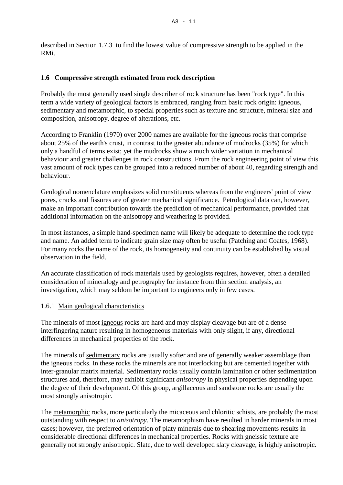described in Section 1.7.3 to find the lowest value of compressive strength to be applied in the RMi.

# **1.6 Compressive strength estimated from rock description**

Probably the most generally used single describer of rock structure has been "rock type". In this term a wide variety of geological factors is embraced, ranging from basic rock origin: igneous, sedimentary and metamorphic, to special properties such as texture and structure, mineral size and composition, anisotropy, degree of alterations, etc.

According to Franklin (1970) over 2000 names are available for the igneous rocks that comprise about 25% of the earth's crust, in contrast to the greater abundance of mudrocks (35%) for which only a handful of terms exist; yet the mudrocks show a much wider variation in mechanical behaviour and greater challenges in rock constructions. From the rock engineering point of view this vast amount of rock types can be grouped into a reduced number of about 40, regarding strength and behaviour.

Geological nomenclature emphasizes solid constituents whereas from the engineers' point of view pores, cracks and fissures are of greater mechanical significance. Petrological data can, however, make an important contribution towards the prediction of mechanical performance, provided that additional information on the anisotropy and weathering is provided.

In most instances, a simple hand-specimen name will likely be adequate to determine the rock type and name. An added term to indicate grain size may often be useful (Patching and Coates, 1968). For many rocks the name of the rock, its homogeneity and continuity can be established by visual observation in the field.

An accurate classification of rock materials used by geologists requires, however, often a detailed consideration of mineralogy and petrography for instance from thin section analysis, an investigation, which may seldom be important to engineers only in few cases.

## 1.6.1 Main geological characteristics

The minerals of most igneous rocks are hard and may display cleavage but are of a dense interfingering nature resulting in homogeneous materials with only slight, if any, directional differences in mechanical properties of the rock.

The minerals of sedimentary rocks are usually softer and are of generally weaker assemblage than the igneous rocks. In these rocks the minerals are not interlocking but are cemented together with inter-granular matrix material. Sedimentary rocks usually contain lamination or other sedimentation structures and, therefore, may exhibit significant *anisotropy* in physical properties depending upon the degree of their development. Of this group, argillaceous and sandstone rocks are usually the most strongly anisotropic.

The metamorphic rocks, more particularly the micaceous and chloritic schists, are probably the most outstanding with respect to *anisotropy*. The metamorphism have resulted in harder minerals in most cases; however, the preferred orientation of platy minerals due to shearing movements results in considerable directional differences in mechanical properties. Rocks with gneissic texture are generally not strongly anisotropic. Slate, due to well developed slaty cleavage, is highly anisotropic.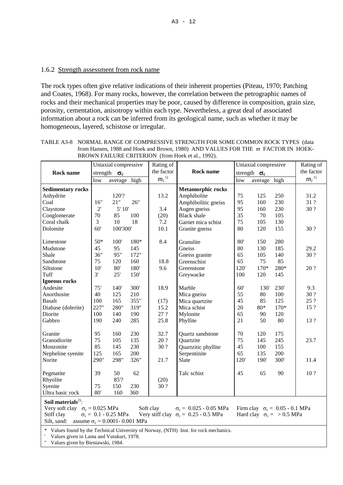## 1.6.2 Strength assessment from rock name

The rock types often give relative indications of their inherent properties (Piteau, 1970; Patching and Coates, 1968). For many rocks, however, the correlation between the petrographic names of rocks and their mechanical properties may be poor, caused by difference in composition, grain size, porosity, cementation, anisotropy within each type. Nevertheless, a great deal of associated information about a rock can be inferred from its geological name, such as whether it may be homogeneous, layered, schistose or irregular.

| the factor<br>the factor<br><b>Rock name</b><br><b>Rock name</b><br>strength $\sigma_c$<br>strength $\sigma_c$<br>$m_i$ <sup>1)</sup><br>$m_i$ <sup>1)</sup><br>average high<br>average high<br>low<br>low<br><b>Sedimentary rocks</b><br><b>Metamorphic rocks</b><br>Anhydrite<br>120'?<br>13.2<br>75<br>125<br>250<br>Amphibolite<br>31.2<br>16"<br>21"<br>26"<br>95<br>230<br>Coal<br>160<br>31 ?<br>Amphibolitic gneiss<br>2'<br>5'10'<br>3.4<br>Augen gneiss<br>95<br>230<br>30 ?<br>Claystone<br>160<br>70<br>85<br>100<br>(20)<br>35<br>70<br>105<br>Conglomerate<br><b>Black</b> shale<br>3<br>75<br>Coral chalk<br>10<br>18<br>7.2<br>Garnet mica schist<br>105<br>130<br>60'<br>100'300'<br>10.1<br>80<br>155<br>Dolomite<br>Granite gneiss<br>120<br>30 ?<br>$50*$<br>8.4<br>280<br>100'<br>180*<br>Granulite<br>80'<br>150<br>Limestone<br>45<br>95<br>Gneiss<br>80<br>130<br>185<br>29.2<br>Mudstone<br>145<br>36"<br>95"<br>Shale<br>172"<br>Gneiss granite<br>65<br>105<br>140<br>30 ?<br>65<br>75<br>85<br>75<br>18.8<br>Sandstone<br>120<br>160<br>Greenschist<br>280*<br>Siltstone<br>10'<br>180'<br>9.6<br>170*<br>20 ?<br>80'<br>Greenstone<br>120'<br>3'<br>25'<br>Tuff<br>150'<br>Greywacke<br>100<br>120<br>145<br>Igneous rocks<br>75'<br>300'<br>18.9<br>9.3<br>Andesite<br>140'<br>Marble<br>60'<br>230'<br>130'<br>40<br>210<br>55<br>30?<br>Anorthosite<br>125<br>80<br>100<br>Mica gneiss<br>25 ?<br><b>Basalt</b><br>165<br>355"<br>45<br>85<br>125<br>100<br>(17)<br>Mica quartzite<br>227"<br>280"<br>15.2<br>$170*$<br>15 ?<br>Diabase (dolerite)<br>319"<br>Mica schist<br>$20\,$<br>$80*$<br>100<br>Diorite<br>140<br>190<br>27 ?<br>Mylonite<br>65<br>90<br>120<br>Gabbro<br>190<br>285<br>25.8<br>50<br>80<br>240<br>Phyllite<br>21<br>13? |          | Uniaxial compressive | Rating of |  | Uniaxial compressive | Rating of |
|---------------------------------------------------------------------------------------------------------------------------------------------------------------------------------------------------------------------------------------------------------------------------------------------------------------------------------------------------------------------------------------------------------------------------------------------------------------------------------------------------------------------------------------------------------------------------------------------------------------------------------------------------------------------------------------------------------------------------------------------------------------------------------------------------------------------------------------------------------------------------------------------------------------------------------------------------------------------------------------------------------------------------------------------------------------------------------------------------------------------------------------------------------------------------------------------------------------------------------------------------------------------------------------------------------------------------------------------------------------------------------------------------------------------------------------------------------------------------------------------------------------------------------------------------------------------------------------------------------------------------------------------------------------------------------------------------------------------------------------------------------------------------------|----------|----------------------|-----------|--|----------------------|-----------|
|                                                                                                                                                                                                                                                                                                                                                                                                                                                                                                                                                                                                                                                                                                                                                                                                                                                                                                                                                                                                                                                                                                                                                                                                                                                                                                                                                                                                                                                                                                                                                                                                                                                                                                                                                                                 |          |                      |           |  |                      |           |
|                                                                                                                                                                                                                                                                                                                                                                                                                                                                                                                                                                                                                                                                                                                                                                                                                                                                                                                                                                                                                                                                                                                                                                                                                                                                                                                                                                                                                                                                                                                                                                                                                                                                                                                                                                                 |          |                      |           |  |                      |           |
|                                                                                                                                                                                                                                                                                                                                                                                                                                                                                                                                                                                                                                                                                                                                                                                                                                                                                                                                                                                                                                                                                                                                                                                                                                                                                                                                                                                                                                                                                                                                                                                                                                                                                                                                                                                 |          |                      |           |  |                      |           |
|                                                                                                                                                                                                                                                                                                                                                                                                                                                                                                                                                                                                                                                                                                                                                                                                                                                                                                                                                                                                                                                                                                                                                                                                                                                                                                                                                                                                                                                                                                                                                                                                                                                                                                                                                                                 |          |                      |           |  |                      |           |
|                                                                                                                                                                                                                                                                                                                                                                                                                                                                                                                                                                                                                                                                                                                                                                                                                                                                                                                                                                                                                                                                                                                                                                                                                                                                                                                                                                                                                                                                                                                                                                                                                                                                                                                                                                                 |          |                      |           |  |                      |           |
|                                                                                                                                                                                                                                                                                                                                                                                                                                                                                                                                                                                                                                                                                                                                                                                                                                                                                                                                                                                                                                                                                                                                                                                                                                                                                                                                                                                                                                                                                                                                                                                                                                                                                                                                                                                 |          |                      |           |  |                      |           |
|                                                                                                                                                                                                                                                                                                                                                                                                                                                                                                                                                                                                                                                                                                                                                                                                                                                                                                                                                                                                                                                                                                                                                                                                                                                                                                                                                                                                                                                                                                                                                                                                                                                                                                                                                                                 |          |                      |           |  |                      |           |
|                                                                                                                                                                                                                                                                                                                                                                                                                                                                                                                                                                                                                                                                                                                                                                                                                                                                                                                                                                                                                                                                                                                                                                                                                                                                                                                                                                                                                                                                                                                                                                                                                                                                                                                                                                                 |          |                      |           |  |                      |           |
|                                                                                                                                                                                                                                                                                                                                                                                                                                                                                                                                                                                                                                                                                                                                                                                                                                                                                                                                                                                                                                                                                                                                                                                                                                                                                                                                                                                                                                                                                                                                                                                                                                                                                                                                                                                 |          |                      |           |  |                      |           |
|                                                                                                                                                                                                                                                                                                                                                                                                                                                                                                                                                                                                                                                                                                                                                                                                                                                                                                                                                                                                                                                                                                                                                                                                                                                                                                                                                                                                                                                                                                                                                                                                                                                                                                                                                                                 |          |                      |           |  |                      |           |
|                                                                                                                                                                                                                                                                                                                                                                                                                                                                                                                                                                                                                                                                                                                                                                                                                                                                                                                                                                                                                                                                                                                                                                                                                                                                                                                                                                                                                                                                                                                                                                                                                                                                                                                                                                                 |          |                      |           |  |                      |           |
|                                                                                                                                                                                                                                                                                                                                                                                                                                                                                                                                                                                                                                                                                                                                                                                                                                                                                                                                                                                                                                                                                                                                                                                                                                                                                                                                                                                                                                                                                                                                                                                                                                                                                                                                                                                 |          |                      |           |  |                      |           |
|                                                                                                                                                                                                                                                                                                                                                                                                                                                                                                                                                                                                                                                                                                                                                                                                                                                                                                                                                                                                                                                                                                                                                                                                                                                                                                                                                                                                                                                                                                                                                                                                                                                                                                                                                                                 |          |                      |           |  |                      |           |
|                                                                                                                                                                                                                                                                                                                                                                                                                                                                                                                                                                                                                                                                                                                                                                                                                                                                                                                                                                                                                                                                                                                                                                                                                                                                                                                                                                                                                                                                                                                                                                                                                                                                                                                                                                                 |          |                      |           |  |                      |           |
|                                                                                                                                                                                                                                                                                                                                                                                                                                                                                                                                                                                                                                                                                                                                                                                                                                                                                                                                                                                                                                                                                                                                                                                                                                                                                                                                                                                                                                                                                                                                                                                                                                                                                                                                                                                 |          |                      |           |  |                      |           |
|                                                                                                                                                                                                                                                                                                                                                                                                                                                                                                                                                                                                                                                                                                                                                                                                                                                                                                                                                                                                                                                                                                                                                                                                                                                                                                                                                                                                                                                                                                                                                                                                                                                                                                                                                                                 |          |                      |           |  |                      |           |
|                                                                                                                                                                                                                                                                                                                                                                                                                                                                                                                                                                                                                                                                                                                                                                                                                                                                                                                                                                                                                                                                                                                                                                                                                                                                                                                                                                                                                                                                                                                                                                                                                                                                                                                                                                                 |          |                      |           |  |                      |           |
|                                                                                                                                                                                                                                                                                                                                                                                                                                                                                                                                                                                                                                                                                                                                                                                                                                                                                                                                                                                                                                                                                                                                                                                                                                                                                                                                                                                                                                                                                                                                                                                                                                                                                                                                                                                 |          |                      |           |  |                      |           |
|                                                                                                                                                                                                                                                                                                                                                                                                                                                                                                                                                                                                                                                                                                                                                                                                                                                                                                                                                                                                                                                                                                                                                                                                                                                                                                                                                                                                                                                                                                                                                                                                                                                                                                                                                                                 |          |                      |           |  |                      |           |
|                                                                                                                                                                                                                                                                                                                                                                                                                                                                                                                                                                                                                                                                                                                                                                                                                                                                                                                                                                                                                                                                                                                                                                                                                                                                                                                                                                                                                                                                                                                                                                                                                                                                                                                                                                                 |          |                      |           |  |                      |           |
|                                                                                                                                                                                                                                                                                                                                                                                                                                                                                                                                                                                                                                                                                                                                                                                                                                                                                                                                                                                                                                                                                                                                                                                                                                                                                                                                                                                                                                                                                                                                                                                                                                                                                                                                                                                 |          |                      |           |  |                      |           |
|                                                                                                                                                                                                                                                                                                                                                                                                                                                                                                                                                                                                                                                                                                                                                                                                                                                                                                                                                                                                                                                                                                                                                                                                                                                                                                                                                                                                                                                                                                                                                                                                                                                                                                                                                                                 |          |                      |           |  |                      |           |
|                                                                                                                                                                                                                                                                                                                                                                                                                                                                                                                                                                                                                                                                                                                                                                                                                                                                                                                                                                                                                                                                                                                                                                                                                                                                                                                                                                                                                                                                                                                                                                                                                                                                                                                                                                                 |          |                      |           |  |                      |           |
|                                                                                                                                                                                                                                                                                                                                                                                                                                                                                                                                                                                                                                                                                                                                                                                                                                                                                                                                                                                                                                                                                                                                                                                                                                                                                                                                                                                                                                                                                                                                                                                                                                                                                                                                                                                 |          |                      |           |  |                      |           |
| Granite<br>95<br>160<br>230<br>32.7<br>70<br>120<br>175<br>Quartz sandstone                                                                                                                                                                                                                                                                                                                                                                                                                                                                                                                                                                                                                                                                                                                                                                                                                                                                                                                                                                                                                                                                                                                                                                                                                                                                                                                                                                                                                                                                                                                                                                                                                                                                                                     |          |                      |           |  |                      |           |
| 75<br>245<br>Granodiorite<br>105<br>135<br>20 ?<br>75<br>145<br>23.7<br>Quartzite                                                                                                                                                                                                                                                                                                                                                                                                                                                                                                                                                                                                                                                                                                                                                                                                                                                                                                                                                                                                                                                                                                                                                                                                                                                                                                                                                                                                                                                                                                                                                                                                                                                                                               |          |                      |           |  |                      |           |
| 85<br>230<br>100<br>155<br>Monzonite<br>145<br>30 ?<br>Quartzitic phyllite<br>45                                                                                                                                                                                                                                                                                                                                                                                                                                                                                                                                                                                                                                                                                                                                                                                                                                                                                                                                                                                                                                                                                                                                                                                                                                                                                                                                                                                                                                                                                                                                                                                                                                                                                                |          |                      |           |  |                      |           |
| 125<br>Nepheline syenite<br>165<br>200<br>Serpentinite<br>65<br>135<br>200                                                                                                                                                                                                                                                                                                                                                                                                                                                                                                                                                                                                                                                                                                                                                                                                                                                                                                                                                                                                                                                                                                                                                                                                                                                                                                                                                                                                                                                                                                                                                                                                                                                                                                      |          |                      |           |  |                      |           |
| 290"<br>298"<br>300'<br>326"<br>21.7<br>120'<br>190'<br>11.4<br>Slate                                                                                                                                                                                                                                                                                                                                                                                                                                                                                                                                                                                                                                                                                                                                                                                                                                                                                                                                                                                                                                                                                                                                                                                                                                                                                                                                                                                                                                                                                                                                                                                                                                                                                                           | Norite   |                      |           |  |                      |           |
|                                                                                                                                                                                                                                                                                                                                                                                                                                                                                                                                                                                                                                                                                                                                                                                                                                                                                                                                                                                                                                                                                                                                                                                                                                                                                                                                                                                                                                                                                                                                                                                                                                                                                                                                                                                 |          |                      |           |  |                      |           |
| 39<br>90<br>Pegmatite<br>50<br>62<br>45<br>65<br>10?<br>Talc schist                                                                                                                                                                                                                                                                                                                                                                                                                                                                                                                                                                                                                                                                                                                                                                                                                                                                                                                                                                                                                                                                                                                                                                                                                                                                                                                                                                                                                                                                                                                                                                                                                                                                                                             |          |                      |           |  |                      |           |
| 85'?<br>(20)                                                                                                                                                                                                                                                                                                                                                                                                                                                                                                                                                                                                                                                                                                                                                                                                                                                                                                                                                                                                                                                                                                                                                                                                                                                                                                                                                                                                                                                                                                                                                                                                                                                                                                                                                                    | Rhyolite |                      |           |  |                      |           |
| Syenite<br>75<br>150<br>230<br>30 ?                                                                                                                                                                                                                                                                                                                                                                                                                                                                                                                                                                                                                                                                                                                                                                                                                                                                                                                                                                                                                                                                                                                                                                                                                                                                                                                                                                                                                                                                                                                                                                                                                                                                                                                                             |          |                      |           |  |                      |           |
| 80'<br>160<br>Ultra basic rock<br>360                                                                                                                                                                                                                                                                                                                                                                                                                                                                                                                                                                                                                                                                                                                                                                                                                                                                                                                                                                                                                                                                                                                                                                                                                                                                                                                                                                                                                                                                                                                                                                                                                                                                                                                                           |          |                      |           |  |                      |           |
| Soil materials <sup>2)</sup> :                                                                                                                                                                                                                                                                                                                                                                                                                                                                                                                                                                                                                                                                                                                                                                                                                                                                                                                                                                                                                                                                                                                                                                                                                                                                                                                                                                                                                                                                                                                                                                                                                                                                                                                                                  |          |                      |           |  |                      |           |
| Very soft clay $\sigma_c = 0.025$ MPa<br>Soft clay                                                                                                                                                                                                                                                                                                                                                                                                                                                                                                                                                                                                                                                                                                                                                                                                                                                                                                                                                                                                                                                                                                                                                                                                                                                                                                                                                                                                                                                                                                                                                                                                                                                                                                                              |          |                      |           |  |                      |           |
| $\sigma_c = 0.025 - 0.05 \text{ MPa}$<br>Firm clay $\sigma_c = 0.05 - 0.1 \text{ MPa}$<br>$\sigma_c = 0.1 - 0.25 \text{ MPa}$<br>Very stiff clay $\sigma_c = 0.25 - 0.5$ MPa<br>Stiff clay<br>Hard clay $\sigma_c$ = > 0.5 MPa                                                                                                                                                                                                                                                                                                                                                                                                                                                                                                                                                                                                                                                                                                                                                                                                                                                                                                                                                                                                                                                                                                                                                                                                                                                                                                                                                                                                                                                                                                                                                  |          |                      |           |  |                      |           |
| Silt, sand:<br>assume $\sigma_c = 0.0001 - 0.001$ MPa                                                                                                                                                                                                                                                                                                                                                                                                                                                                                                                                                                                                                                                                                                                                                                                                                                                                                                                                                                                                                                                                                                                                                                                                                                                                                                                                                                                                                                                                                                                                                                                                                                                                                                                           |          |                      |           |  |                      |           |
|                                                                                                                                                                                                                                                                                                                                                                                                                                                                                                                                                                                                                                                                                                                                                                                                                                                                                                                                                                                                                                                                                                                                                                                                                                                                                                                                                                                                                                                                                                                                                                                                                                                                                                                                                                                 |          |                      |           |  |                      |           |
| * Values found by the Technical University of Norway, (NTH) Inst. for rock mechanics.<br>Values given in Lama and Vutukuri 1978                                                                                                                                                                                                                                                                                                                                                                                                                                                                                                                                                                                                                                                                                                                                                                                                                                                                                                                                                                                                                                                                                                                                                                                                                                                                                                                                                                                                                                                                                                                                                                                                                                                 |          |                      |           |  |                      |           |

| TABLE A3-8 NORMAL RANGE OF COMPRESSIVE STRENGTH FOR SOME COMMON ROCK TYPES (data |
|----------------------------------------------------------------------------------|
| from Hansen, 1988 and Hoek and Brown, 1980) AND VALUES FOR THE m FACTOR IN HOEK- |
| BROWN FAILURE CRITERION (from Hoek et al., 1992).                                |

If given in Lama and Vutukuri, 1978.

Values given by Bieniawski, 1984.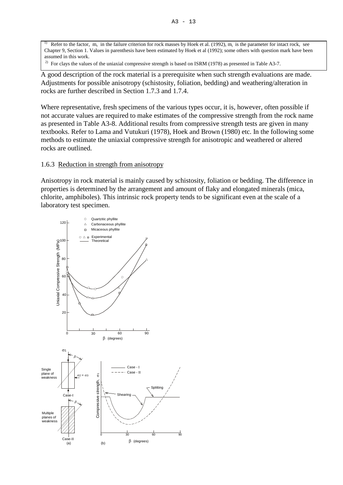<sup>1)</sup> Refer to the factor, m, in the failure criterion for rock masses by Hoek et al. (1992),  $m_i$  is the parameter for intact rock, see Chapter 9, Section 1. Values in parenthesis have been estimated by Hoek et al (1992); some others with question mark have been assumed in this work.

<sup>2)</sup> For clays the values of the uniaxial compressive strength is based on ISRM (1978) as presented in Table A3-7.

A good description of the rock material is a prerequisite when such strength evaluations are made. Adjustments for possible anisotropy (schistosity, foliation, bedding) and weathering/alteration in rocks are further described in Section 1.7.3 and 1.7.4.

Where representative, fresh specimens of the various types occur, it is, however, often possible if not accurate values are required to make estimates of the compressive strength from the rock name as presented in Table A3-8. Additional results from compressive strength tests are given in many textbooks. Refer to Lama and Vutukuri (1978), Hoek and Brown (1980) etc. In the following some methods to estimate the uniaxial compressive strength for anisotropic and weathered or altered rocks are outlined.

#### 1.6.3 Reduction in strength from anisotropy

Anisotropy in rock material is mainly caused by schistosity, foliation or bedding. The difference in properties is determined by the arrangement and amount of flaky and elongated minerals (mica, chlorite, amphiboles). This intrinsic rock property tends to be significant even at the scale of a laboratory test specimen.

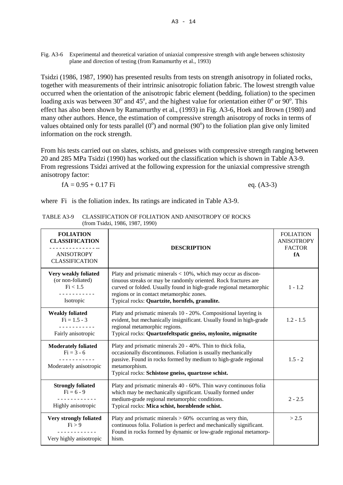Fig. A3-6 Experimental and theoretical variation of uniaxial compressive strength with angle between schistosity plane and direction of testing (from Ramamurthy et al., 1993)

Tsidzi (1986, 1987, 1990) has presented results from tests on strength anisotropy in foliated rocks, together with measurements of their intrinsic anisotropic foliation fabric. The lowest strength value occurred when the orientation of the anisotropic fabric element (bedding, foliation) to the specimen loading axis was between 30 $^{\circ}$  and 45 $^{\circ}$ , and the highest value for orientation either 0 $^{\circ}$  or 90 $^{\circ}$ . This effect has also been shown by Ramamurthy et al., (1993) in Fig. A3-6, Hoek and Brown (1980) and many other authors. Hence, the estimation of compressive strength anisotropy of rocks in terms of values obtained only for tests parallel  $(0^{\circ})$  and normal  $(90^{\circ})$  to the foliation plan give only limited information on the rock strength.

From his tests carried out on slates, schists, and gneisses with compressive strength ranging between 20 and 285 MPa Tsidzi (1990) has worked out the classification which is shown in Table A3-9. From regressions Tsidzi arrived at the following expression for the uniaxial compressive strength anisotropy factor:

 $fA = 0.95 + 0.17$  Fi eq. (A3-3)

where Fi is the foliation index. Its ratings are indicated in Table A3-9.

| <b>FOLIATION</b><br><b>CLASSIFICATION</b><br><b>ANISOTROPY</b><br><b>CLASSIFICATION</b> | <b>DESCRIPTION</b>                                                                                                                                                                                                                                                                                        | <b>FOLIATION</b><br><b>ANISOTROPY</b><br><b>FACTOR</b><br>fA |
|-----------------------------------------------------------------------------------------|-----------------------------------------------------------------------------------------------------------------------------------------------------------------------------------------------------------------------------------------------------------------------------------------------------------|--------------------------------------------------------------|
| Very weakly foliated<br>(or non-foliated)<br>Fi < 1.5<br>Isotropic                      | Platy and prismatic minerals $< 10\%$ , which may occur as discon-<br>tinuous streaks or may be randomly oriented. Rock fractures are<br>curved or folded. Usually found in high-grade regional metamorphic<br>regions or in contact metamorphic zones.<br>Typical rocks: Quartzite, hornfels, granulite. | $1 - 1.2$                                                    |
| <b>Weakly foliated</b><br>$Fi = 1.5 - 3$<br>---------<br>Fairly anisotropic             | Platy and prismatic minerals 10 - 20%. Compositional layering is<br>evident, but mechanically insignificant. Usually found in high-grade<br>regional metamorphic regions.<br>Typical rocks: Quartzofeltspatic gneiss, mylonite, migmatite                                                                 | $1.2 - 1.5$                                                  |
| <b>Moderately foliated</b><br>$Fi = 3 - 6$<br>Moderately anisotropic                    | Platy and prismatic minerals 20 - 40%. Thin to thick folia,<br>occasionally discontinuous. Foliation is usually mechanically<br>passive. Found in rocks formed by medium to high-grade regional<br>metamorphism.<br>Typical rocks: Schistose gneiss, quartzose schist.                                    | $1.5 - 2$                                                    |
| <b>Strongly foliated</b><br>$Fi = 6 - 9$<br>Highly anisotropic                          | Platy and prismatic minerals 40 - 60%. Thin wavy continuous folia<br>which may be mechanically significant. Usually formed under<br>medium-grade regional metamorphic conditions.<br>Typical rocks: Mica schist, hornblende schist.                                                                       | $2 - 2.5$                                                    |
| Very strongly foliated<br>Fi > 9<br>Very highly anisotropic                             | Platy and prismatic minerals $> 60\%$ occurring as very thin,<br>continuous folia. Foliation is perfect and mechanically significant.<br>Found in rocks formed by dynamic or low-grade regional metamorp-<br>hism.                                                                                        | > 2.5                                                        |

TABLE A3-9 CLASSIFICATION OF FOLIATION AND ANISOTROPY OF ROCKS (from Tsidzi, 1986, 1987, 1990)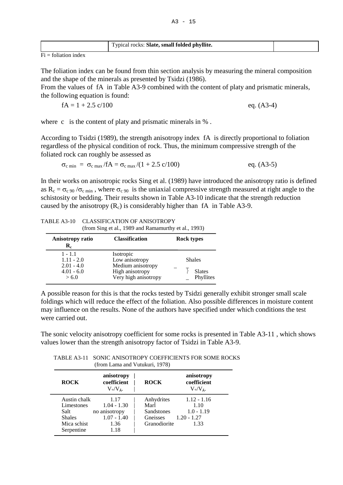| Typical rocks: Slate, small folded phyllite. |  |
|----------------------------------------------|--|
|                                              |  |

 $Fi =$  foliation index

The foliation index can be found from thin section analysis by measuring the mineral composition and the shape of the minerals as presented by Tsidzi (1986).

From the values of fA in Table A3-9 combined with the content of platy and prismatic minerals, the following equation is found:

$$
fA = 1 + 2.5 \, \text{c}/100 \qquad \text{eq. (A3-4)}
$$

where c is the content of platy and prismatic minerals in %.

According to Tsidzi (1989), the strength anisotropy index fA is directly proportional to foliation regardless of the physical condition of rock. Thus, the minimum compressive strength of the foliated rock can roughly be assessed as

$$
\sigma_{c \min} = \sigma_{c \max} / fA = \sigma_{c \max} / (1 + 2.5 \, \text{c} / 100) \quad \text{eq. (A3-5)}
$$

In their works on anisotropic rocks Sing et al. (1989) have introduced the anisotropy ratio is defined as  $R_c = \sigma_c$  90 / $\sigma_c$  min, where  $\sigma_c$  90 is the uniaxial compressive strength measured at right angle to the schistosity or bedding. Their results shown in Table A3-10 indicate that the strength reduction caused by the anisotropy  $(R_c)$  is considerably higher than fA in Table A3-9.

| TABLE A3-10 CLASSIFICATION OF ANISOTROPY             |
|------------------------------------------------------|
| (from Sing et al., 1989 and Ramamurthy et al., 1993) |

| Anisotropy ratio<br>$\mathbf{R}_{\mathrm{c}}$ | <b>Classification</b> | <b>Rock types</b> |               |
|-----------------------------------------------|-----------------------|-------------------|---------------|
| $1 - 1.1$                                     | Isotropic             |                   |               |
| $1.11 - 2.0$                                  | Low anisotropy        |                   | <b>Shales</b> |
| $2.01 - 4.0$                                  | Medium anisotropy     |                   |               |
| $4.01 - 6.0$                                  | High anisotropy       |                   | <b>Slates</b> |
| > 6.0                                         | Very high anisotropy  |                   | Phyllites     |

A possible reason for this is that the rocks tested by Tsidzi generally exhibit stronger small scale foldings which will reduce the effect of the foliation. Also possible differences in moisture content may influence on the results. None of the authors have specified under which conditions the test were carried out.

The sonic velocity anisotropy coefficient for some rocks is presented in Table A3-11 , which shows values lower than the strength anisotropy factor of Tsidzi in Table A3-9.

| <b>ROCK</b>   | anisotropy<br>coefficient<br>$V_{\nu}/V_{\nu}$ . | <b>ROCK</b>  | anisotropy<br>coefficient<br>$V_{\rm o}/V_{\rm \tilde{\rm a}}$ . |
|---------------|--------------------------------------------------|--------------|------------------------------------------------------------------|
| Austin chalk  | 1.17                                             | Anhydrites   | $1.12 - 1.16$                                                    |
| Limestones    | $1.04 - 1.30$                                    | Marl         | 1.10                                                             |
| Salt          | no anisotropy                                    | Sandstones   | $1.0 - 1.19$                                                     |
| <b>Shales</b> | $1.07 - 1.40$                                    | Gneisses     | $1.20 - 1.27$                                                    |
| Mica schist   | 1.36                                             | Granodiorite | 1.33                                                             |
| Serpentine    | 1.18                                             |              |                                                                  |

TABLE A3-11 SONIC ANISOTROPY COEFFICIENTS FOR SOME ROCKS (from Lama and Vutukuri, 1978)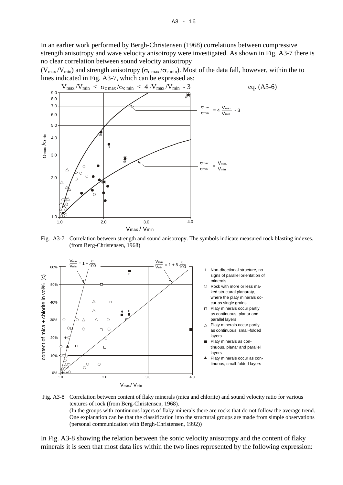In an earlier work performed by Bergh-Christensen (1968) correlations between compressive strength anisotropy and wave velocity anisotropy were investigated. As shown in Fig. A3-7 there is no clear correlation between sound velocity anisotropy

 $(V_{\text{max}}/V_{\text{min}})$  and strength anisotropy ( $\sigma_{\text{c max}}/\sigma_{\text{c min}}$ ). Most of the data fall, however, within the to lines indicated in Fig. A3-7, which can be expressed as:



Fig. A3-7 Correlation between strength and sound anisotropy. The symbols indicate measured rock blasting indexes. (from Berg-Christensen, 1968)



Fig. A3-8 Correlation between content of flaky minerals (mica and chlorite) and sound velocity ratio for various textures of rock (from Berg-Christensen, 1968). (In the groups with continuous layers of flaky minerals there are rocks that do not follow the average trend. One explanation can be that the classification into the structural groups are made from simple observations (personal communication with Bergh-Christensen, 1992))

In Fig. A3-8 showing the relation between the sonic velocity anisotropy and the content of flaky minerals it is seen that most data lies within the two lines represented by the following expression: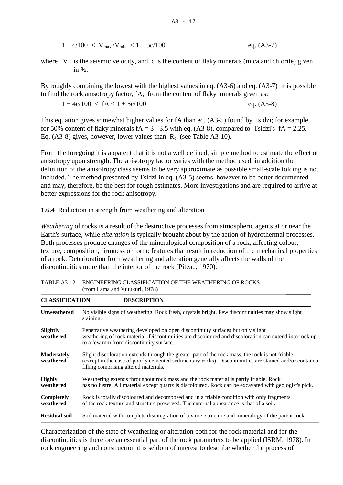$1 + c/100 < V_{\text{max}}/V_{\text{min}} < 1 + 5c/100$  eq. (A3-7)

where V is the seismic velocity, and c is the content of flaky minerals (mica and chlorite) given in  $\%$ 

By roughly combining the lowest with the highest values in eq. (A3-6) and eq. (A3-7) it is possible to find the rock anisotropy factor, fA, from the content of flaky minerals given as:

 $1 + 4c/100 < fA < 1 + 5c/100$  eq. (A3-8)

This equation gives somewhat higher values for fA than eq. (A3-5) found by Tsidzi; for example, for 50% content of flaky minerals  $fA = 3 - 3.5$  with eq. (A3-8), compared to Tsidzi's  $fA = 2.25$ . Eq. (A3-8) gives, however, lower values than  $R_c$  (see Table A3-10).

From the foregoing it is apparent that it is not a well defined, simple method to estimate the effect of anisotropy upon strength. The anisotropy factor varies with the method used, in addition the definition of the anisotropy class seems to be very approximate as possible small-scale folding is not included. The method presented by Tsidzi in eq. (A3-5) seems, however to be better documented and may, therefore, be the best for rough estimates. More investigations and are required to arrive at better expressions for the rock anisotropy.

## 1.6.4 Reduction in strength from weathering and alteration

*Weathering* of rocks is a result of the destructive processes from atmospheric agents at or near the Earth's surface, while *alteration* is typically brought about by the action of hydrothermal processes. Both processes produce changes of the mineralogical composition of a rock, affecting colour, texture, composition, firmness or form; features that result in reduction of the mechanical properties of a rock. Deterioration from weathering and alteration generally affects the walls of the discontinuities more than the interior of the rock (Piteau, 1970).

| <b>CLASSIFICATION</b>          | <b>DESCRIPTION</b>                                                                                                                                                                                                                                  |
|--------------------------------|-----------------------------------------------------------------------------------------------------------------------------------------------------------------------------------------------------------------------------------------------------|
| <b>Unweathered</b>             | No visible signs of weathering. Rock fresh, crystals bright. Few discontinuities may show slight<br>staining.                                                                                                                                       |
| Slightly<br>weathered          | Penetrative weathering developed on open discontinuity surfaces but only slight<br>weathering of rock material. Discontinuities are discoloured and discoloration can extend into rock up<br>to a few mm from discontinuity surface.                |
| <b>Moderately</b><br>weathered | Slight discoloration extends through the greater part of the rock mass, the rock is not friable<br>(except in the case of poorly cemented sedimentary rocks). Discontinuities are stained and/or contain a<br>filling comprising altered materials. |
| <b>Highly</b><br>weathered     | Weathering extends throughout rock mass and the rock material is partly friable. Rock<br>has no lustre. All material except quartz is discoloured. Rock can be excavated with geologist's pick.                                                     |
| Completely<br>weathered        | Rock is totally discoloured and decomposed and in a friable condition with only fragments<br>of the rock texture and structure preserved. The external appearance is that of a soil.                                                                |
| <b>Residual soil</b>           | Soil material with complete disintegration of texture, structure and mineralogy of the parent rock.                                                                                                                                                 |

TABLE A3-12 ENGINEERING CLASSIFICATION OF THE WEATHERING OF ROCKS (from Lama and Vutukuri, 1978)

Characterization of the state of weathering or alteration both for the rock material and for the discontinuities is therefore an essential part of the rock parameters to be applied (ISRM, 1978). In rock engineering and construction it is seldom of interest to describe whether the process of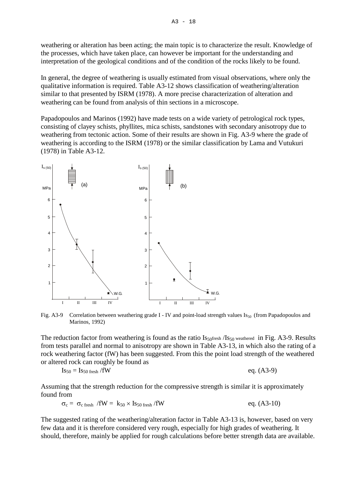weathering or alteration has been acting; the main topic is to characterize the result. Knowledge of the processes, which have taken place, can however be important for the understanding and interpretation of the geological conditions and of the condition of the rocks likely to be found.

In general, the degree of weathering is usually estimated from visual observations, where only the qualitative information is required. Table A3-12 shows classification of weathering/alteration similar to that presented by ISRM (1978). A more precise characterization of alteration and weathering can be found from analysis of thin sections in a microscope.

Papadopoulos and Marinos (1992) have made tests on a wide variety of petrological rock types, consisting of clayey schists, phyllites, mica schists, sandstones with secondary anisotropy due to weathering from tectonic action. Some of their results are shown in Fig. A3-9 where the grade of weathering is according to the ISRM (1978) or the similar classification by Lama and Vutukuri (1978) in Table A3-12.



Fig. A3-9 Correlation between weathering grade I - IV and point-load strength values  $Is_{50}$  (from Papadopoulos and Marinos, 1992)

The reduction factor from weathering is found as the ratio  $I_{s50}$  weathered in Fig. A3-9. Results from tests parallel and normal to anisotropy are shown in Table A3-13, in which also the rating of a rock weathering factor (fW) has been suggested. From this the point load strength of the weathered or altered rock can roughly be found as

$$
Is_{50} = Is_{50 \text{ fresh}} / fW \qquad \qquad \text{eq. (A3-9)}
$$

Assuming that the strength reduction for the compressive strength is similar it is approximately found from

$$
\sigma_{c} = \sigma_{c \text{ fresh}} / \text{fW} = k_{50} \times I_{50 \text{ fresh}} / \text{fW}
$$
eq. (A3-10)

The suggested rating of the weathering/alteration factor in Table A3-13 is, however, based on very few data and it is therefore considered very rough, especially for high grades of weathering. It should, therefore, mainly be applied for rough calculations before better strength data are available.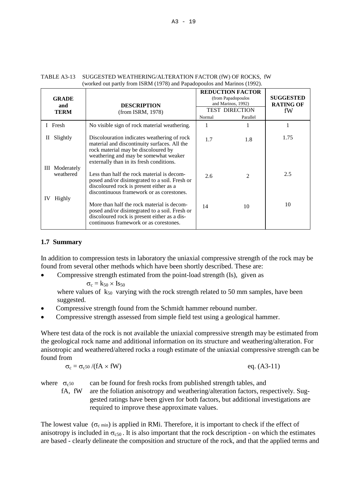| <b>GRADE</b><br>and<br><b>TERM</b>            | <b>DESCRIPTION</b><br>(from ISRM, 1978)                                                                                                                                                                                                                                                                                                                            | Normal     | <b>REDUCTION FACTOR</b><br>(from Papadopoulos<br>and Marinos, 1992)<br><b>TEST DIRECTION</b><br>Parallel | <b>SUGGESTED</b><br><b>RATING OF</b><br>fW |
|-----------------------------------------------|--------------------------------------------------------------------------------------------------------------------------------------------------------------------------------------------------------------------------------------------------------------------------------------------------------------------------------------------------------------------|------------|----------------------------------------------------------------------------------------------------------|--------------------------------------------|
| I Fresh                                       | No visible sign of rock material weathering.                                                                                                                                                                                                                                                                                                                       | 1          |                                                                                                          |                                            |
| Slightly<br>П<br>Moderately<br>Ш<br>weathered | Discolouration indicates weathering of rock<br>material and discontinuity surfaces. All the<br>rock material may be discoloured by<br>weathering and may be somewhat weaker<br>externally than in its fresh conditions.<br>Less than half the rock material is decom-<br>posed and/or disintegrated to a soil. Fresh or<br>discoloured rock is present either as a | 1.7<br>2.6 | 1.8<br>2                                                                                                 | 1.75<br>2.5                                |
| Highly<br>IV                                  | discontinuous framework or as corestones.<br>More than half the rock material is decom-<br>posed and/or disintegrated to a soil. Fresh or<br>discoloured rock is present either as a dis-<br>continuous framework or as corestones.                                                                                                                                | 14         | 10                                                                                                       | 10                                         |

#### TABLE A3-13 SUGGESTED WEATHERING/ALTERATION FACTOR (fW) OF ROCKS, fW (worked out partly from ISRM (1978) and Papadopoulos and Marinos (1992).

# **1.7 Summary**

In addition to compression tests in laboratory the uniaxial compressive strength of the rock may be found from several other methods which have been shortly described. These are:

• Compressive strength estimated from the point-load strength (Is), given as

 $\sigma_c = k_{50} \times Is_{50}$ 

where values of  $k_{50}$  varying with the rock strength related to 50 mm samples, have been suggested.

- Compressive strength found from the Schmidt hammer rebound number.
- Compressive strength assessed from simple field test using a geological hammer.

Where test data of the rock is not available the uniaxial compressive strength may be estimated from the geological rock name and additional information on its structure and weathering/alteration. For anisotropic and weathered/altered rocks a rough estimate of the uniaxial compressive strength can be found from

$$
\sigma_c = \sigma_c s_0 / (fA \times fW) \qquad \qquad \text{eq. (A3-11)}
$$

where  $\sigma_{c,50}$  can be found for fresh rocks from published strength tables, and fA, fW are the foliation anisotropy and weathering/alteration factors, respectively. Suggested ratings have been given for both factors, but additional investigations are

required to improve these approximate values.

The lowest value  $(\sigma_c)$  min) is applied in RMi. Therefore, it is important to check if the effect of anisotropy is included in  $\sigma_{c50}$ . It is also important that the rock description - on which the estimates are based - clearly delineate the composition and structure of the rock, and that the applied terms and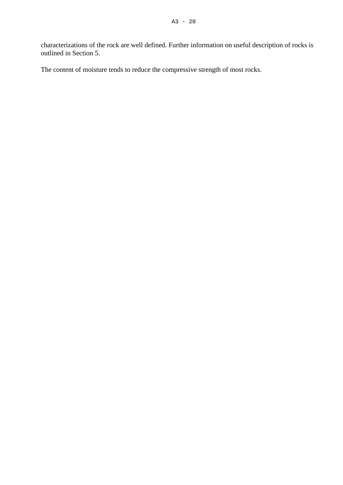characterizations of the rock are well defined. Further information on useful description of rocks is outlined in Section 5.

The content of moisture tends to reduce the compressive strength of most rocks.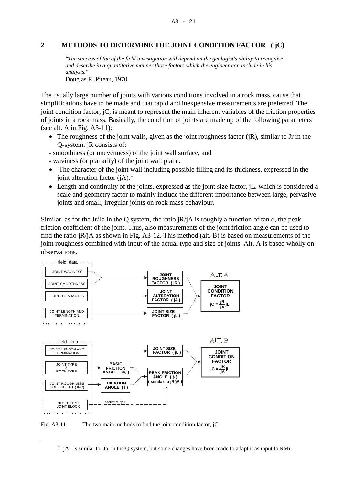#### **2 METHODS TO DETERMINE THE JOINT CONDITION FACTOR ( jC)**

*"The success of the of the field investigation will depend on the geologist's ability to recognise and describe in a quantitative manner those factors which the engineer can include in his analysis."*

Douglas R. Piteau, 1970

The usually large number of joints with various conditions involved in a rock mass, cause that simplifications have to be made and that rapid and inexpensive measurements are preferred. The joint condition factor, jC, is meant to represent the main inherent variables of the friction properties of joints in a rock mass. Basically, the condition of joints are made up of the following parameters (see alt. A in Fig. A3-11):

- The roughness of the joint walls, given as the joint roughness factor  $(iR)$ , similar to Jr in the Q-system. jR consists of:
- smoothness (or unevenness) of the joint wall surface, and
- waviness (or planarity) of the joint wall plane.
- The character of the joint wall including possible filling and its thickness, expressed in the joint alteration factor  $(iA)$ .<sup>[1](#page-20-0)</sup>
- Length and continuity of the joints, expressed as the joint size factor, iL, which is considered a scale and geometry factor to mainly include the different importance between large, pervasive joints and small, irregular joints on rock mass behaviour.

Similar, as for the Jr/Ja in the Q system, the ratio  $iR/iA$  is roughly a function of tan  $\phi$ , the peak friction coefficient of the joint. Thus, also measurements of the joint friction angle can be used to find the ratio jR/jA as shown in Fig. A3-12. This method (alt. B) is based on measurements of the joint roughness combined with input of the actual type and size of joints. Alt. A is based wholly on observations.



Fig. A3-11 The two main methods to find the joint condition factor, jC.

—

<span id="page-20-0"></span> $<sup>1</sup>$  jA is similar to Ja in the Q system, but some changes have been made to adapt it as input to RMi.</sup>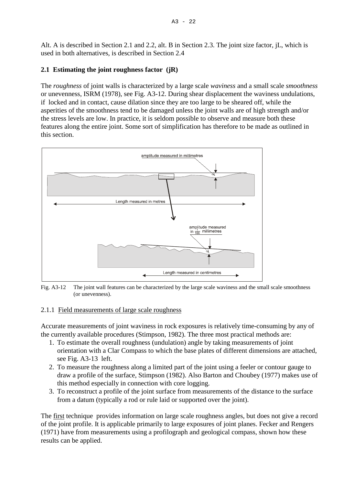$A3 - 22$ 

Alt. A is described in Section 2.1 and 2.2, alt. B in Section 2.3. The joint size factor, jL, which is used in both alternatives, is described in Section 2.4

# **2.1 Estimating the joint roughness factor (jR)**

The *roughness* of joint walls is characterized by a large scale *waviness* and a small scale *smoothness* or unevenness, ISRM (1978), see Fig. A3-12. During shear displacement the waviness undulations, if locked and in contact, cause dilation since they are too large to be sheared off, while the asperities of the smoothness tend to be damaged unless the joint walls are of high strength and/or the stress levels are low. In practice, it is seldom possible to observe and measure both these features along the entire joint. Some sort of simplification has therefore to be made as outlined in this section.



Fig. A3-12 The joint wall features can be characterized by the large scale waviness and the small scale smoothness (or unevenness).

# 2.1.1 Field measurements of large scale roughness

Accurate measurements of joint waviness in rock exposures is relatively time-consuming by any of the currently available procedures (Stimpson, 1982). The three most practical methods are:

- 1. To estimate the overall roughness (undulation) angle by taking measurements of joint orientation with a Clar Compass to which the base plates of different dimensions are attached, see Fig. A3-13 left.
- 2. To measure the roughness along a limited part of the joint using a feeler or contour gauge to draw a profile of the surface, Stimpson (1982). Also Barton and Choubey (1977) makes use of this method especially in connection with core logging.
- 3. To reconstruct a profile of the joint surface from measurements of the distance to the surface from a datum (typically a rod or rule laid or supported over the joint).

The first technique provides information on large scale roughness angles, but does not give a record of the joint profile. It is applicable primarily to large exposures of joint planes. Fecker and Rengers (1971) have from measurements using a profilograph and geological compass, shown how these results can be applied.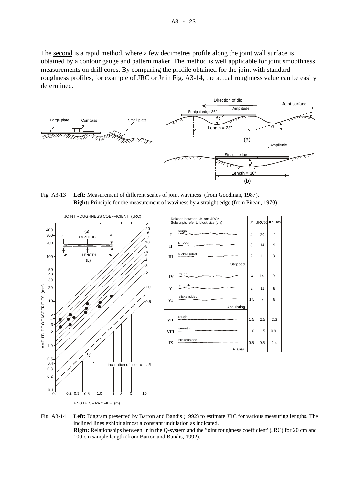The second is a rapid method, where a few decimetres profile along the joint wall surface is obtained by a contour gauge and pattern maker. The method is well applicable for joint smoothness measurements on drill cores. By comparing the profile obtained for the joint with standard roughness profiles, for example of JRC or Jr in Fig. A3-14, the actual roughness value can be easily determined.



Fig. A3-13 **Left:** Measurement of different scales of joint waviness (from Goodman, 1987). **Right:** Principle for the measurement of waviness by a straight edge (from Piteau, 1970).



Fig. A3-14 **Left:** Diagram presented by Barton and Bandis (1992) to estimate JRC for various measuring lengths. The inclined lines exhibit almost a constant undulation as indicated. **Right:** Relationships between Jr in the Q-system and the 'joint roughness coefficient' (JRC) for 20 cm and 100 cm sample length (from Barton and Bandis, 1992).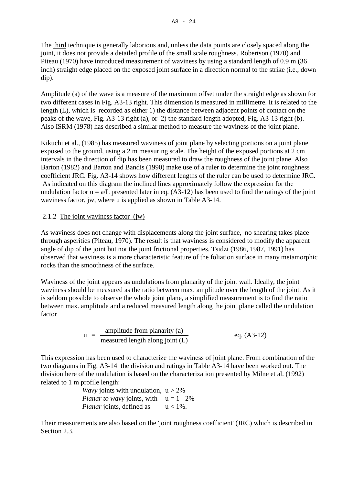The third technique is generally laborious and, unless the data points are closely spaced along the joint, it does not provide a detailed profile of the small scale roughness. Robertson (1970) and Piteau (1970) have introduced measurement of waviness by using a standard length of 0.9 m (36 inch) straight edge placed on the exposed joint surface in a direction normal to the strike (i.e., down dip).

Amplitude (a) of the wave is a measure of the maximum offset under the straight edge as shown for two different cases in Fig. A3-13 right. This dimension is measured in millimetre. It is related to the length (L), which is recorded as either 1) the distance between adjacent points of contact on the peaks of the wave, Fig. A3-13 right (a), or 2) the standard length adopted, Fig. A3-13 right (b). Also ISRM (1978) has described a similar method to measure the waviness of the joint plane.

Kikuchi et al., (1985) has measured waviness of joint plane by selecting portions on a joint plane exposed to the ground, using a 2 m measuring scale. The height of the exposed portions at 2 cm intervals in the direction of dip has been measured to draw the roughness of the joint plane. Also Barton (1982) and Barton and Bandis (1990) make use of a ruler to determine the joint roughness coefficient JRC. Fig. A3-14 shows how different lengths of the ruler can be used to determine JRC. As indicated on this diagram the inclined lines approximately follow the expression for the undulation factor  $u = a/L$  presented later in eq. (A3-12) has been used to find the ratings of the joint waviness factor, jw, where u is applied as shown in Table A3-14.

# 2.1.2 The joint waviness factor (jw)

As waviness does not change with displacements along the joint surface, no shearing takes place through asperities (Piteau, 1970). The result is that waviness is considered to modify the apparent angle of dip of the joint but not the joint frictional properties. Tsidzi (1986, 1987, 1991) has observed that waviness is a more characteristic feature of the foliation surface in many metamorphic rocks than the smoothness of the surface.

Waviness of the joint appears as undulations from planarity of the joint wall. Ideally, the joint waviness should be measured as the ratio between max. amplitude over the length of the joint. As it is seldom possible to observe the whole joint plane, a simplified measurement is to find the ratio between max. amplitude and a reduced measured length along the joint plane called the undulation factor

$$
u = \frac{\text{amplitude from planarity (a)}}{\text{measured length along joint (L)}} \qquad \text{eq. (A3-12)}
$$

This expression has been used to characterize the waviness of joint plane. From combination of the two diagrams in Fig. A3-14 the division and ratings in Table A3-14 have been worked out. The division here of the undulation is based on the characterization presented by Milne et al. (1992) related to 1 m profile length:

> *Wavy* joints with undulation,  $u > 2\%$ *Planar to wavy* joints, with  $u = 1 - 2\%$ *Planar* joints, defined as  $u < 1\%$ .

Their measurements are also based on the 'joint roughness coefficient' (JRC) which is described in Section 2.3.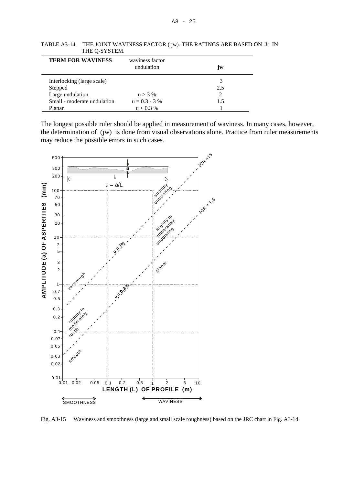| <b>TERM FOR WAVINESS</b>    | waviness factor<br>undulation | jw. |
|-----------------------------|-------------------------------|-----|
| Interlocking (large scale)  |                               |     |
| Stepped                     |                               | 2.5 |
| Large undulation            | $u > 3\%$                     |     |
| Small - moderate undulation | $u = 0.3 - 3\%$               | 1.5 |
| Planar                      | $u < 0.3\%$                   |     |

TABLE A3-14 THE JOINT WAVINESS FACTOR ( jw). THE RATINGS ARE BASED ON Jr IN THE Q-SYSTEM.

The longest possible ruler should be applied in measurement of waviness. In many cases, however, the determination of (jw) is done from visual observations alone. Practice from ruler measurements may reduce the possible errors in such cases.



Fig. A3-15 Waviness and smoothness (large and small scale roughness) based on the JRC chart in Fig. A3-14.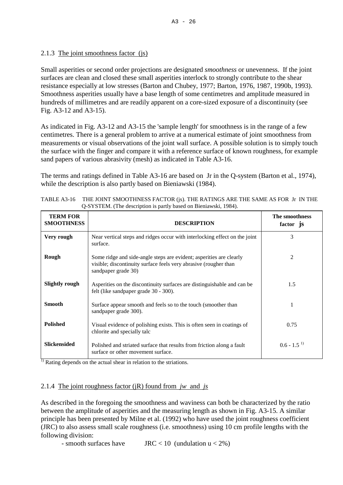# 2.1.3 The joint smoothness factor (js)

Small asperities or second order projections are designated *smoothness* or unevenness. If the joint surfaces are clean and closed these small asperities interlock to strongly contribute to the shear resistance especially at low stresses (Barton and Chubey, 1977; Barton, 1976, 1987, 1990b, 1993). Smoothness asperities usually have a base length of some centimetres and amplitude measured in hundreds of millimetres and are readily apparent on a core-sized exposure of a discontinuity (see Fig. A3-12 and A3-15).

As indicated in Fig. A3-12 and A3-15 the 'sample length' for smoothness is in the range of a few centimetres. There is a general problem to arrive at a numerical estimate of joint smoothness from measurements or visual observations of the joint wall surface. A possible solution is to simply touch the surface with the finger and compare it with a reference surface of known roughness, for example sand papers of various abrasivity (mesh) as indicated in Table A3-16.

The terms and ratings defined in Table A3-16 are based on Jr in the Q-system (Barton et al., 1974), while the description is also partly based on Bieniawski (1984).

| <b>TERM FOR</b><br><b>SMOOTHNESS</b> | <b>DESCRIPTION</b>                                                                                                                                             | The smoothness<br>factor js |
|--------------------------------------|----------------------------------------------------------------------------------------------------------------------------------------------------------------|-----------------------------|
| Very rough                           | Near vertical steps and ridges occur with interlocking effect on the joint<br>surface.                                                                         | 3                           |
| Rough                                | Some ridge and side-angle steps are evident; asperities are clearly<br>visible; discontinuity surface feels very abrasive (rougher than<br>sandpaper grade 30) | 2                           |
| <b>Slightly rough</b>                | Asperities on the discontinuity surfaces are distinguishable and can be<br>felt (like sandpaper grade 30 - 300).                                               | 1.5                         |
| <b>Smooth</b>                        | Surface appear smooth and feels so to the touch (smoother than<br>sandpaper grade 300).                                                                        |                             |
| <b>Polished</b>                      | Visual evidence of polishing exists. This is often seen in coatings of<br>chlorite and specially talc                                                          | 0.75                        |
| <b>Slickensided</b>                  | Polished and striated surface that results from friction along a fault<br>surface or other movement surface.                                                   | $0.6 - 1.5$ <sup>1)</sup>   |

| TABLE A3-16 THE JOINT SMOOTHNESS FACTOR (is). THE RATINGS ARE THE SAME AS FOR Jr IN THE |
|-----------------------------------------------------------------------------------------|
| Q-SYSTEM. (The description is partly based on Bieniawski, 1984).                        |

 $\overline{1}$ ) Rating depends on the actual shear in relation to the striations.

## 2.1.4 The joint roughness factor (jR) found from *jw* and *js*

As described in the foregoing the smoothness and waviness can both be characterized by the ratio between the amplitude of asperities and the measuring length as shown in Fig. A3-15. A similar principle has been presented by Milne et al. (1992) who have used the joint roughness coefficient (JRC) to also assess small scale roughness (i.e. smoothness) using 10 cm profile lengths with the following division:

- smooth surfaces have  $JRC < 10$  (undulation  $u < 2\%$ )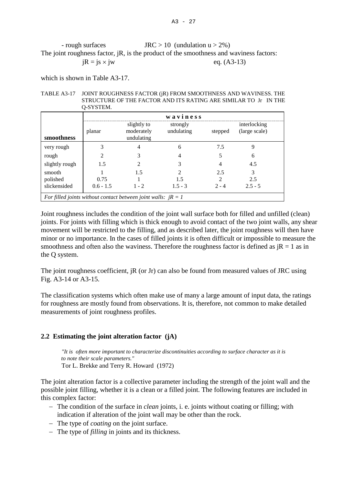#### A3 - 27

- rough surfaces JRC > 10 (undulation  $u > 2\%$ ) The joint roughness factor, jR, is the product of the smoothness and waviness factors:  $iR = i s \times i w$  eq. (A3-13)

which is shown in Table A3-17.

TABLE A3-17 JOINT ROUGHNESS FACTOR (jR) FROM SMOOTHNESS AND WAVINESS. THE STRUCTURE OF THE FACTOR AND ITS RATING ARE SIMILAR TO Jr IN THE Q-SYSTEM.

|                                                                 | waviness    |                                         |                        |         |                               |  |
|-----------------------------------------------------------------|-------------|-----------------------------------------|------------------------|---------|-------------------------------|--|
| smoothness                                                      | planar      | slightly to<br>moderately<br>undulating | strongly<br>undulating | stepped | interlocking<br>(large scale) |  |
| very rough                                                      |             |                                         | 6                      | 7.5     | 9                             |  |
| rough                                                           |             | 3                                       | 4                      |         | 6                             |  |
| slightly rough                                                  | 1.5         | $\mathfrak{D}$                          |                        |         | 4.5                           |  |
| smooth                                                          |             | 1.5                                     |                        | 2.5     | 3                             |  |
| polished                                                        | 0.75        |                                         | 15                     |         | 2.5                           |  |
| slickensided                                                    | $0.6 - 1.5$ | $1 - 2$                                 | $1.5 - 3$              | $2 - 4$ | $2.5 - 5$                     |  |
| For filled joints without contact between joint walls: $jR = 1$ |             |                                         |                        |         |                               |  |

Joint roughness includes the condition of the joint wall surface both for filled and unfilled (clean) joints. For joints with filling which is thick enough to avoid contact of the two joint walls, any shear movement will be restricted to the filling, and as described later, the joint roughness will then have minor or no importance. In the cases of filled joints it is often difficult or impossible to measure the smoothness and often also the waviness. Therefore the roughness factor is defined as  $iR = 1$  as in the Q system.

The joint roughness coefficient, jR (or Jr) can also be found from measured values of JRC using Fig. A3-14 or A3-15.

The classification systems which often make use of many a large amount of input data, the ratings for roughness are mostly found from observations. It is, therefore, not common to make detailed measurements of joint roughness profiles.

# **2.2 Estimating the joint alteration factor (jA)**

*"It is often more important to characterize discontinuities according to surface character as it is to note their scale parameters."* Tor L. Brekke and Terry R. Howard (1972)

The joint alteration factor is a collective parameter including the strength of the joint wall and the possible joint filling, whether it is a clean or a filled joint. The following features are included in this complex factor:

- − The condition of the surface in *clean* joints, i. e. joints without coating or filling; with indication if alteration of the joint wall may be other than the rock.
- − The type of *coating* on the joint surface.
- − The type of *filling* in joints and its thickness.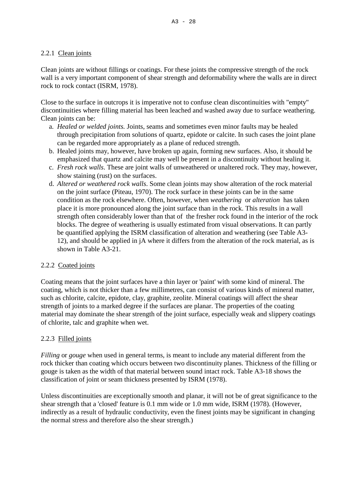# 2.2.1 Clean joints

Clean joints are without fillings or coatings. For these joints the compressive strength of the rock wall is a very important component of shear strength and deformability where the walls are in direct rock to rock contact (ISRM, 1978).

Close to the surface in outcrops it is imperative not to confuse clean discontinuities with "empty" discontinuities where filling material has been leached and washed away due to surface weathering. Clean joints can be:

- a. *Healed or welded joints.* Joints, seams and sometimes even minor faults may be healed through precipitation from solutions of quartz, epidote or calcite. In such cases the joint plane can be regarded more appropriately as a plane of reduced strength.
- b. Healed joints may, however, have broken up again, forming new surfaces. Also, it should be emphasized that quartz and calcite may well be present in a discontinuity without healing it.
- c. *Fresh rock walls*. These are joint walls of unweathered or unaltered rock. They may, however, show staining (rust) on the surfaces.
- d. *Altered or weathered rock walls*. Some clean joints may show alteration of the rock material on the joint surface (Piteau, 1970). The rock surface in these joints can be in the same condition as the rock elsewhere. Often, however, when *weathering* or *alteration* has taken place it is more pronounced along the joint surface than in the rock. This results in a wall strength often considerably lower than that of the fresher rock found in the interior of the rock blocks. The degree of weathering is usually estimated from visual observations. It can partly be quantified applying the ISRM classification of alteration and weathering (see Table A3- 12), and should be applied in jA where it differs from the alteration of the rock material, as is shown in Table A3-21.

## 2.2.2 Coated joints

Coating means that the joint surfaces have a thin layer or 'paint' with some kind of mineral. The coating, which is not thicker than a few millimetres, can consist of various kinds of mineral matter, such as chlorite, calcite, epidote, clay, graphite, zeolite. Mineral coatings will affect the shear strength of joints to a marked degree if the surfaces are planar. The properties of the coating material may dominate the shear strength of the joint surface, especially weak and slippery coatings of chlorite, talc and graphite when wet.

## 2.2.3 Filled joints

*Filling* or *gouge* when used in general terms, is meant to include any material different from the rock thicker than coating which occurs between two discontinuity planes. Thickness of the filling or gouge is taken as the width of that material between sound intact rock. Table A3-18 shows the classification of joint or seam thickness presented by ISRM (1978).

Unless discontinuities are exceptionally smooth and planar, it will not be of great significance to the shear strength that a 'closed' feature is 0.1 mm wide or 1.0 mm wide, ISRM (1978). (However, indirectly as a result of hydraulic conductivity, even the finest joints may be significant in changing the normal stress and therefore also the shear strength.)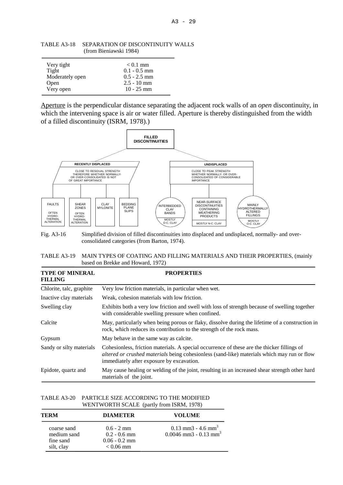| Very tight      | $< 0.1$ mm     |
|-----------------|----------------|
| Tight           | $0.1 - 0.5$ mm |
| Moderately open | $0.5 - 2.5$ mm |
| Open            | $2.5 - 10$ mm  |
| Very open       | $10 - 25$ mm   |

TABLE A3-18 SEPARATION OF DISCONTINUITY WALLS (from Bieniawski 1984)

Aperture is the perpendicular distance separating the adjacent rock walls of an *open* discontinuity, in which the intervening space is air or water filled. Aperture is thereby distinguished from the width of a filled discontinuity (ISRM, 1978).)



Fig. A3-16 Simplified division of filled discontinuities into displaced and undisplaced, normally- and overconsolidated categories (from Barton, 1974).

| TABLE A3-19 MAIN TYPES OF COATING AND FILLING MATERIALS AND THEIR PROPERTIES, (mainly |
|---------------------------------------------------------------------------------------|
| based on Brekke and Howard, 1972)                                                     |

| <b>TYPE OF MINERAL</b><br><b>FILLING</b> | <b>PROPERTIES</b>                                                                                                                                                                                                                       |  |  |  |
|------------------------------------------|-----------------------------------------------------------------------------------------------------------------------------------------------------------------------------------------------------------------------------------------|--|--|--|
| Chlorite, talc, graphite                 | Very low friction materials, in particular when wet.                                                                                                                                                                                    |  |  |  |
| Inactive clay materials                  | Weak, cohesion materials with low friction.                                                                                                                                                                                             |  |  |  |
| Swelling clay                            | Exhibits both a very low friction and swell with loss of strength because of swelling together<br>with considerable swelling pressure when confined.                                                                                    |  |  |  |
| Calcite                                  | May, particularly when being porous or flaky, dissolve during the lifetime of a construction in<br>rock, which reduces its contribution to the strength of the rock mass.                                                               |  |  |  |
| Gypsum                                   | May behave in the same way as calcite.                                                                                                                                                                                                  |  |  |  |
| Sandy or silty materials                 | Cohesionless, friction materials. A special occurrence of these are the thicker fillings of<br>altered or crushed materials being cohesionless (sand-like) materials which may run or flow<br>immediately after exposure by excavation. |  |  |  |
| Epidote, quartz and                      | May cause healing or welding of the joint, resulting in an increased shear strength other hard<br>materials of the joint.                                                                                                               |  |  |  |

#### TABLE A3-20 PARTICLE SIZE ACCORDING TO THE MODIFIED WENTWORTH SCALE (partly from ISRM, 1978)

| TERM                                                  | <b>DIAMETER</b>                                                          | <b>VOLUME</b>                                                             |  |  |
|-------------------------------------------------------|--------------------------------------------------------------------------|---------------------------------------------------------------------------|--|--|
| coarse sand<br>medium sand<br>fine sand<br>silt, clay | $0.6 - 2 \text{ mm}$<br>$0.2 - 0.6$ mm<br>$0.06 - 0.2$ mm<br>$< 0.06$ mm | $0.13$ mm3 - 4.6 mm <sup>3</sup><br>$0.0046$ mm3 - $0.13$ mm <sup>3</sup> |  |  |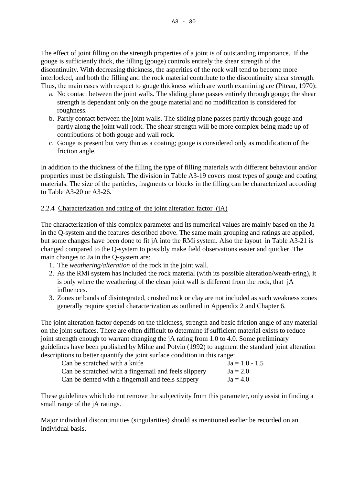The effect of joint filling on the strength properties of a joint is of outstanding importance. If the gouge is sufficiently thick, the filling (gouge) controls entirely the shear strength of the discontinuity. With decreasing thickness, the asperities of the rock wall tend to become more interlocked, and both the filling and the rock material contribute to the discontinuity shear strength. Thus, the main cases with respect to gouge thickness which are worth examining are (Piteau, 1970):

- a. No contact between the joint walls. The sliding plane passes entirely through gouge; the shear strength is dependant only on the gouge material and no modification is considered for roughness.
- b. Partly contact between the joint walls. The sliding plane passes partly through gouge and partly along the joint wall rock. The shear strength will be more complex being made up of contributions of both gouge and wall rock.
- c. Gouge is present but very thin as a coating; gouge is considered only as modification of the friction angle.

In addition to the thickness of the filling the type of filling materials with different behaviour and/or properties must be distinguish. The division in Table A3-19 covers most types of gouge and coating materials. The size of the particles, fragments or blocks in the filling can be characterized according to Table A3-20 or A3-26.

# 2.2.4 Characterization and rating of the joint alteration factor (jA)

The characterization of this complex parameter and its numerical values are mainly based on the Ja in the Q-system and the features described above. The same main grouping and ratings are applied, but some changes have been done to fit jA into the RMi system. Also the layout in Table A3-21 is changed compared to the Q-system to possibly make field observations easier and quicker. The main changes to Ja in the Q-system are:

- 1. The *weathering/alteration* of the rock in the joint wall.
- 2. As the RMi system has included the rock material (with its possible alteration/weath-ering), it is only where the weathering of the clean joint wall is different from the rock, that jA influences.
- 3. Zones or bands of disintegrated, crushed rock or clay are not included as such weakness zones generally require special characterization as outlined in Appendix 2 and Chapter 6.

The joint alteration factor depends on the thickness, strength and basic friction angle of any material on the joint surfaces. There are often difficult to determine if sufficient material exists to reduce joint strength enough to warrant changing the jA rating from 1.0 to 4.0. Some preliminary guidelines have been published by Milne and Potvin (1992) to augment the standard joint alteration descriptions to better quantify the joint surface condition in this range:

| Can be scratched with a knife                         | $Ja = 1.0 - 1.5$ |
|-------------------------------------------------------|------------------|
| Can be scratched with a fingernail and feels slippery | $Ja = 2.0$       |
| Can be dented with a fingernail and feels slippery    | $Ja = 4.0$       |

These guidelines which do not remove the subjectivity from this parameter, only assist in finding a small range of the jA ratings.

Major individual discontinuities (singularities) should as mentioned earlier be recorded on an individual basis.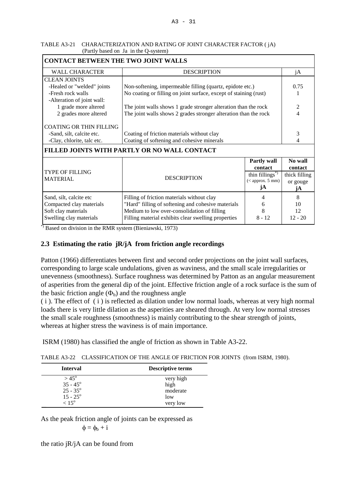| TABLE A3-21 CHARACTERIZATION AND RATING OF JOINT CHARACTER FACTOR (jA) |
|------------------------------------------------------------------------|
| (Partly based on Ja in the Q-system)                                   |

| <b>CONTACT BETWEEN THE TWO JOINT WALLS</b>      |                                                                   |                            |                |  |  |
|-------------------------------------------------|-------------------------------------------------------------------|----------------------------|----------------|--|--|
| <b>WALL CHARACTER</b>                           | <b>DESCRIPTION</b>                                                |                            | jA             |  |  |
| <b>CLEAN JOINTS</b>                             |                                                                   |                            |                |  |  |
| -Healed or "welded" joints                      | Non-softening, impermeable filling (quartz, epidote etc.)         |                            | 0.75           |  |  |
| -Fresh rock walls<br>-Alteration of joint wall: | No coating or filling on joint surface, except of staining (rust) |                            |                |  |  |
| 1 grade more altered                            | The joint walls shows 1 grade stronger alteration than the rock   |                            | $\overline{c}$ |  |  |
| 2 grades more altered                           | The joint walls shows 2 grades stronger alteration than the rock  |                            | 4              |  |  |
| <b>COATING OR THIN FILLING</b>                  |                                                                   |                            |                |  |  |
| -Sand, silt, calcite etc.                       | Coating of friction materials without clay                        |                            | 3              |  |  |
| -Clay, chlorite, talc etc.                      | Coating of softening and cohesive minerals                        | 4                          |                |  |  |
|                                                 | FILLED JOINTS WITH PARTLY OR NO WALL CONTACT                      |                            |                |  |  |
|                                                 |                                                                   | <b>Partly wall</b>         | No wall        |  |  |
|                                                 |                                                                   | contact                    | contact        |  |  |
| <b>TYPE OF FILLING</b>                          | <b>DESCRIPTION</b>                                                | thin fillings <sup>*</sup> | thick filling  |  |  |
| <b>MATERIAL</b>                                 |                                                                   | ( <i>approx. 5 mm</i> )    | or gouge       |  |  |
|                                                 |                                                                   | jA                         | jA             |  |  |
| Sand, silt, calcite etc                         | Filling of friction materials without clay                        | 4                          | 8              |  |  |
| Compacted clay materials                        | "Hard" filling of softening and cohesive materials<br>6           |                            |                |  |  |
| Soft clay materials                             | 8<br>Medium to low over-consolidation of filling                  |                            |                |  |  |
| Swelling clay materials                         | Filling material exhibits clear swelling properties<br>$8 - 12$   |                            |                |  |  |

\*) Based on division in the RMR system (Bieniawski, 1973)

## **2.3 Estimating the ratio jR/jA from friction angle recordings**

Patton (1966) differentiates between first and second order projections on the joint wall surfaces, corresponding to large scale undulations, given as waviness, and the small scale irregularities or unevenness (smoothness). Surface roughness was determined by Patton as an angular measurement of asperities from the general dip of the joint. Effective friction angle of a rock surface is the sum of the basic friction angle  $(\Phi_b)$  and the roughness angle

( i ). The effect of ( i ) is reflected as dilation under low normal loads, whereas at very high normal loads there is very little dilation as the asperities are sheared through. At very low normal stresses the small scale roughness (smoothness) is mainly contributing to the shear strength of joints, whereas at higher stress the waviness is of main importance.

ISRM (1980) has classified the angle of friction as shown in Table A3-22.

TABLE A3-22 CLASSIFICATION OF THE ANGLE OF FRICTION FOR JOINTS (from ISRM, 1980).

| <b>Interval</b>   | Descriptive terms |
|-------------------|-------------------|
| $> 45^{\circ}$    | very high         |
| $35 - 45^{\circ}$ | high              |
| $25 - 35^{\circ}$ | moderate          |
| $15 - 25^{\circ}$ | low               |
| $< 15^{\circ}$    | very low          |

As the peak friction angle of joints can be expressed as

 $\phi = \phi_b + i$ 

the ratio jR/jA can be found from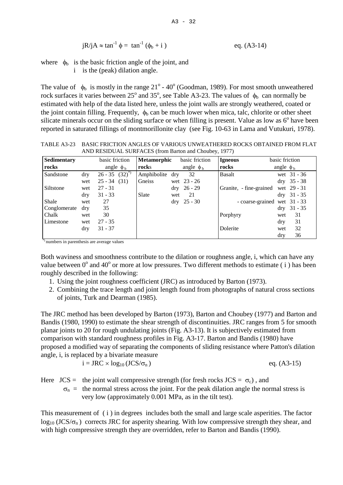$$
jR/jA \approx \tan^{-1} \phi = \tan^{-1} (\phi_b + i)
$$
 eq. (A3-14)

where  $\phi_b$  is the basic friction angle of the joint, and

i is the (peak) dilation angle.

The value of  $\phi_b$  is mostly in the range 21<sup>o</sup> - 40<sup>o</sup> (Goodman, 1989). For most smooth unweathered rock surfaces it varies between  $25^{\circ}$  and  $35^{\circ}$ , see Table A3-23. The values of  $\phi_b$  can normally be estimated with help of the data listed here, unless the joint walls are strongly weathered, coated or the joint contain filling. Frequently,  $\phi_b$  can be much lower when mica, talc, chlorite or other sheet silicate minerals occur on the sliding surface or when filling is present. Value as low as  $6^\circ$  have been reported in saturated fillings of montmorillonite clay (see Fig. 10-63 in Lama and Vutukuri, 1978).

TABLE A3-23 BASIC FRICTION ANGLES OF VARIOUS UNWEATHERED ROCKS OBTAINED FROM FLAT AND RESIDUAL SURFACES (from Barton and Choubey, 1977)

| Sedimentary  |            | basic friction        | <b>Metamorphic</b> |             | basic friction | <b>Igneous</b>          | basic friction               |                            |
|--------------|------------|-----------------------|--------------------|-------------|----------------|-------------------------|------------------------------|----------------------------|
| rocks        |            | angle $\phi_b$        | rocks              |             | angle $\phi_b$ | rocks                   | angle $\phi_b$               |                            |
| Sandstone    | dry        | $26 - 35 (32)^{^{*}}$ | Amphibolite        | dry         | 32             | <b>Basalt</b>           |                              | wet $31 - 36$              |
|              | wet        | $25 - 34$<br>(31)     | Gneiss             |             | wet $23 - 26$  |                         |                              | $dry$ 35 - 38              |
| Siltstone    | wet        | $27 - 31$             |                    | dry         | $26 - 29$      | Granite, - fine-grained |                              | wet 29 - 31                |
|              | $\rm{dry}$ | $31 - 33$             | Slate              | wet         | 21             |                         |                              | $\text{dry} \quad 31 - 35$ |
| Shale        | wet        | 27                    |                    | $\rm{d}$ ry | $25 - 30$      |                         | - coarse-grained wet 31 - 33 |                            |
| Conglomerate | dry        | 35                    |                    |             |                |                         |                              | $dry$ 31 - 35              |
| Chalk        | wet        | 30                    |                    |             |                | Porphyry                | wet                          | 31                         |
| Limestone    | wet        | $27 - 35$             |                    |             |                |                         | dry                          | 31                         |
|              | dry        | $31 - 37$             |                    |             |                | Dolerite                | wet                          | 32                         |
|              |            |                       |                    |             |                |                         | dry                          | 36                         |

\*) numbers in parenthesis are average values

Both waviness and smoothness contribute to the dilation or roughness angle, i, which can have any value between  $0^{\circ}$  and  $40^{\circ}$  or more at low pressures. Two different methods to estimate (i) has been roughly described in the following:

- 1. Using the joint roughness coefficient (JRC) as introduced by Barton (1973).
- 2. Combining the trace length and joint length found from photographs of natural cross sections of joints, Turk and Dearman (1985).

The JRC method has been developed by Barton (1973), Barton and Choubey (1977) and Barton and Bandis (1980, 1990) to estimate the shear strength of discontinuities. JRC ranges from 5 for smooth planar joints to 20 for rough undulating joints (Fig. A3-13). It is subjectively estimated from comparison with standard roughness profiles in Fig. A3-17. Barton and Bandis (1980) have proposed a modified way of separating the components of sliding resistance where Patton's dilation angle, i, is replaced by a bivariate measure

$$
i = JRC \times log_{10} (JCS/\sigma_n)
$$
eq. (A3-15)

Here  $JCS =$  the joint wall compressive strength (for fresh rocks  $JCS = \sigma_c$ ), and

 $\sigma_{\text{n}}$  = the normal stress across the joint. For the peak dilation angle the normal stress is very low (approximately 0.001 MPa, as in the tilt test).

This measurement of (i) in degrees includes both the small and large scale asperities. The factor  $log_{10} (JCS/\sigma_n)$  corrects JRC for asperity shearing. With low compressive strength they shear, and with high compressive strength they are overridden, refer to Barton and Bandis (1990).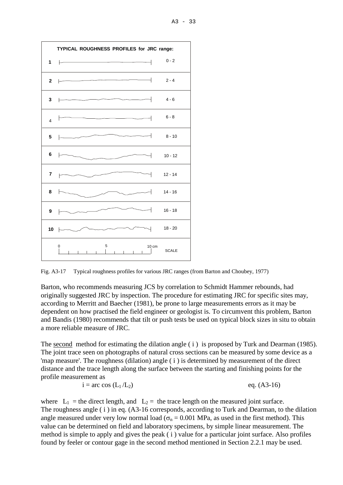

Fig. A3-17 Typical roughness profiles for various JRC ranges (from Barton and Choubey, 1977)

Barton, who recommends measuring JCS by correlation to Schmidt Hammer rebounds, had originally suggested JRC by inspection. The procedure for estimating JRC for specific sites may, according to Merritt and Baecher (1981), be prone to large measurements errors as it may be dependent on how practised the field engineer or geologist is. To circumvent this problem, Barton and Bandis (1980) recommends that tilt or push tests be used on typical block sizes in situ to obtain a more reliable measure of JRC.

The second method for estimating the dilation angle (*i*) is proposed by Turk and Dearman (1985). The joint trace seen on photographs of natural cross sections can be measured by some device as a 'map measure'. The roughness (dilation) angle ( i ) is determined by measurement of the direct distance and the trace length along the surface between the starting and finishing points for the profile measurement as

$$
i = \text{arc cos } (L_1 / L_2) \qquad \text{eq. (A3-16)}
$$

where  $L_1$  = the direct length, and  $L_2$  = the trace length on the measured joint surface. The roughness angle (i) in eq. (A3-16 corresponds, according to Turk and Dearman, to the dilation angle measured under very low normal load ( $\sigma_n = 0.001$  MPa, as used in the first method). This value can be determined on field and laboratory specimens, by simple linear measurement. The method is simple to apply and gives the peak ( i ) value for a particular joint surface. Also profiles found by feeler or contour gage in the second method mentioned in Section 2.2.1 may be used.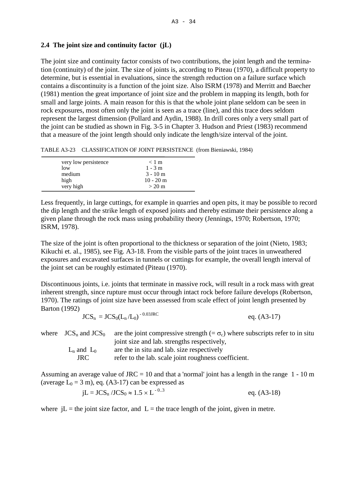## **2.4 The joint size and continuity factor (jL)**

The joint size and continuity factor consists of two contributions, the joint length and the termination (continuity) of the joint. The size of joints is, according to Piteau (1970), a difficult property to determine, but is essential in evaluations, since the strength reduction on a failure surface which contains a discontinuity is a function of the joint size. Also ISRM (1978) and Merritt and Baecher (1981) mention the great importance of joint size and the problem in mapping its length, both for small and large joints. A main reason for this is that the whole joint plane seldom can be seen in rock exposures, most often only the joint is seen as a trace (line), and this trace does seldom represent the largest dimension (Pollard and Aydin, 1988). In drill cores only a very small part of the joint can be studied as shown in Fig. 3-5 in Chapter 3. Hudson and Priest (1983) recommend that a measure of the joint length should only indicate the length/size interval of the joint.

TABLE A3-23 CLASSIFICATION OF JOINT PERSISTENCE (from Bieniawski, 1984)

| very low persistence | $< 1$ m     |
|----------------------|-------------|
| low                  | $1 - 3$ m   |
| medium               | $3 - 10$ m  |
| high                 | $10 - 20$ m |
| very high            | $>$ 20 m    |

Less frequently, in large cuttings, for example in quarries and open pits, it may be possible to record the dip length and the strike length of exposed joints and thereby estimate their persistence along a given plane through the rock mass using probability theory (Jennings, 1970; Robertson, 1970; ISRM, 1978).

The size of the joint is often proportional to the thickness or separation of the joint (Nieto, 1983; Kikuchi et. al., 1985), see Fig. A3-18. From the visible parts of the joint traces in unweathered exposures and excavated surfaces in tunnels or cuttings for example, the overall length interval of the joint set can be roughly estimated (Piteau (1970).

Discontinuous joints, i.e. joints that terminate in massive rock, will result in a rock mass with great inherent strength, since rupture must occur through intact rock before failure develops (Robertson, 1970). The ratings of joint size have been assessed from scale effect of joint length presented by Barton (1992)

$$
JCS_n = JCS_0(L_n/L_0)^{-0.03\text{JRC}} \qquad \text{eq. (A3-17)}
$$

| where $\text{JCS}_n$ and $\text{JCS}_0$ | are the joint compressive strength $(=\sigma_c)$ where subscripts refer to in situ |
|-----------------------------------------|------------------------------------------------------------------------------------|
|                                         | joint size and lab. strengths respectively,                                        |
| $L_n$ and $L_0$                         | are the in situ and lab. size respectively                                         |
| JRC.                                    | refer to the lab. scale joint roughness coefficient.                               |

Assuming an average value of  $JRC = 10$  and that a 'normal' joint has a length in the range  $1 - 10$  m (average  $L_0 = 3$  m), eq. (A3-17) can be expressed as

$$
jL = JCS_n / JCS_0 \approx 1.5 \times L^{-0.3}
$$
 eq. (A3-18)

where  $iL$  = the joint size factor, and  $L$  = the trace length of the joint, given in metre.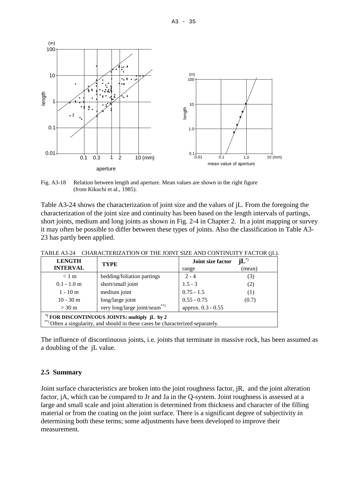

Fig. A3-18 Relation between length and aperture. Mean values are shown in the right figure (from Kikuchi et al., 1985).

Table A3-24 shows the characterization of joint size and the values of jL. From the foregoing the characterization of the joint size and continuity has been based on the length intervals of partings, short joints, medium and long joints as shown in Fig. 2-4 in Chapter 2. In a joint mapping or survey it may often be possible to differ between these types of joints. Also the classification in Table A3- 23 has partly been applied.

| <b>LENGTH</b>                                                                   | <b>TYPE</b>                | $\mathrm{jL}^*$<br>Joint size factor |        |  |  |
|---------------------------------------------------------------------------------|----------------------------|--------------------------------------|--------|--|--|
| <b>INTERVAL</b>                                                                 |                            | range                                | (mean) |  |  |
| $< 1 \text{ m}$                                                                 | bedding/foliation partings | $2 - 4$                              | (3)    |  |  |
| $0.1 - 1.0$ m                                                                   | short/small joint          | $1.5 - 3$                            | (2)    |  |  |
| $1 - 10$ m                                                                      | medium joint               | $0.75 - 1.5$                         | (1)    |  |  |
| $10 - 30$ m                                                                     | long/large joint           | $0.55 - 0.75$                        | (0.7)  |  |  |
| very long/large joint/seam**)<br>$> 30 \text{ m}$                               |                            | approx. 0.3 - 0.55                   |        |  |  |
| *) FOR DISCONTINUOUS JOINTS: multiply jL by 2                                   |                            |                                      |        |  |  |
| **) Often a singularity, and should in these cases be characterized separately. |                            |                                      |        |  |  |

TABLE A3-24 CHARACTERIZATION OF THE JOINT SIZE AND CONTINUITY FACTOR (jL).

The influence of discontinuous joints, i.e. joints that terminate in massive rock, has been assumed as a doubling of the jL value.

# **2.5 Summary**

Joint surface characteristics are broken into the joint roughness factor, jR, and the joint alteration factor, jA, which can be compared to Jr and Ja in the Q-system. Joint roughness is assessed at a large and small scale and joint alteration is determined from thickness and character of the filling material or from the coating on the joint surface. There is a significant degree of subjectivity in determining both these terms; some adjustments have been developed to improve their measurement.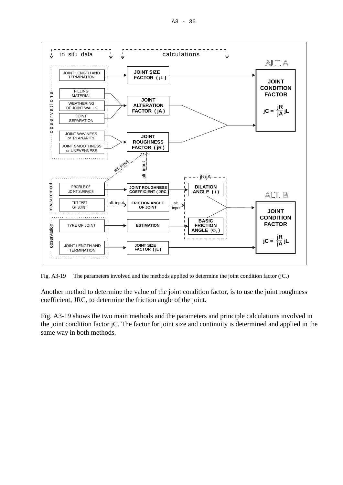

Fig. A3-19 The parameters involved and the methods applied to determine the joint condition factor (jC.)

Another method to determine the value of the joint condition factor, is to use the joint roughness coefficient, JRC, to determine the friction angle of the joint.

Fig. A3-19 shows the two main methods and the parameters and principle calculations involved in the joint condition factor jC. The factor for joint size and continuity is determined and applied in the same way in both methods.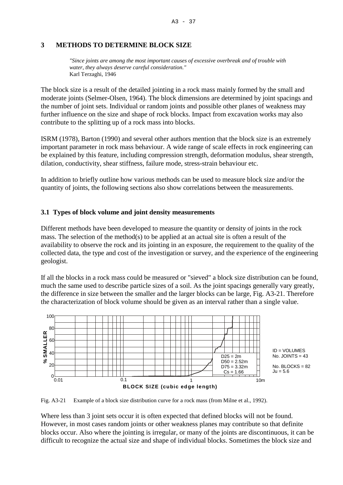## **3 METHODS TO DETERMINE BLOCK SIZE**

*"Since joints are among the most important causes of excessive overbreak and of trouble with water, they always deserve careful consideration."*  Karl Terzaghi, 1946

The block size is a result of the detailed jointing in a rock mass mainly formed by the small and moderate joints (Selmer-Olsen, 1964). The block dimensions are determined by joint spacings and the number of joint sets. Individual or random joints and possible other planes of weakness may further influence on the size and shape of rock blocks. Impact from excavation works may also contribute to the splitting up of a rock mass into blocks.

ISRM (1978), Barton (1990) and several other authors mention that the block size is an extremely important parameter in rock mass behaviour. A wide range of scale effects in rock engineering can be explained by this feature, including compression strength, deformation modulus, shear strength, dilation, conductivity, shear stiffness, failure mode, stress-strain behaviour etc.

In addition to briefly outline how various methods can be used to measure block size and/or the quantity of joints, the following sections also show correlations between the measurements.

## **3.1 Types of block volume and joint density measurements**

Different methods have been developed to measure the quantity or density of joints in the rock mass. The selection of the method(s) to be applied at an actual site is often a result of the availability to observe the rock and its jointing in an exposure, the requirement to the quality of the collected data, the type and cost of the investigation or survey, and the experience of the engineering geologist.

If all the blocks in a rock mass could be measured or "sieved" a block size distribution can be found, much the same used to describe particle sizes of a soil. As the joint spacings generally vary greatly, the difference in size between the smaller and the larger blocks can be large, Fig. A3-21. Therefore the characterization of block volume should be given as an interval rather than a single value.



Fig. A3-21 Example of a block size distribution curve for a rock mass (from Milne et al., 1992).

Where less than 3 joint sets occur it is often expected that defined blocks will not be found. However, in most cases random joints or other weakness planes may contribute so that definite blocks occur. Also where the jointing is irregular, or many of the joints are discontinuous, it can be difficult to recognize the actual size and shape of individual blocks. Sometimes the block size and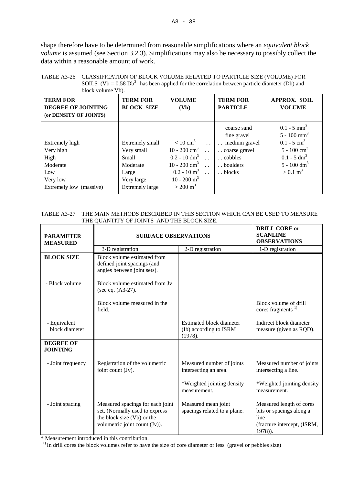shape therefore have to be determined from reasonable simplifications where an *equivalent block volume* is assumed (see Section 3.2.3). Simplifications may also be necessary to possibly collect the data within a reasonable amount of work.

| block volume Vb).                                                                             |                                                                                                            |                                                                                                                                                                                     |                      |                                                                                               |                                                                                                                                                                                       |  |  |
|-----------------------------------------------------------------------------------------------|------------------------------------------------------------------------------------------------------------|-------------------------------------------------------------------------------------------------------------------------------------------------------------------------------------|----------------------|-----------------------------------------------------------------------------------------------|---------------------------------------------------------------------------------------------------------------------------------------------------------------------------------------|--|--|
| <b>TERM FOR</b><br><b>DEGREE OF JOINTING</b><br>(or DENSITY OF JOINTS)                        | <b>TERM FOR</b><br><b>BLOCK SIZE</b>                                                                       | <b>VOLUME</b><br>(Vb)                                                                                                                                                               |                      | <b>TERM FOR</b><br><b>PARTICLE</b>                                                            | <b>APPROX. SOIL</b><br><b>VOLUME</b>                                                                                                                                                  |  |  |
| Extremely high<br>Very high<br>High<br>Moderate<br>Low<br>Very low<br>Extremely low (massive) | Extremely small<br>Very small<br><b>Small</b><br>Moderate<br>Large<br>Very large<br><b>Extremely large</b> | $< 10 \text{ cm}^3$<br>10 - 200 $\text{cm}^3$<br>$0.2 - 10$ dm <sup>3</sup><br>10 - 200 $\rm{dm}^{3}$<br>$0.2 - 10 \text{ m}^3$<br>$10 - 200$ m <sup>3</sup><br>$> 200 \text{ m}^3$ | $\ddot{\phantom{a}}$ | coarse sand<br>fine gravel<br>medium gravel<br>coarse gravel<br>cobbles<br>boulders<br>blocks | $0.1 - 5$ mm <sup>3</sup><br>$5 - 100$ mm <sup>3</sup><br>$0.1 - 5$ cm <sup>3</sup><br>$5 - 100$ cm <sup>3</sup><br>$0.1 - 5 dm3$<br>$5 - 100$ dm <sup>3</sup><br>$> 0.1 \text{ m}^3$ |  |  |

# TABLE A3-26 CLASSIFICATION OF BLOCK VOLUME RELATED TO PARTICLE SIZE (VOLUME) FOR SOILS (Vb =  $0.58 \text{ Db}^3$  has been applied for the correlation between particle diameter (Db) and

#### TABLE A3-27 THE MAIN METHODS DESCRIBED IN THIS SECTION WHICH CAN BE USED TO MEASURE THE QUANTITY OF JOINTS AND THE BLOCK SIZE.

| <b>PARAMETER</b><br><b>MEASURED</b> | <b>SURFACE OBSERVATIONS</b>                                                                                                       | <b>DRILL CORE or</b><br><b>SCANLINE</b><br><b>OBSERVATIONS</b>       |                                                                                                        |
|-------------------------------------|-----------------------------------------------------------------------------------------------------------------------------------|----------------------------------------------------------------------|--------------------------------------------------------------------------------------------------------|
|                                     | 3-D registration                                                                                                                  | 2-D registration                                                     | 1-D registration                                                                                       |
| <b>BLOCK SIZE</b>                   | Block volume estimated from<br>defined joint spacings (and<br>angles between joint sets).                                         |                                                                      |                                                                                                        |
| - Block volume                      | Block volume estimated from Jv<br>(see eq. (A3-27).                                                                               |                                                                      |                                                                                                        |
|                                     | Block volume measured in the<br>field.                                                                                            |                                                                      | Block volume of drill<br>cores fragments $^{1}$ .                                                      |
| - Equivalent<br>block diameter      |                                                                                                                                   | <b>Estimated block diameter</b><br>(Ib) according to ISRM<br>(1978). | Indirect block diameter<br>measure (given as RQD).                                                     |
| <b>DEGREE OF</b><br><b>JOINTING</b> |                                                                                                                                   |                                                                      |                                                                                                        |
| - Joint frequency                   | Registration of the volumetric<br>joint count (Jv).                                                                               | Measured number of joints<br>intersecting an area.                   | Measured number of joints<br>intersecting a line.                                                      |
|                                     |                                                                                                                                   | *Weighted jointing density<br>measurement.                           | *Weighted jointing density<br>measurement.                                                             |
| - Joint spacing                     | Measured spacings for each joint<br>set. (Normally used to express<br>the block size (Vb) or the<br>volumetric joint count (Jv)). | Measured mean joint<br>spacings related to a plane.                  | Measured length of cores<br>bits or spacings along a<br>line<br>(fracture intercept, (ISRM,<br>1978)). |

\* Measurement introduced in this contribution.

<sup>1)</sup> In drill cores the block volumes refer to have the size of core diameter or less (gravel or pebbles size)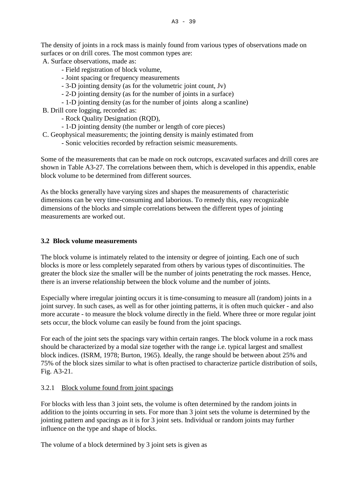The density of joints in a rock mass is mainly found from various types of observations made on surfaces or on drill cores. The most common types are:

A. Surface observations, made as:

- Field registration of block volume,
- Joint spacing or frequency measurements
- 3-D jointing density (as for the volumetric joint count, Jv)
- 2-D jointing density (as for the number of joints in a surface)
- 1-D jointing density (as for the number of joints along a scanline)

B. Drill core logging, recorded as:

- Rock Quality Designation (RQD),
- 1-D jointing density (the number or length of core pieces)
- C. Geophysical measurements; the jointing density is mainly estimated from
	- Sonic velocities recorded by refraction seismic measurements.

Some of the measurements that can be made on rock outcrops, excavated surfaces and drill cores are shown in Table A3-27. The correlations between them, which is developed in this appendix, enable block volume to be determined from different sources.

As the blocks generally have varying sizes and shapes the measurements of characteristic dimensions can be very time-consuming and laborious. To remedy this, easy recognizable dimensions of the blocks and simple correlations between the different types of jointing measurements are worked out.

## **3.2 Block volume measurements**

The block volume is intimately related to the intensity or degree of jointing. Each one of such blocks is more or less completely separated from others by various types of discontinuities. The greater the block size the smaller will be the number of joints penetrating the rock masses. Hence, there is an inverse relationship between the block volume and the number of joints.

Especially where irregular jointing occurs it is time-consuming to measure all (random) joints in a joint survey. In such cases, as well as for other jointing patterns, it is often much quicker - and also more accurate - to measure the block volume directly in the field. Where three or more regular joint sets occur, the block volume can easily be found from the joint spacings.

For each of the joint sets the spacings vary within certain ranges. The block volume in a rock mass should be characterized by a modal size together with the range i.e. typical largest and smallest block indices. (ISRM, 1978; Burton, 1965). Ideally, the range should be between about 25% and 75% of the block sizes similar to what is often practised to characterize particle distribution of soils, Fig. A3-21.

## 3.2.1 Block volume found from joint spacings

For blocks with less than 3 joint sets, the volume is often determined by the random joints in addition to the joints occurring in sets. For more than 3 joint sets the volume is determined by the jointing pattern and spacings as it is for 3 joint sets. Individual or random joints may further influence on the type and shape of blocks.

The volume of a block determined by 3 joint sets is given as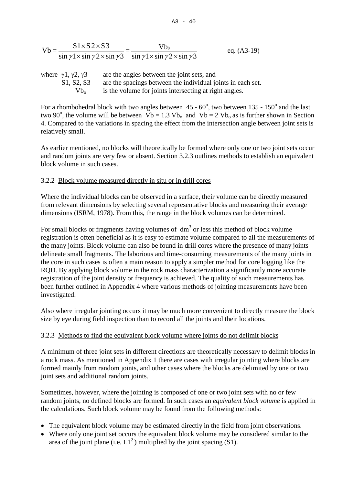$$
Vb = \frac{S1 \times S2 \times S3}{\sin \gamma 1 \times \sin \gamma 2 \times \sin \gamma 3} = \frac{Vb_0}{\sin \gamma 1 \times \sin \gamma 2 \times \sin \gamma 3}
$$
 eq. (A3-19)

| where $\gamma$ 1, $\gamma$ 2, $\gamma$ 3         | are the angles between the joint sets, and                  |
|--------------------------------------------------|-------------------------------------------------------------|
| S <sub>1</sub> , S <sub>2</sub> , S <sub>3</sub> | are the spacings between the individual joints in each set. |
| $Vb_{0}$                                         | is the volume for joints intersecting at right angles.      |

For a rhombohedral block with two angles between  $45 - 60^{\circ}$ , two between  $135 - 150^{\circ}$  and the last two 90<sup>o</sup>, the volume will be between  $\overline{V}b = 1.3 \text{ Vb}_0$  and  $\overline{V}b = 2 \text{ Vb}_0$  as is further shown in Section 4. Compared to the variations in spacing the effect from the intersection angle between joint sets is relatively small.

As earlier mentioned, no blocks will theoretically be formed where only one or two joint sets occur and random joints are very few or absent. Section 3.2.3 outlines methods to establish an equivalent block volume in such cases.

# 3.2.2 Block volume measured directly in situ or in drill cores

Where the individual blocks can be observed in a surface, their volume can be directly measured from relevant dimensions by selecting several representative blocks and measuring their average dimensions (ISRM, 1978). From this, the range in the block volumes can be determined.

For small blocks or fragments having volumes of  $dm<sup>3</sup>$  or less this method of block volume registration is often beneficial as it is easy to estimate volume compared to all the measurements of the many joints. Block volume can also be found in drill cores where the presence of many joints delineate small fragments. The laborious and time-consuming measurements of the many joints in the core in such cases is often a main reason to apply a simpler method for core logging like the RQD. By applying block volume in the rock mass characterization a significantly more accurate registration of the joint density or frequency is achieved. The quality of such measurements has been further outlined in Appendix 4 where various methods of jointing measurements have been investigated.

Also where irregular jointing occurs it may be much more convenient to directly measure the block size by eye during field inspection than to record all the joints and their locations.

# 3.2.3 Methods to find the equivalent block volume where joints do not delimit blocks

A minimum of three joint sets in different directions are theoretically necessary to delimit blocks in a rock mass. As mentioned in Appendix 1 there are cases with irregular jointing where blocks are formed mainly from random joints, and other cases where the blocks are delimited by one or two joint sets and additional random joints.

Sometimes, however, where the jointing is composed of one or two joint sets with no or few random joints, no defined blocks are formed. In such cases an *equivalent block volume* is applied in the calculations. Such block volume may be found from the following methods:

- The equivalent block volume may be estimated directly in the field from joint observations.
- Where only one joint set occurs the equivalent block volume may be considered similar to the area of the joint plane (i.e.  $LI^2$ ) multiplied by the joint spacing (S1).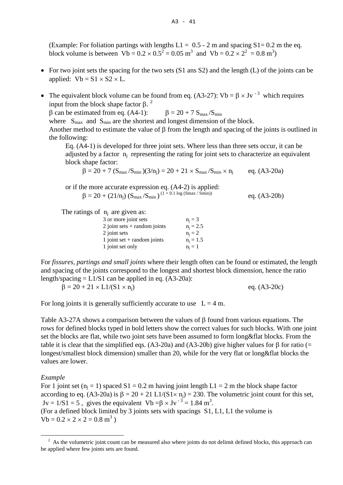(Example: For foliation partings with lengths  $L1 = 0.5 - 2$  m and spacing  $S1 = 0.2$  m the eq. block volume is between  $Vb = 0.2 \times 0.5^2 = 0.05$  m<sup>3</sup> and  $Vb = 0.2 \times 2^2 = 0.8$  m<sup>3</sup>)

- For two joint sets the spacing for the two sets (S1 ans S2) and the length (L) of the joints can be applied:  $Vb = S1 \times S2 \times L$ .
- The equivalent block volume can be found from eq. (A3-27):  $Vb = \beta \times Jv^{-3}$  which requires input from the block shape factor β.  $<sup>2</sup>$  $<sup>2</sup>$  $<sup>2</sup>$ </sup> β can be estimated from eq. (A4-1):  $β = 20 + 7 S<sub>max</sub>/S<sub>min</sub>$ where  $S_{\text{max}}$  and  $S_{\text{min}}$  are the shortest and longest dimension of the block. Another method to estimate the value of β from the length and spacing of the joints is outlined in the following:

Eq. (A4-1) is developed for three joint sets. Where less than three sets occur, it can be adjusted by a factor  $n_i$  representing the rating for joint sets to characterize an equivalent block shape factor:

$$
\beta = 20 + 7 \; (S_{max}/S_{min}) (3/n_j) = 20 + 21 \times S_{max}/S_{min} \times n_j \qquad \ \ eq. \; (A3-20a)
$$

or if the more accurate expression eq. (A4-2) is applied:

$$
\beta = 20 + (21/n_j) (S_{\text{max}}/S_{\text{min}})^{(1+0.1 \text{ log}(S_{\text{max}}/S_{\text{min}}))} \qquad \text{eq. (A3-20b)}
$$

The ratings of  $n_i$  are given as:

| 3 or more joint sets           | $n_i = 3$   |
|--------------------------------|-------------|
| 2 joint sets $+$ random joints | $n_i = 2.5$ |
| 2 joint sets                   | $n_i = 2$   |
| 1 joint set $+$ random joints  | $n_i = 1.5$ |
| 1 joint set only               | $n_i = 1$   |
|                                |             |

For *fissures, partings and small joints* where their length often can be found or estimated, the length and spacing of the joints correspond to the longest and shortest block dimension, hence the ratio length/spacing  $= L1/S1$  can be applied in eq. (A3-20a):

 $\beta = 20 + 21 \times L1/(S1 \times n_i)$  eq. (A3-20c)

For long joints it is generally sufficiently accurate to use  $L = 4$  m.

Table A3-27A shows a comparison between the values of β found from various equations. The rows for defined blocks typed in bold letters show the correct values for such blocks. With one joint set the blocks are flat, while two joint sets have been assumed to form long&flat blocks. From the table it is clear that the simplified eqs. (A3-20a) and (A3-20b) give higher values for β for ratio (= longest/smallest block dimension) smaller than 20, while for the very flat or long&flat blocks the values are lower.

#### *Example*

For 1 joint set ( $n_i = 1$ ) spaced S1 = 0.2 m having joint length L1 = 2 m the block shape factor according to eq. (A3-20a) is  $\beta = 20 + 21 \text{ L}1/(\text{S}1 \times \text{n}) = 230$ . The volumetric joint count for this set,  $Jv = 1/S1 = 5$ , gives the equivalent  $Vb = \beta \times Jv^{-3} = 1.84 \text{ m}^3$ . (For a defined block limited by 3 joints sets with spacings S1, L1, L1 the volume is  $Vb = 0.2 \times 2 \times 2 = 0.8$  m<sup>3</sup>)

<span id="page-40-0"></span><sup>—</sup> <sup>2</sup> As the volumetric joint count can be measured also where joints do not delimit defined blocks, this approach can be applied where few joints sets are found.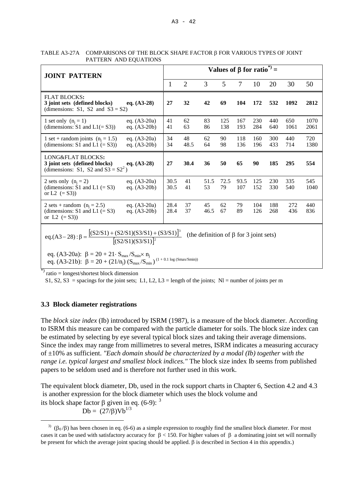| <b>JOINT PATTERN</b>                                                                                                                                       |                                  | Values of $\beta$ for ratio <sup>*</sup> ) = |                |            |            |             |            |            |             |              |
|------------------------------------------------------------------------------------------------------------------------------------------------------------|----------------------------------|----------------------------------------------|----------------|------------|------------|-------------|------------|------------|-------------|--------------|
|                                                                                                                                                            |                                  | 1                                            | $\overline{2}$ | 3          | 5          | 7           | 10         | 20         | 30          | 50           |
| <b>FLAT BLOCKS:</b><br>3 joint sets (defined blocks)<br>(dimensions: S1, S2 and $S3 = S2$ )                                                                | eq. $(A3-28)$                    | 27                                           | 32             | 42         | 69         | 104         | 172        | 532        | 1092        | 2812         |
| 1 set only $(n_i = 1)$<br>(dimensions: $S1$ and $L1(=S3)$ )                                                                                                | eq. $(A3-20a)$<br>eq. $(A3-20b)$ | 41<br>41                                     | 62<br>63       | 83<br>86   | 125<br>138 | 167<br>193  | 230<br>284 | 440<br>640 | 650<br>1061 | 1070<br>2061 |
| 1 set + random joints $(n_i = 1.5)$<br>(dimensions: S1 and L1 $(= S3)$ )                                                                                   | eq. $(A3-20a)$<br>eq. $(A3-20b)$ | 34<br>34                                     | 48<br>48.5     | 62<br>64   | 90<br>98   | 118<br>136  | 160<br>196 | 300<br>433 | 440<br>714  | 720<br>1380  |
| <b>LONG&amp;FLAT BLOCKS:</b><br>3 joint sets (defined blocks)<br>(dimensions: S1, S2 and $S3 = S2^2$ )                                                     | eq. $(A3-28)$                    | 27                                           | 30.4           | 36         | 50         | 65          | 90         | 185        | 295         | 554          |
| 2 sets only $(n_i = 2)$<br>(dimensions: $\tilde{S}1$ and $L1$ (= S3)<br>or L2 $(= S3)$ )                                                                   | eq. $(A3-20a)$<br>eq. $(A3-20b)$ | 30.5<br>30.5                                 | 41<br>41       | 51.5<br>53 | 72.5<br>79 | 93.5<br>107 | 125<br>152 | 230<br>330 | 335<br>540  | 545<br>1040  |
| 2 sets + random $(n_i = 2.5)$<br>(dimensions: $S1$ and $L1$ (= S3)<br>or L2 $(= S3)$ )                                                                     | eq. $(A3-20a)$<br>eq. $(A3-20b)$ | 28.4<br>28.4                                 | 37<br>37       | 45<br>46.5 | 62<br>67   | 79<br>89    | 104<br>126 | 188<br>268 | 272<br>436  | 440<br>836   |
| eq.(A3 – 28) : β = $\frac{[(S2/S1) + (S2/S1)(S3/S1) + (S3/S1)]^3}{[(S2/S1)(S3/S1)]^2}$<br>(the definition of $\beta$ for 3 joint sets)                     |                                  |                                              |                |            |            |             |            |            |             |              |
| eq. (A3-20a): $\beta = 20 + 21 \cdot S_{max}/S_{min} \times n_j$<br>$(1 + 0.1 \log(Smax/Smin))$<br>eq. (A3-21b): $\beta = 20 + (21/n_i) (S_{max}/S_{min})$ |                                  |                                              |                |            |            |             |            |            |             |              |

TABLE A3-27A COMPARISONS OF THE BLOCK SHAPE FACTOR β FOR VARIOUS TYPES OF JOINT PATTERN AND EQUATIONS

\*) ratio = longest/shortest block dimension

S1, S2, S3 = spacings for the joint sets; L1, L2, L3 = length of the joints; Nl = number of joints per m

## **3.3 Block diameter registrations**

The *block size index* (Ib) introduced by ISRM (1987), is a measure of the block diameter. According to ISRM this measure can be compared with the particle diameter for soils. The block size index can be estimated by selecting by eye several typical block sizes and taking their average dimensions. Since the index may range from millimetres to several metres, ISRM indicates a measuring accuracy of ±10% as sufficient. *"Each domain should be characterized by a modal (Ib) together with the range i.e. typical largest and smallest block indices."* The block size index Ib seems from published papers to be seldom used and is therefore not further used in this work.

The equivalent block diameter, Db, used in the rock support charts in Chapter 6, Section 4.2 and 4.3 is another expression for the block diameter which uses the block volume and its block shape factor β given in eq. (6-9): <sup>[3](#page-41-0)</sup>

 $Db = (27/8) Vb^{1/3}$ 

<span id="page-41-0"></span><sup>—</sup> <sup>3)</sup> ( $\beta_0/\beta$ ) has been chosen in eq. (6-6) as a simple expression to roughly find the smallest block diameter. For most cases it can be used with satisfactory accuracy for  $\beta$  < 150. For higher values of  $\beta$  a dominating joint set will normally be present for which the average joint spacing should be applied. β is described in Section 4 in this appendix.)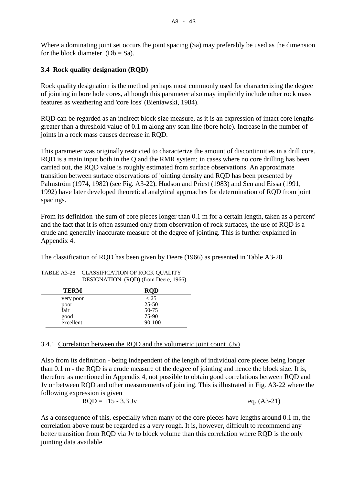Where a dominating joint set occurs the joint spacing (Sa) may preferably be used as the dimension for the block diameter  $(Db = Sa)$ .

# **3.4 Rock quality designation (RQD)**

Rock quality designation is the method perhaps most commonly used for characterizing the degree of jointing in bore hole cores, although this parameter also may implicitly include other rock mass features as weathering and 'core loss' (Bieniawski, 1984).

RQD can be regarded as an indirect block size measure, as it is an expression of intact core lengths greater than a threshold value of 0.1 m along any scan line (bore hole). Increase in the number of joints in a rock mass causes decrease in RQD.

This parameter was originally restricted to characterize the amount of discontinuities in a drill core. RQD is a main input both in the Q and the RMR system; in cases where no core drilling has been carried out, the RQD value is roughly estimated from surface observations. An approximate transition between surface observations of jointing density and RQD has been presented by Palmström (1974, 1982) (see Fig. A3-22). Hudson and Priest (1983) and Sen and Eissa (1991, 1992) have later developed theoretical analytical approaches for determination of RQD from joint spacings.

From its definition 'the sum of core pieces longer than 0.1 m for a certain length, taken as a percent' and the fact that it is often assumed only from observation of rock surfaces, the use of RQD is a crude and generally inaccurate measure of the degree of jointing. This is further explained in Appendix 4.

The classification of RQD has been given by Deere (1966) as presented in Table A3-28.

|             | $2220101111011$ $(1192)$ $(11011120010, 1200)$ |
|-------------|------------------------------------------------|
| <b>TERM</b> | <b>RQD</b>                                     |
| very poor   | < 25                                           |
| poor        | $25 - 50$                                      |
| fair        | 50-75                                          |
| good        | 75-90                                          |
| excellent   | 90-100                                         |

| TABLE A3-28 CLASSIFICATION OF ROCK QUALITY |
|--------------------------------------------|
| DESIGNATION (RQD) (from Deere, 1966).      |

## 3.4.1 Correlation between the RQD and the volumetric joint count (Jv)

Also from its definition - being independent of the length of individual core pieces being longer than 0.1 m - the RQD is a crude measure of the degree of jointing and hence the block size. It is, therefore as mentioned in Appendix 4, not possible to obtain good correlations between RQD and Jv or between RQD and other measurements of jointing. This is illustrated in Fig. A3-22 where the following expression is given

| $RQD = 115 - 3.3$ Jy | eq. $(A3-21)$ |
|----------------------|---------------|
|----------------------|---------------|

As a consequence of this, especially when many of the core pieces have lengths around 0.1 m, the correlation above must be regarded as a very rough. It is, however, difficult to recommend any better transition from RQD via Jv to block volume than this correlation where RQD is the only jointing data available.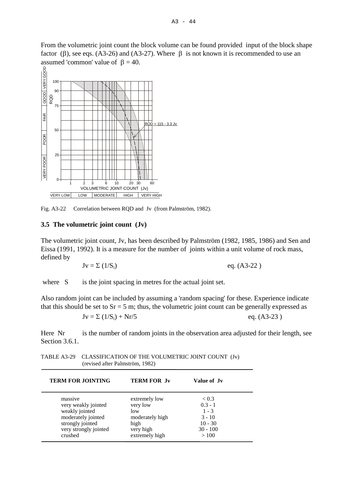From the volumetric joint count the block volume can be found provided input of the block shape factor (β), see eqs. (A3-26) and (A3-27). Where  $\beta$  is not known it is recommended to use an assumed 'common' value of  $β = 40$ .



Fig. A3-22 Correlation between RQD and Jv (from Palmström, 1982).

#### **3.5 The volumetric joint count (Jv)**

The volumetric joint count, Jv, has been described by Palmström (1982, 1985, 1986) and Sen and Eissa (1991, 1992). It is a measure for the number of joints within a unit volume of rock mass, defined by

$$
Jv = \Sigma (1/S_i) \qquad \qquad \text{eq. (A3-22)}
$$

where S is the joint spacing in metres for the actual joint set.

Also random joint can be included by assuming a 'random spacing' for these. Experience indicate that this should be set to  $Sr = 5$  m; thus, the volumetric joint count can be generally expressed as

$$
Jv = \sum (1/S_i) + Nr/5
$$
eq. (A3-23)

Here Nr is the number of random joints in the observation area adjusted for their length, see Section 3.6.1.

| TABLE A3-29 CLASSIFICATION OF THE VOLUMETRIC JOINT COUNT (Jv) |  |
|---------------------------------------------------------------|--|
| (revised after Palmström, 1982)                               |  |

| <b>TERM FOR JOINTING</b> | <b>TERM FOR Jv</b> | Value of Jy |  |
|--------------------------|--------------------|-------------|--|
| massive                  | extremely low      | < 0.3       |  |
| very weakly jointed      | very low           | $0.3 - 1$   |  |
| weakly jointed           | low                | $1 - 3$     |  |
| moderately jointed       | moderately high    | $3 - 10$    |  |
| strongly jointed         | high               | $10 - 30$   |  |
| very strongly jointed    | very high          | $30 - 100$  |  |
| crushed                  | extremely high     | >100        |  |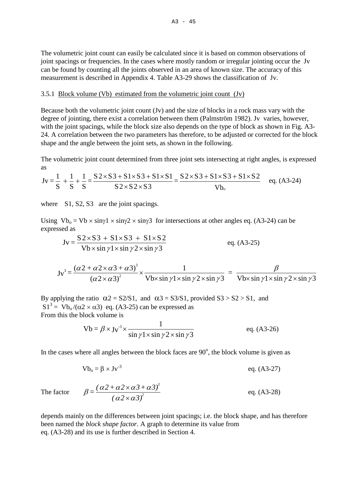The volumetric joint count can easily be calculated since it is based on common observations of joint spacings or frequencies. In the cases where mostly random or irregular jointing occur the Jv can be found by counting all the joints observed in an area of known size. The accuracy of this measurement is described in Appendix 4. Table A3-29 shows the classification of Jv.

#### 3.5.1 Block volume (Vb) estimated from the volumetric joint count (Jv)

Because both the volumetric joint count (Jv) and the size of blocks in a rock mass vary with the degree of jointing, there exist a correlation between them (Palmström 1982). Jv varies, however, with the joint spacings, while the block size also depends on the type of block as shown in Fig. A3- 24. A correlation between the two parameters has therefore, to be adjusted or corrected for the block shape and the angle between the joint sets, as shown in the following.

The volumetric joint count determined from three joint sets intersecting at right angles, is expressed as

$$
Jv = \frac{1}{S} + \frac{1}{S} + \frac{1}{S} = \frac{S2 \times S3 + S1 \times S3 + S1 \times S1}{S2 \times S2 \times S3} = \frac{S2 \times S3 + S1 \times S3 + S1 \times S2}{Vb_{o}} \quad \text{eq. (A3-24)}
$$

where S1, S2, S3 are the joint spacings.

Using  $Vb_0 = Vb \times \sin(1 \times \sin(2 \times \sin(3))$  for intersections at other angles eq. (A3-24) can be expressed as

$$
Jv = \frac{S2 \times S3 + S1 \times S3 + S1 \times S2}{Vb \times \sin \gamma 1 \times \sin \gamma 2 \times \sin \gamma 3}
$$
 eq. (A3-25)

$$
Jv^{3} = \frac{(\alpha 2 + \alpha 2 \times \alpha 3 + \alpha 3)^{3}}{(\alpha 2 \times \alpha 3)^{2}} \times \frac{1}{\text{Vb} \times \sin \gamma 1 \times \sin \gamma 2 \times \sin \gamma 3} = \frac{\beta}{\text{Vb} \times \sin \gamma 1 \times \sin \gamma 2 \times \sin \gamma 3}
$$

By applying the ratio  $\alpha$ 2 = S2/S1, and  $\alpha$ 3 = S3/S1, provided S3 > S2 > S1, and  $S1^3 = Vb_0/(\alpha 2 \times \alpha 3)$  eq. (A3-25) can be expressed as From this the block volume is

$$
Vb = \beta \times Jv^{-3} \times \frac{1}{\sin \gamma 1 \times \sin \gamma 2 \times \sin \gamma 3}
$$
eq. (A3-26)

In the cases where all angles between the block faces are  $90^\circ$ , the block volume is given as

$$
Vb_o = \beta \times Jv^{-3}
$$
 eq. (A3-27)

The factor

$$
\beta = \frac{(\alpha 2 + \alpha 2 \times \alpha 3 + \alpha 3)^3}{(\alpha 2 \times \alpha 3)^2}
$$
 eq. (A3-28)

depends mainly on the differences between joint spacings; i.e. the block shape, and has therefore been named the *block shape factor*. A graph to determine its value from eq. (A3-28) and its use is further described in Section 4.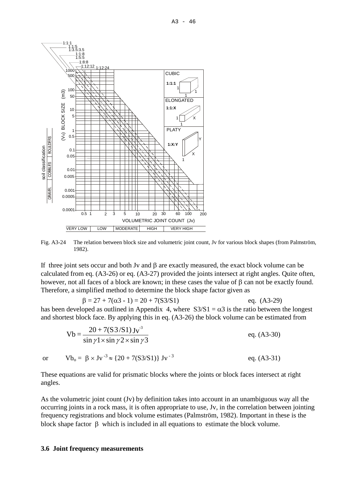

Fig. A3-24 The relation between block size and volumetric joint count, Jv for various block shapes (from Palmström, 1982).

If three joint sets occur and both Jv and  $\beta$  are exactly measured, the exact block volume can be calculated from eq. (A3-26) or eq. (A3-27) provided the joints intersect at right angles. Quite often, however, not all faces of a block are known; in these cases the value of β can not be exactly found. Therefore, a simplified method to determine the block shape factor given as

 $\beta = 27 + 7(\alpha 3 - 1) = 20 + 7(S3/S1)$  eq. (A3-29) has been developed as outlined in Appendix 4, where  $S3/S1 = \alpha 3$  is the ratio between the longest and shortest block face. By applying this in eq. (A3-26) the block volume can be estimated from

$$
Vb = \frac{20 + 7(53/51) \text{ J} \text{v}^3}{\sin \gamma 1 \times \sin \gamma 2 \times \sin \gamma 3}
$$
eq. (A3-30)

or  $Vb_0 = \beta \times Jv^{-3} \approx \{20 + 7(S3/S1)\} Jv^{-3}$  eq. (A3-31)

These equations are valid for prismatic blocks where the joints or block faces intersect at right angles.

As the volumetric joint count (Jv) by definition takes into account in an unambiguous way all the occurring joints in a rock mass, it is often appropriate to use, Jv, in the correlation between jointing frequency registrations and block volume estimates (Palmström, 1982). Important in these is the block shape factor  $\beta$  which is included in all equations to estimate the block volume.

#### **3.6 Joint frequency measurements**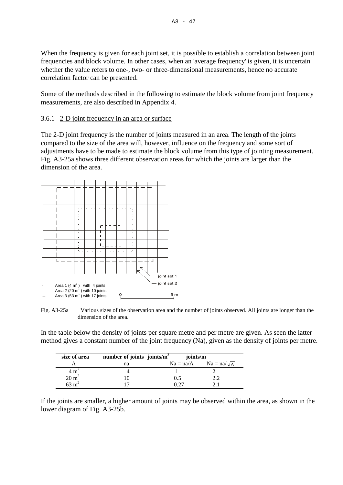When the frequency is given for each joint set, it is possible to establish a correlation between joint frequencies and block volume. In other cases, when an 'average frequency' is given, it is uncertain whether the value refers to one-, two- or three-dimensional measurements, hence no accurate correlation factor can be presented.

Some of the methods described in the following to estimate the block volume from joint frequency measurements, are also described in Appendix 4.

## 3.6.1 2-D joint frequency in an area or surface

The 2-D joint frequency is the number of joints measured in an area. The length of the joints compared to the size of the area will, however, influence on the frequency and some sort of adjustments have to be made to estimate the block volume from this type of jointing measurement. Fig. A3-25a shows three different observation areas for which the joints are larger than the dimension of the area.



Fig. A3-25a Various sizes of the observation area and the number of joints observed. All joints are longer than the dimension of the area.

In the table below the density of joints per square metre and per metre are given. As seen the latter method gives a constant number of the joint frequency (Na), given as the density of joints per metre.

| size of area     | number of joints joints/ $m^2$ | joints/m    |                    |
|------------------|--------------------------------|-------------|--------------------|
|                  | na                             | $Na = na/A$ | $Na = na/\sqrt{A}$ |
| $4 \text{ m}^2$  |                                |             |                    |
| $20 \text{ m}^2$ |                                | (0.5)       |                    |
| 53 m             |                                |             |                    |

If the joints are smaller, a higher amount of joints may be observed within the area, as shown in the lower diagram of Fig. A3-25b.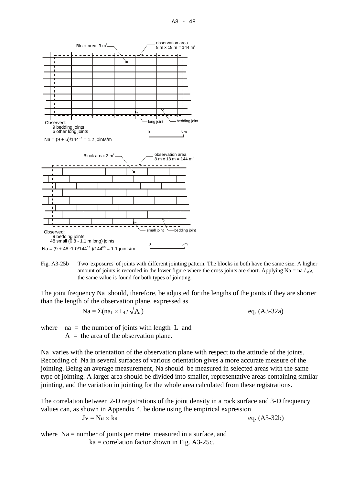

Fig. A3-25b Two 'exposures' of joints with different jointing pattern. The blocks in both have the same size. A higher amount of joints is recorded in the lower figure where the cross joints are short. Applying Na = na  $\sqrt{\mathbf{A}}$ the same value is found for both types of jointing.

The joint frequency Na should, therefore, be adjusted for the lengths of the joints if they are shorter than the length of the observation plane, expressed as

$$
Na = \Sigma(na_i \times L_i/\sqrt{A})
$$

 $eq. (A3-32a)$ 

where  $na =$  the number of joints with length L and  $A =$  the area of the observation plane.

Na varies with the orientation of the observation plane with respect to the attitude of the joints. Recording of Na in several surfaces of various orientation gives a more accurate measure of the jointing. Being an average measurement, Na should be measured in selected areas with the same type of jointing. A larger area should be divided into smaller, representative areas containing similar jointing, and the variation in jointing for the whole area calculated from these registrations.

The correlation between 2-D registrations of the joint density in a rock surface and 3-D frequency values can, as shown in Appendix 4, be done using the empirical expression

$$
v = Na \times ka
$$

 $Jv = Na \times ka$  eq. (A3-32b)

where Na = number of joints per metre measured in a surface, and  $ka = correlation factor shown in Fig. A3-25c.$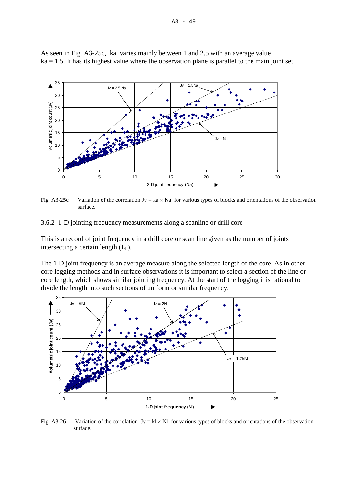

As seen in Fig. A3-25c, ka varies mainly between 1 and 2.5 with an average value  $ka = 1.5$ . It has its highest value where the observation plane is parallel to the main joint set.

Fig. A3-25c Variation of the correlation  $Jv = ka \times Na$  for various types of blocks and orientations of the observation surface.

#### 3.6.2 1-D jointing frequency measurements along a scanline or drill core

This is a record of joint frequency in a drill core or scan line given as the number of joints intersecting a certain length  $(L_1)$ .

The 1-D joint frequency is an average measure along the selected length of the core. As in other core logging methods and in surface observations it is important to select a section of the line or core length, which shows similar jointing frequency. At the start of the logging it is rational to divide the length into such sections of uniform or similar frequency.



Fig. A3-26 Variation of the correlation  $Jv = k \times NI$  for various types of blocks and orientations of the observation surface.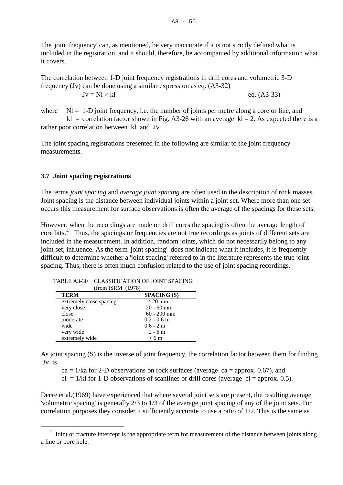The 'joint frequency' can, as mentioned, be very inaccurate if it is not strictly defined what is included in the registration, and it should, therefore, be accompanied by additional information what it covers.

The correlation between 1-D joint frequency registrations in drill cores and volumetric 3-D frequency (Jv) can be done using a similar expression as eq. (A3-32)

 $Jv = Nl \times kl$  eq. (A3-33)

where  $Nl = 1-D$  joint frequency, i.e. the number of joints per metre along a core or line, and kl = correlation factor shown in Fig. A3-26 with an average kl = 2. As expected there is a rather poor correlation between kl and Jv .

The joint spacing registrations presented in the following are similar to the joint frequency measurements.

#### **3.7 Joint spacing registrations**

The terms *joint spacing* and *average joint spacing* are often used in the description of rock masses. Joint spacing is the distance between individual joints within a joint set. Where more than one set occurs this measurement for surface observations is often the average of the spacings for these sets.

However, when the recordings are made on drill cores the spacing is often the average length of core bits.<sup>[4](#page-49-0)</sup> Thus, the spacings or frequencies are not true recordings as joints of different sets are included in the measurement. In addition, random joints, which do not necessarily belong to any joint set, influence. As the term 'joint spacing' does not indicate what it includes, it is frequently difficult to determine whether a 'joint spacing' referred to in the literature represents the true joint spacing. Thus, there is often much confusion related to the use of joint spacing recordings.

| (from ISRM (1978)       |                    |
|-------------------------|--------------------|
| <b>TERM</b>             | <b>SPACING (S)</b> |
| extremely close spacing | $<$ 20 mm          |
| very close              | $20 - 60$ mm       |
| close                   | $60 - 200$ mm      |
| moderate                | $0.2 - 0.6$ m      |
| wide                    | $0.6 - 2 m$        |
| very wide               | $2 - 6m$           |
| extremely wide          | $>6 \text{ m}$     |

TABLE A3-30 CLASSIFICATION OF JOINT SPACING

As joint spacing (S) is the inverse of joint frequency, the correlation factor between them for finding Jv is

 $ca = 1/ka$  for 2-D observations on rock surfaces (average  $ca =$  approx. 0.67), and

 $cl = 1/kl$  for 1-D observations of scanlines or drill cores (average  $cl =$  approx. 0.5).

Deere et al. (1969) have experienced that where several joint sets are present, the resulting average 'volumetric spacing' is generally 2/3 to 1/3 of the average joint spacing of any of the joint sets. For correlation purposes they consider it sufficiently accurate to use a ratio of 1/2. This is the same as

<span id="page-49-0"></span><sup>—</sup> <sup>4</sup> Joint or fracture intercept is the appropriate term for measurement of the distance between joints along a line or bore hole.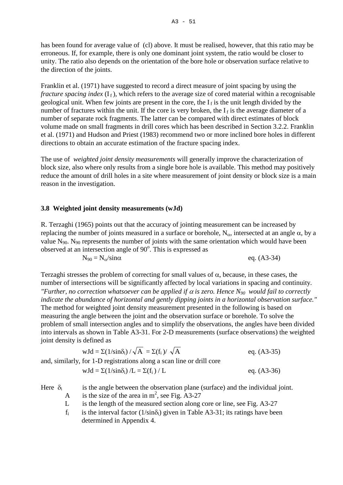has been found for average value of (cl) above. It must be realised, however, that this ratio may be erroneous. If, for example, there is only one dominant joint system, the ratio would be closer to unity. The ratio also depends on the orientation of the bore hole or observation surface relative to the direction of the joints.

Franklin et al. (1971) have suggested to record a direct measure of joint spacing by using the *fracture spacing index*  $(I_f)$ , which refers to the average size of cored material within a recognisable geological unit. When few joints are present in the core, the  $I_f$  is the unit length divided by the number of fractures within the unit. If the core is very broken, the  $I_f$  is the average diameter of a number of separate rock fragments. The latter can be compared with direct estimates of block volume made on small fragments in drill cores which has been described in Section 3.2.2. Franklin et al. (1971) and Hudson and Priest (1983) recommend two or more inclined bore holes in different directions to obtain an accurate estimation of the fracture spacing index.

The use of *weighted joint density measurements* will generally improve the characterization of block size, also where only results from a single bore hole is available. This method may positively reduce the amount of drill holes in a site where measurement of joint density or block size is a main reason in the investigation.

#### **3.8 Weighted joint density measurements (wJd)**

R. Terzaghi (1965) points out that the accuracy of jointing measurement can be increased by replacing the number of joints measured in a surface or borehole,  $N_{\alpha}$ , intersected at an angle α, by a value  $N_{90}$ .  $N_{90}$  represents the number of joints with the same orientation which would have been observed at an intersection angle of 90°. This is expressed as

$$
N_{90} = N_{\alpha}/\sin\alpha
$$
eq. (A3-34)

Terzaghi stresses the problem of correcting for small values of α, because, in these cases, the number of intersections will be significantly affected by local variations in spacing and continuity. *"Further, no correction whatsoever can be applied if*  $\alpha$  *is zero. Hence N<sub>90</sub> would fail to correctly indicate the abundance of horizontal and gently dipping joints in a horizontal observation surface."* The method for weighted joint density measurement presented in the following is based on measuring the angle between the joint and the observation surface or borehole. To solve the problem of small intersection angles and to simplify the observations, the angles have been divided into intervals as shown in Table A3-31. For 2-D measurements (surface observations) the weighted joint density is defined as

$$
wJd = \Sigma(1/\sin\delta_i) / \sqrt{A} = \Sigma(f_i) / \sqrt{A}
$$
 eq. (A3-35)

and, similarly, for 1-D registrations along a scan line or drill core

$$
wJd = \Sigma(1/\sin\delta_i) / L = \Sigma(f_i) / L \qquad \text{eq. (A3-36)}
$$

Here  $\delta_i$  is the angle between the observation plane (surface) and the individual joint.

- A is the size of the area in  $m^2$ , see Fig. A3-27
- L is the length of the measured section along core or line, see Fig. A3-27
- $f_i$  is the interval factor (1/sin $\delta_i$ ) given in Table A3-31; its ratings have been determined in Appendix 4.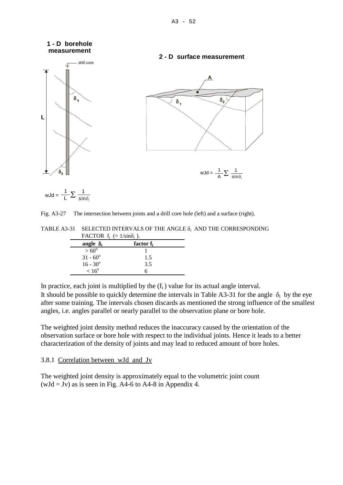#### **1 - D borehole measurement**



#### **2 - D surface measurement**



$$
wJd = \frac{1}{L}\sum \frac{1}{sin\delta_i}
$$

#### Fig. A3-27 The intersection between joints and a drill core hole (left) and a surface (right).

TABLE A3-31 SELECTED INTERVALS OF THE ANGLE  $\delta_i$  AND THE CORRESPONDING  $FACTOP$  f. (-1/sin $\delta$ .).

| $170 \text{ L} \text{ UN}$ $I_1$ $($ $=$ $1/31110$ $I_1$ $J_2$ |                       |  |
|----------------------------------------------------------------|-----------------------|--|
| angle $\delta_i$                                               | factor f <sub>i</sub> |  |
| $> 60^{\circ}$                                                 |                       |  |
| $31 - 60^{\circ}$                                              | 1.5                   |  |
| $16 - 30^{\circ}$                                              | 3.5                   |  |
| $< 16^{\circ}$                                                 |                       |  |

In practice, each joint is multiplied by the  $(f_i)$  value for its actual angle interval.

It should be possible to quickly determine the intervals in Table A3-31 for the angle  $\delta_i$  by the eye after some training. The intervals chosen discards as mentioned the strong influence of the smallest angles, i.e. angles parallel or nearly parallel to the observation plane or bore hole.

The weighted joint density method reduces the inaccuracy caused by the orientation of the observation surface or bore hole with respect to the individual joints. Hence it leads to a better characterization of the density of joints and may lead to reduced amount of bore holes.

#### 3.8.1 Correlation between wJd and Jv

The weighted joint density is approximately equal to the volumetric joint count  $(wJd = Jv)$  as is seen in Fig. A4-6 to A4-8 in Appendix 4.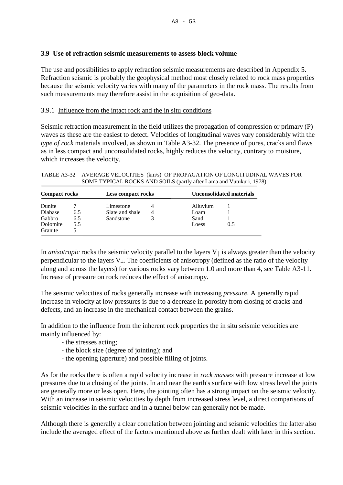#### **3.9 Use of refraction seismic measurements to assess block volume**

The use and possibilities to apply refraction seismic measurements are described in Appendix 5. Refraction seismic is probably the geophysical method most closely related to rock mass properties because the seismic velocity varies with many of the parameters in the rock mass. The results from such measurements may therefore assist in the acquisition of geo-data.

#### 3.9.1 Influence from the intact rock and the in situ conditions

Seismic refraction measurement in the field utilizes the propagation of compression or primary (P) waves as these are the easiest to detect. Velocities of longitudinal waves vary considerably with the *type of rock* materials involved, as shown in Table A3-32. The presence of pores, cracks and flaws as in less compact and unconsolidated rocks, highly reduces the velocity, contrary to moisture, which increases the velocity.

TABLE A3-32 AVERAGE VELOCITIES (km/s) OF PROPAGATION OF LONGITUDINAL WAVES FOR SOME TYPICAL ROCKS AND SOILS (partly after Lama and Vutukuri, 1978)

| <b>Compact rocks</b> |     | Less compact rocks |   |          | Unconsolidated materials |  |
|----------------------|-----|--------------------|---|----------|--------------------------|--|
| Dunite               |     | Limestone          | 4 | Alluvium |                          |  |
| Diabase              | 6.5 | Slate and shale    | 4 | Loam     |                          |  |
| Gabbro               | 6.5 | Sandstone          |   | Sand     |                          |  |
| Dolomite             | 5.5 |                    |   | Loess    | 0.5                      |  |
| Granite              |     |                    |   |          |                          |  |

In *anisotropic* rocks the seismic velocity parallel to the layers  $V_{\parallel}$  is always greater than the velocity perpendicular to the layers  $V_{\perp}$ . The coefficients of anisotropy (defined as the ratio of the velocity along and across the layers) for various rocks vary between 1.0 and more than 4, see Table A3-11. Increase of pressure on rock reduces the effect of anisotropy.

The seismic velocities of rocks generally increase with increasing *pressure.* A generally rapid increase in velocity at low pressures is due to a decrease in porosity from closing of cracks and defects, and an increase in the mechanical contact between the grains.

In addition to the influence from the inherent rock properties the in situ seismic velocities are mainly influenced by:

- the stresses acting;
- the block size (degree of jointing); and
- the opening (aperture) and possible filling of joints.

As for the rocks there is often a rapid velocity increase in *rock masses* with pressure increase at low pressures due to a closing of the joints. In and near the earth's surface with low stress level the joints are generally more or less open. Here, the jointing often has a strong impact on the seismic velocity. With an increase in seismic velocities by depth from increased stress level, a direct comparisons of seismic velocities in the surface and in a tunnel below can generally not be made.

Although there is generally a clear correlation between jointing and seismic velocities the latter also include the averaged effect of the factors mentioned above as further dealt with later in this section.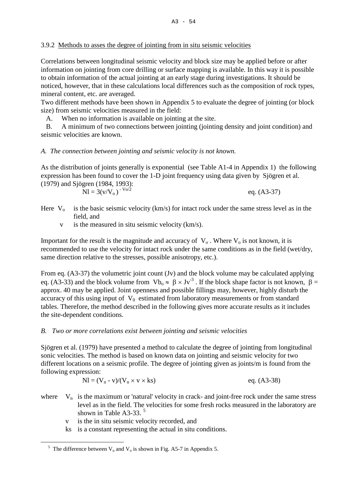# 3.9.2 Methods to asses the degree of jointing from in situ seismic velocities

Correlations between longitudinal seismic velocity and block size may be applied before or after information on jointing from core drilling or surface mapping is available. In this way it is possible to obtain information of the actual jointing at an early stage during investigations. It should be noticed, however, that in these calculations local differences such as the composition of rock types, mineral content, etc. are averaged.

Two different methods have been shown in Appendix 5 to evaluate the degree of jointing (or block size) from seismic velocities measured in the field:

A. When no information is available on jointing at the site.

 B. A minimum of two connections between jointing (jointing density and joint condition) and seismic velocities are known.

# *A. The connection between jointing and seismic velocity is not known.*

As the distribution of joints generally is exponential (see Table A1-4 in Appendix 1) the following expression has been found to cover the 1-D joint frequency using data given by Sjögren et al. (1979) and Sjögren (1984, 1993):

| __ |                          |  |               |
|----|--------------------------|--|---------------|
|    | $Nl = 3(v/V_0)^{-V_0/2}$ |  | eq. $(A3-37)$ |

- Here  $V_0$  is the basic seismic velocity (km/s) for intact rock under the same stress level as in the field, and
	- v is the measured in situ seismic velocity (km/s).

Important for the result is the magnitude and accuracy of  $V_0$ . Where  $V_0$  is not known, it is recommended to use the velocity for intact rock under the same conditions as in the field (wet/dry, same direction relative to the stresses, possible anisotropy, etc.).

From eq. (A3-37) the volumetric joint count (Jv) and the block volume may be calculated applying eq. (A3-33) and the block volume from  $Vb_0 \approx \beta \times Jv^{-3}$ . If the block shape factor is not known,  $\beta =$ approx. 40 may be applied. Joint openness and possible fillings may, however, highly disturb the accuracy of this using input of  $V_0$  estimated from laboratory measurements or from standard tables. Therefore, the method described in the following gives more accurate results as it includes the site-dependent conditions.

# *B. Two or more correlations exist between jointing and seismic velocities*

Sjögren et al. (1979) have presented a method to calculate the degree of jointing from longitudinal sonic velocities. The method is based on known data on jointing and seismic velocity for two different locations on a seismic profile. The degree of jointing given as joints/m is found from the following expression:

$$
Nl = (V_n - v)/(V_n \times v \times ks)
$$
 eq. (A3-38)

where  $V_n$  is the maximum or 'natural' velocity in crack- and joint-free rock under the same stress level as in the field. The velocities for some fresh rocks measured in the laboratory are shown in Table A3-33.<sup>[5](#page-53-0)</sup>

- v is the in situ seismic velocity recorded, and
- ks is a constant representing the actual in situ conditions.

—

<span id="page-53-0"></span><sup>&</sup>lt;sup>5</sup> The difference between  $V_n$  and  $V_o$  is shown in Fig. A5-7 in Appendix 5.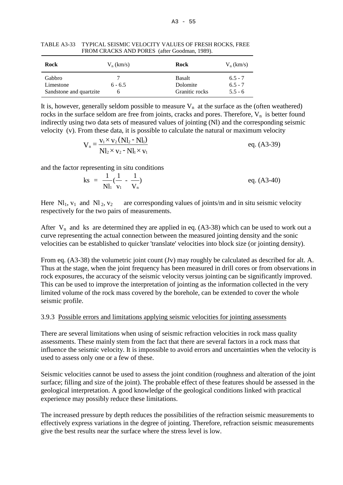| Rock                    | $V_n$ (km/s) | Rock           | $V_n$ (km/s) |
|-------------------------|--------------|----------------|--------------|
| Gabbro                  |              | <b>Basalt</b>  | $6.5 - 7$    |
| Limestone               | $6 - 6.5$    | Dolomite       | $6.5 - 7$    |
| Sandstone and quartzite | h            | Granitic rocks | $5.5 - 6$    |

TABLE A3-33 TYPICAL SEISMIC VELOCITY VALUES OF FRESH ROCKS, FREE FROM CRACKS AND PORES (after Goodman, 1989).

It is, however, generally seldom possible to measure  $V_n$  at the surface as the (often weathered) rocks in the surface seldom are free from joints, cracks and pores. Therefore,  $V_n$  is better found indirectly using two data sets of measured values of jointing (Nl) and the corresponding seismic velocity (v). From these data, it is possible to calculate the natural or maximum velocity

$$
V_n = \frac{v_1 \times v_2 (Nl_2 - Nl_1)}{Nl_2 \times v_2 - Nl_1 \times v_1}
$$
 eq. (A3-39)

and the factor representing in situ conditions

$$
ks = \frac{1}{Nl_1}(\frac{1}{v_1} - \frac{1}{V_n})
$$
eq. (A3-40)

Here  $\text{N}_1$ ,  $\text{v}_1$  and  $\text{N}_2$ ,  $\text{v}_2$  are corresponding values of joints/m and in situ seismic velocity respectively for the two pairs of measurements.

After  $V_n$  and ks are determined they are applied in eq. (A3-38) which can be used to work out a curve representing the actual connection between the measured jointing density and the sonic velocities can be established to quicker 'translate' velocities into block size (or jointing density).

From eq. (A3-38) the volumetric joint count (Jv) may roughly be calculated as described for alt. A. Thus at the stage, when the joint frequency has been measured in drill cores or from observations in rock exposures, the accuracy of the seismic velocity versus jointing can be significantly improved. This can be used to improve the interpretation of jointing as the information collected in the very limited volume of the rock mass covered by the borehole, can be extended to cover the whole seismic profile.

## 3.9.3 Possible errors and limitations applying seismic velocities for jointing assessments

There are several limitations when using of seismic refraction velocities in rock mass quality assessments. These mainly stem from the fact that there are several factors in a rock mass that influence the seismic velocity. It is impossible to avoid errors and uncertainties when the velocity is used to assess only one or a few of these.

Seismic velocities cannot be used to assess the joint condition (roughness and alteration of the joint surface; filling and size of the joint). The probable effect of these features should be assessed in the geological interpretation. A good knowledge of the geological conditions linked with practical experience may possibly reduce these limitations.

The increased pressure by depth reduces the possibilities of the refraction seismic measurements to effectively express variations in the degree of jointing. Therefore, refraction seismic measurements give the best results near the surface where the stress level is low.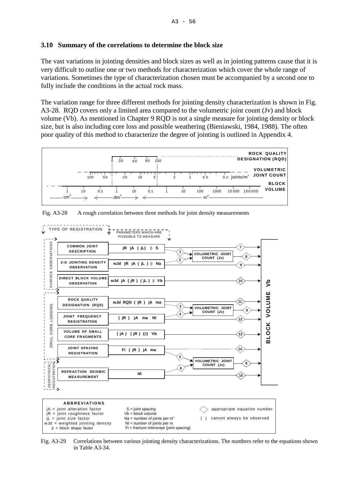#### **3.10 Summary of the correlations to determine the block size**

The vast variations in jointing densities and block sizes as well as in jointing patterns cause that it is very difficult to outline one or two methods for characterization which cover the whole range of variations. Sometimes the type of characterization chosen must be accompanied by a second one to fully include the conditions in the actual rock mass.

The variation range for three different methods for jointing density characterization is shown in Fig. A3-28. RQD covers only a limited area compared to the volumetric joint count (Jv) and block volume (Vb). As mentioned in Chapter 9 RQD is not a single measure for jointing density or block size, but is also including core loss and possible weathering (Bieniawski, 1984, 1988). The often poor quality of this method to characterize the degree of jointing is outlined in Appendix 4.





Fig. A3-28 A rough correlation between three methods for joint density measurements

Fig. A3-29 Correlations between various jointing density characterizations. The numbers refer to the equations shown in Table A3-34.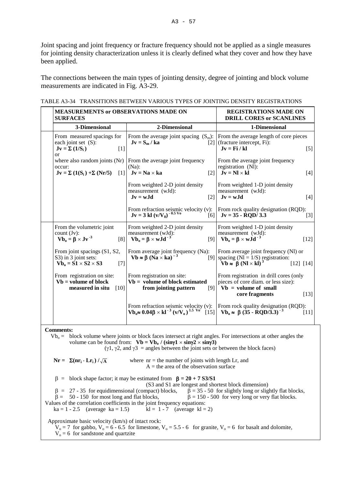Joint spacing and joint frequency or fracture frequency should not be applied as a single measures for jointing density characterization unless it is clearly defined what they cover and how they have been applied.

The connections between the main types of jointing density, degree of jointing and block volume measurements are indicated in Fig. A3-29.

| MEASUREMENTS or OBSERVATIONS MADE ON<br><b>SURFACES</b>                                                                                                                                                                                                                                                                                                     | <b>REGISTRATIONS MADE ON</b><br><b>DRILL CORES or SCANLINES</b>                                                                  |                                                                                                                                                                                   |  |  |
|-------------------------------------------------------------------------------------------------------------------------------------------------------------------------------------------------------------------------------------------------------------------------------------------------------------------------------------------------------------|----------------------------------------------------------------------------------------------------------------------------------|-----------------------------------------------------------------------------------------------------------------------------------------------------------------------------------|--|--|
| 3-Dimensional                                                                                                                                                                                                                                                                                                                                               | 2-Dimensional                                                                                                                    | 1-Dimensional                                                                                                                                                                     |  |  |
| From measured spacings for<br>each joint set (S):<br>$Jv = \Sigma (1/S_i)$<br>[1]<br><sub>or</sub>                                                                                                                                                                                                                                                          | $Jv = S_m / ka$                                                                                                                  | From the average joint spacing $(S_m)$ :   From the average length of core pieces<br>$[2]$ (fracture intercept, Fi):<br>$Jv = Fi / kl$<br>$[5]$                                   |  |  |
| where also random joints (Nr)<br>occur:<br>$Jv = \Sigma (1(S_i) + \Sigma (Nr/5))$<br>$\lceil 1 \rceil$                                                                                                                                                                                                                                                      | From the average joint frequency<br>$(Na)$ :<br>$Jv = Na \times ka$<br>$\lceil 2 \rceil$                                         | From the average joint frequency<br>registration (NI):<br>$Jv = Nl \times kl$<br>$[4]$                                                                                            |  |  |
|                                                                                                                                                                                                                                                                                                                                                             | From weighted 2-D joint density<br>measurement (wJd):<br>$Jv = wJd$<br>$[2]$                                                     | From weighted 1-D joint density<br>measurement (wJd):<br>$Jv = wJd$<br>$[4]$                                                                                                      |  |  |
|                                                                                                                                                                                                                                                                                                                                                             | From refraction seismic velocity (v):<br>$Jv = 3$ kl $(v/V_0)^{-0.5 V_0}$<br>[6]                                                 | From rock quality designation (RQD):<br>$Jv = 35 - RQD/3.3$<br>$[3]$                                                                                                              |  |  |
| From the volumetric joint<br>count $(Jv)$ :<br>$Vb_0 = \beta \times Jv^{-3}$<br>[8]                                                                                                                                                                                                                                                                         | From weighted 2-D joint density<br>measurement (wJd):<br>$Vb_0 = \beta \times wJd^{-3}$<br>[9]                                   | From weighted 1-D joint density<br>measurement (wJd):<br>$Vb_0 = \beta \times wJd^{-3}$<br>$[12]$                                                                                 |  |  |
| From joint spacings (S1, S2,<br>S3) in 3 joint sets:<br>$Vb_0 = S1 \times S2 \times S3$<br>$[7]$                                                                                                                                                                                                                                                            | From average joint frequency (Na):<br>$Vb \approx \beta (Na \times ka)^{-3}$                                                     | From average joint frequency (Nl) or<br>[9] spacing (N1 = $1/S$ ) registration:<br>$\mathbf{\hat{V}}$ b $\approx \mathbf{\hat{B}} (\mathbf{N} \times \mathbf{kl})^3$<br>[12] [14] |  |  |
| From registration on site:<br>$Vb = volume of block$<br>measured in situ<br>$[10]$                                                                                                                                                                                                                                                                          | From registration on site:<br>$Vb = volume of block estimated$<br>from jointing pattern<br>[9]                                   | From registration in drill cores (only<br>pieces of core diam. or less size):<br>$Vb = volume of small$<br>core fragments<br>$[13]$                                               |  |  |
|                                                                                                                                                                                                                                                                                                                                                             | From refraction seismic velocity (v):<br>$\mathbf{Vb_0} \approx 0.04\beta \times kl^{-3} (v/V_0)^{1.5 \text{ V0}}$ [15<br>$[15]$ | From rock quality designation (RQD):<br>Vb <sub>0</sub> $\approx$ β (35 - RQD/3.3) <sup>-3</sup><br>$[11]$                                                                        |  |  |
| <b>Comments:</b><br>block volume where joints or block faces intersect at right angles. For intersections at other angles the<br>$Vb_0 =$<br>volume can be found from: $Vb = Vb_0 / (\sin \gamma 1 \times \sin \gamma 2 \times \sin \gamma 3)$<br>$(\gamma 1, \gamma 2, \text{ and } \gamma 3)$ = angles between the joint sets or between the block faces) |                                                                                                                                  |                                                                                                                                                                                   |  |  |
| $\mathbf{N}\mathbf{r} = \sum(\mathbf{n}\mathbf{r}_i \cdot \mathbf{L}\mathbf{r}_i)/\sqrt{\mathbf{A}}$                                                                                                                                                                                                                                                        | where $nr =$ the number of joints with length Lr, and<br>$A =$ the area of the observation surface                               |                                                                                                                                                                                   |  |  |
| $\beta$ = block shape factor; it may be estimated from $\beta$ = 20 + 7 S3/S1<br>(S3 and S1 are longest and shortest block dimension)                                                                                                                                                                                                                       |                                                                                                                                  |                                                                                                                                                                                   |  |  |

|  |  | TABLE A3-34 TRANSITIONS BETWEEN VARIOUS TYPES OF JOINTING DENSITY REGISTRATIONS |  |
|--|--|---------------------------------------------------------------------------------|--|
|  |  |                                                                                 |  |

 $\tilde{\beta}$  = 35 - 50 for slightly long or slightly flat blocks,  $β = 27 - 35$  for equidimensional (compact) blocks,  $β = 35 - 50$  for slightly long or slightly flat blocks,  $\beta = 50 - 150$  for most long and flat blocks,  $\beta = 150 - 500$  for very long or very flat blocks. Values of the correlation coefficients in the joint frequency equations:<br>  $ka = 1 - 2.5$  (average  $ka = 1.5$ )  $kl = 1 - 7$  (average  $kl = 2$ )  $ka = 1 - 2.5$  (average ka = 1.5) Approximate basic velocity (km/s) of intact rock:  $V_0 = 7$  for gabbo,  $V_0 = 6 - 6.5$  for limestone,  $V_0 = 5.5 - 6$  for granite,  $V_0 = 6$  for basalt and dolomite,  $V_0 = 6$  for sandstone and quartzite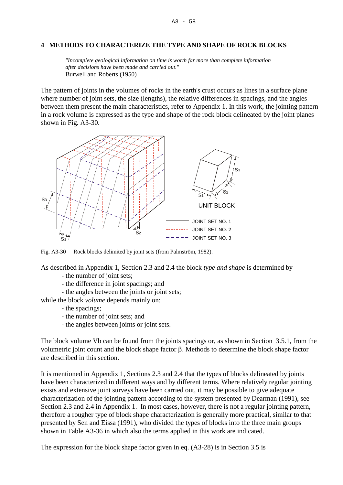#### **4 METHODS TO CHARACTERIZE THE TYPE AND SHAPE OF ROCK BLOCKS**

*"Incomplete geological information on time is worth far more than complete information after decisions have been made and carried out."*  Burwell and Roberts (1950)

The pattern of joints in the volumes of rocks in the earth's crust occurs as lines in a surface plane where number of joint sets, the size (lengths), the relative differences in spacings, and the angles between them present the main characteristics, refer to Appendix 1. In this work, the jointing pattern in a rock volume is expressed as the type and shape of the rock block delineated by the joint planes shown in Fig. A3-30.



Fig. A3-30 Rock blocks delimited by joint sets (from Palmström, 1982).

As described in Appendix 1, Section 2.3 and 2.4 the block *type and shape* is determined by

- the number of joint sets;
- the difference in joint spacings; and
- the angles between the joints or joint sets;
- while the block *volume* depends mainly on:
	- the spacings;
	- the number of joint sets; and
	- the angles between joints or joint sets.

The block volume Vb can be found from the joints spacings or, as shown in Section 3.5.1, from the volumetric joint count and the block shape factor β. Methods to determine the block shape factor are described in this section.

It is mentioned in Appendix 1, Sections 2.3 and 2.4 that the types of blocks delineated by joints have been characterized in different ways and by different terms. Where relatively regular jointing exists and extensive joint surveys have been carried out, it may be possible to give adequate characterization of the jointing pattern according to the system presented by Dearman (1991), see Section 2.3 and 2.4 in Appendix 1. In most cases, however, there is not a regular jointing pattern, therefore a rougher type of block shape characterization is generally more practical, similar to that presented by Sen and Eissa (1991), who divided the types of blocks into the three main groups shown in Table A3-36 in which also the terms applied in this work are indicated.

The expression for the block shape factor given in eq. (A3-28) is in Section 3.5 is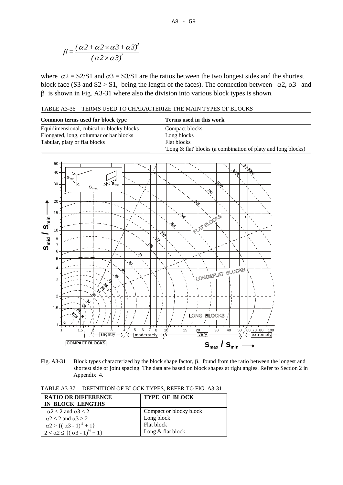$$
\beta = \frac{\left(\alpha 2 + \alpha 2 \times \alpha 3 + \alpha 3\right)^3}{\left(\alpha 2 \times \alpha 3\right)^2}
$$

where  $\alpha$ 2 = S2/S1 and  $\alpha$ 3 = S3/S1 are the ratios between the two longest sides and the shortest block face (S3 and S2 > S1, being the length of the faces). The connection between  $\alpha$ 2,  $\alpha$ 3 and β is shown in Fig. A3-31 where also the division into various block types is shown.

TABLE A3-36 TERMS USED TO CHARACTERIZE THE MAIN TYPES OF BLOCKS

| Common terms used for block type          | Terms used in this work                                      |
|-------------------------------------------|--------------------------------------------------------------|
| Equidimensional, cubical or blocky blocks | Compact blocks                                               |
| Elongated, long, columnar or bar blocks   | Long blocks                                                  |
| Tabular, platy or flat blocks             | Flat blocks                                                  |
|                                           | Long & flat' blocks (a combination of platy and long blocks) |



Fig. A3-31 Block types characterized by the block shape factor, β, found from the ratio between the longest and shortest side or joint spacing. The data are based on block shapes at right angles. Refer to Section 2 in Appendix 4.

TABLE A3-37 DEFINITION OF BLOCK TYPES, REFER TO FIG. A3-31

| <b>RATIO OR DIFFERENCE</b>                                   | <b>TYPE OF BLOCK</b>    |
|--------------------------------------------------------------|-------------------------|
| IN BLOCK LENGTHS                                             |                         |
| $\alpha$ 2 $\leq$ 2 and $\alpha$ 3 $<$ 2                     | Compact or blocky block |
| $\alpha$ 2 $\le$ 2 and $\alpha$ 3 $>$ 2                      | Long block              |
| $\alpha$ 2 > { $(\alpha$ 3 - 1) <sup>1/2</sup> + 1}          | Flat block              |
| $2 < \alpha$ 2 $\leq$ { $(\alpha$ 3 - 1) <sup>1/2</sup> + 1} | Long $&$ flat block     |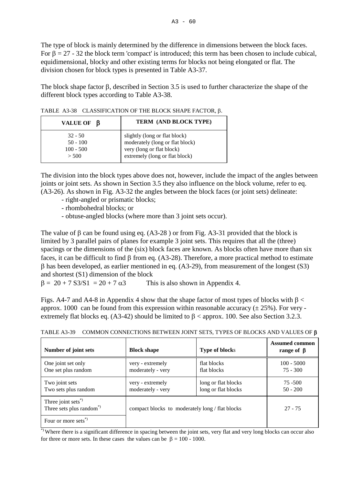The type of block is mainly determined by the difference in dimensions between the block faces. For  $\beta = 27 - 32$  the block term 'compact' is introduced; this term has been chosen to include cubical, equidimensional, blocky and other existing terms for blocks not being elongated or flat. The division chosen for block types is presented in Table A3-37.

The block shape factor β, described in Section 3.5 is used to further characterize the shape of the different block types according to Table A3-38.

| VALUE OF $\beta$                                | TERM (AND BLOCK TYPE)                                                                                                           |
|-------------------------------------------------|---------------------------------------------------------------------------------------------------------------------------------|
| $32 - 50$<br>$50 - 100$<br>$100 - 500$<br>> 500 | slightly (long or flat block)<br>moderately (long or flat block)<br>very (long or flat block)<br>extremely (long or flat block) |

TABLE A3-38 CLASSIFICATION OF THE BLOCK SHAPE FACTOR, β.

The division into the block types above does not, however, include the impact of the angles between joints or joint sets. As shown in Section 3.5 they also influence on the block volume, refer to eq. (A3-26). As shown in Fig. A3-32 the angles between the block faces (or joint sets) delineate:

- right-angled or prismatic blocks;
- rhombohedral blocks; or
- obtuse-angled blocks (where more than 3 joint sets occur).

The value of  $\beta$  can be found using eq. (A3-28) or from Fig. A3-31 provided that the block is limited by 3 parallel pairs of planes for example 3 joint sets. This requires that all the (three) spacings or the dimensions of the (six) block faces are known. As blocks often have more than six faces, it can be difficult to find β from eq. (A3-28). Therefore, a more practical method to estimate β has been developed, as earlier mentioned in eq. (A3-29), from measurement of the longest (S3) and shortest (S1) dimension of the block

 $\beta = 20 + 7$  S3/S1 = 20 + 7  $\alpha$ 3 This is also shown in Appendix 4.

Figs. A4-7 and A4-8 in Appendix 4 show that the shape factor of most types of blocks with  $\beta$  < approx. 1000 can be found from this expression within reasonable accuracy  $(\pm 25\%)$ . For very extremely flat blocks eq. (A3-42) should be limited to  $\beta$  < approx. 100. See also Section 3.2.3.

| Number of joint sets                                                 | <b>Block shape</b>                              | <b>Type of blocks</b>                      | <b>Assumed common</b><br>range of $\beta$ |
|----------------------------------------------------------------------|-------------------------------------------------|--------------------------------------------|-------------------------------------------|
| One joint set only<br>One set plus random                            | very - extremely<br>moderately - very           | flat blocks<br>flat blocks                 | $100 - 5000$<br>$75 - 300$                |
| Two joint sets<br>Two sets plus random                               | very - extremely<br>moderately - very           | long or flat blocks<br>long or flat blocks | 75 - 500<br>$50 - 200$                    |
| Three joint sets <sup>*</sup><br>Three sets plus random <sup>*</sup> | compact blocks to moderately long / flat blocks |                                            | $27 - 75$                                 |
| Four or more sets <sup>*)</sup>                                      |                                                 |                                            |                                           |

TABLE A3-39 COMMON CONNECTIONS BETWEEN JOINT SETS, TYPES OF BLOCKS AND VALUES OF β

\*) Where there is a significant difference in spacing between the joint sets, very flat and very long blocks can occur also for three or more sets. In these cases the values can be  $\beta = 100 - 1000$ .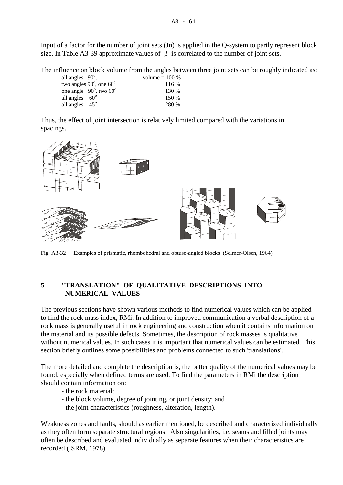Input of a factor for the number of joint sets (Jn) is applied in the Q-system to partly represent block size. In Table A3-39 approximate values of  $\beta$  is correlated to the number of joint sets.

The influence on block volume from the angles between three joint sets can be roughly indicated as:

| all angles $90^\circ$ ,                | volume $= 100 %$ |
|----------------------------------------|------------------|
| two angles $90^\circ$ , one $60^\circ$ | 116 %            |
| one angle $90^\circ$ , two $60^\circ$  | 130 %            |
| all angles $60^\circ$                  | 150 %            |
| all angles $45^\circ$                  | 280 %            |

Thus, the effect of joint intersection is relatively limited compared with the variations in spacings.



Fig. A3-32 Examples of prismatic, rhombohedral and obtuse-angled blocks (Selmer-Olsen, 1964)

# **5 "TRANSLATION" OF QUALITATIVE DESCRIPTIONS INTO NUMERICAL VALUES**

The previous sections have shown various methods to find numerical values which can be applied to find the rock mass index, RMi. In addition to improved communication a verbal description of a rock mass is generally useful in rock engineering and construction when it contains information on the material and its possible defects. Sometimes, the description of rock masses is qualitative without numerical values. In such cases it is important that numerical values can be estimated. This section briefly outlines some possibilities and problems connected to such 'translations'.

The more detailed and complete the description is, the better quality of the numerical values may be found, especially when defined terms are used. To find the parameters in RMi the description should contain information on:

- the rock material;
- the block volume, degree of jointing, or joint density; and
- the joint characteristics (roughness, alteration, length).

Weakness zones and faults, should as earlier mentioned, be described and characterized individually as they often form separate structural regions. Also singularities, i.e. seams and filled joints may often be described and evaluated individually as separate features when their characteristics are recorded (ISRM, 1978).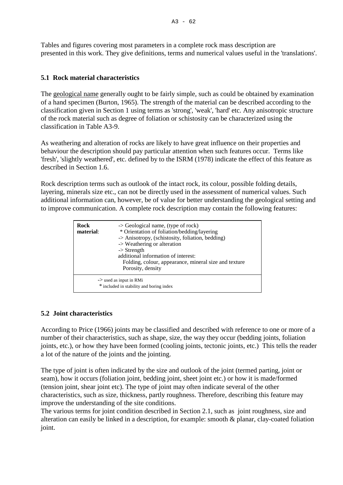Tables and figures covering most parameters in a complete rock mass description are presented in this work. They give definitions, terms and numerical values useful in the 'translations'.

# **5.1 Rock material characteristics**

The geological name generally ought to be fairly simple, such as could be obtained by examination of a hand specimen (Burton, 1965). The strength of the material can be described according to the classification given in Section 1 using terms as 'strong', 'weak', 'hard' etc. Any anisotropic structure of the rock material such as degree of foliation or schistosity can be characterized using the classification in Table A3-9.

As weathering and alteration of rocks are likely to have great influence on their properties and behaviour the description should pay particular attention when such features occur. Terms like 'fresh', 'slightly weathered', etc. defined by to the ISRM (1978) indicate the effect of this feature as described in Section 1.6.

Rock description terms such as outlook of the intact rock, its colour, possible folding details, layering, minerals size etc., can not be directly used in the assessment of numerical values. Such additional information can, however, be of value for better understanding the geological setting and to improve communication. A complete rock description may contain the following features:

| Rock<br>material: | $\rightarrow$ Geological name, (type of rock)<br>* Orientation of foliation/bedding/layering<br>-> Anisotropy, (schistosity, foliation, bedding)<br>-> Weathering or alteration<br>$\rightarrow$ Strength<br>additional information of interest:<br>Folding, colour, appearance, mineral size and texture<br>Porosity, density |  |
|-------------------|--------------------------------------------------------------------------------------------------------------------------------------------------------------------------------------------------------------------------------------------------------------------------------------------------------------------------------|--|
|                   | $\rightarrow$ used as input in RMi<br>* included in stability and boring index                                                                                                                                                                                                                                                 |  |

# **5.2 Joint characteristics**

According to Price (1966) joints may be classified and described with reference to one or more of a number of their characteristics, such as shape, size, the way they occur (bedding joints, foliation joints, etc.), or how they have been formed (cooling joints, tectonic joints, etc.) This tells the reader a lot of the nature of the joints and the jointing.

The type of joint is often indicated by the size and outlook of the joint (termed parting, joint or seam), how it occurs (foliation joint, bedding joint, sheet joint etc.) or how it is made/formed (tension joint, shear joint etc). The type of joint may often indicate several of the other characteristics, such as size, thickness, partly roughness. Therefore, describing this feature may improve the understanding of the site conditions.

The various terms for joint condition described in Section 2.1, such as joint roughness, size and alteration can easily be linked in a description, for example: smooth & planar, clay-coated foliation joint.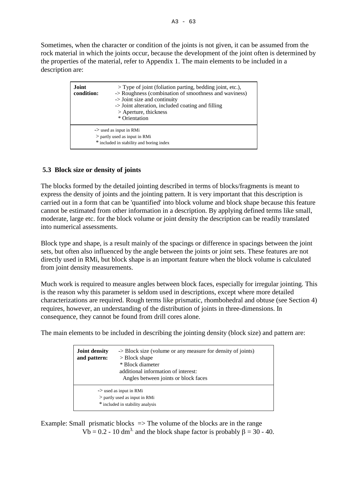Sometimes, when the character or condition of the joints is not given, it can be assumed from the rock material in which the joints occur, because the development of the joint often is determined by the properties of the material, refer to Appendix 1. The main elements to be included in a description are:

| <b>Joint</b><br>condition: | $>$ Type of joint (foliation parting, bedding joint, etc.),<br>-> Roughness (combination of smoothness and waviness)<br>$\rightarrow$ Joint size and continuity<br>-> Joint alteration, included coating and filling<br>> Aperture, thickness<br>* Orientation |
|----------------------------|----------------------------------------------------------------------------------------------------------------------------------------------------------------------------------------------------------------------------------------------------------------|
|                            | $\rightarrow$ used as input in RMi<br>$>$ partly used as input in RMi<br>* included in stability and boring index                                                                                                                                              |

# **5.3 Block size or density of joints**

The blocks formed by the detailed jointing described in terms of blocks/fragments is meant to express the density of joints and the jointing pattern. It is very important that this description is carried out in a form that can be 'quantified' into block volume and block shape because this feature cannot be estimated from other information in a description. By applying defined terms like small, moderate, large etc. for the block volume or joint density the description can be readily translated into numerical assessments.

Block type and shape, is a result mainly of the spacings or difference in spacings between the joint sets, but often also influenced by the angle between the joints or joint sets. These features are not directly used in RMi, but block shape is an important feature when the block volume is calculated from joint density measurements.

Much work is required to measure angles between block faces, especially for irregular jointing. This is the reason why this parameter is seldom used in descriptions, except where more detailed characterizations are required. Rough terms like prismatic, rhombohedral and obtuse (see Section 4) requires, however, an understanding of the distribution of joints in three-dimensions. In consequence, they cannot be found from drill cores alone.

The main elements to be included in describing the jointing density (block size) and pattern are:

| Joint density<br>and pattern: | $\rightarrow$ Block size (volume or any measure for density of joints)<br>$>$ Block shape<br>* Block diameter<br>additional information of interest:<br>Angles between joints or block faces |
|-------------------------------|----------------------------------------------------------------------------------------------------------------------------------------------------------------------------------------------|
|                               | $\rightarrow$ used as input in RMi<br>$>$ partly used as input in RMi<br>* included in stability analysis                                                                                    |

Example: Small prismatic blocks  $\Rightarrow$  The volume of the blocks are in the range

Vb = 0.2 - 10 dm<sup>3.</sup> and the block shape factor is probably  $\beta = 30 - 40$ .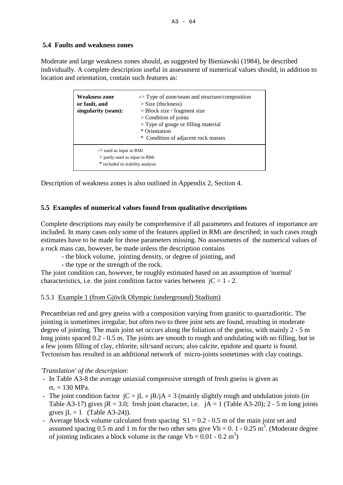# **5.4 Faults and weakness zones**

Moderate and large weakness zones should, as suggested by Bieniawski (1984), be described individually. A complete description useful in assessment of numerical values should, in addition to location and orientation, contain such features as:

| <b>Weakness zone</b><br>or fault, and<br>singularity (seam):                                                                                     | $\rightarrow$ Type of zone/seam and structure/composition<br>$>$ Size (thickness)<br>$>$ Block size / fragment size<br>$\geq$ Condition of joints<br>$>$ Type of gouge or filling material<br>* Orientation |  |
|--------------------------------------------------------------------------------------------------------------------------------------------------|-------------------------------------------------------------------------------------------------------------------------------------------------------------------------------------------------------------|--|
| * Condition of adjacent rock masses<br>$\rightarrow$ used as input in RMi<br>$>$ partly used as input in RMi<br>* included in stability analysis |                                                                                                                                                                                                             |  |

Description of weakness zones is also outlined in Appendix 2, Section 4.

# **5.5 Examples of numerical values found from qualitative descriptions**

Complete descriptions may easily be comprehensive if all parameters and features of importance are included. In many cases only some of the features applied in RMi are described; in such cases rough estimates have to be made for those parameters missing. No assessments of the numerical values of a rock mass can, however, be made unless the description contains

- the block volume, jointing density, or degree of jointing, and
- the type or the strength of the rock.

The joint condition can, however, be roughly estimated based on an assumption of 'normal' characteristics, i.e. the joint condition factor varies between  $iC = 1 - 2$ .

# 5.5.1 Example 1 (from Gjövik Olympic (underground) Stadium)

Precambrian red and grey gneiss with a composition varying from granitic to quartzdioritic. The jointing is sometimes irregular, but often two to three joint sets are found, resulting in moderate degree of jointing. The main joint set occurs along the foliation of the gneiss, with mainly 2 - 5 m long joints spaced  $0.2 - 0.5$  m. The joints are smooth to rough and undulating with no filling, but in a few joints filling of clay, chlorite, silt/sand occurs; also calcite, epidote and quartz is found. Tectonism has resulted in an additional network of micro-joints sometimes with clay coatings.

# *'Translation' of the description*:

- In Table A3-8 the average uniaxial compressive strength of fresh gneiss is given as  $\sigma_c = 130 \text{ MPa}.$
- The joint condition factor  $jC = jL \times jR/jA = 3$  (mainly slightly rough and undulation joints (in Table A3-17) gives  $iR = 3.0$ ; fresh joint character, i.e.  $iA = 1$  (Table A3-20); 2 - 5 m long joints gives  $iL = 1$  (Table A3-24)).
- Average block volume calculated from spacing  $S1 = 0.2 0.5$  m of the main joint set and assumed spacing 0.5 m and 1 m for the two other sets give Vb = 0. 1 - 0.25 m<sup>3</sup>. (Moderate degree of jointing indicates a block volume in the range Vb =  $0.01 - 0.2$  m<sup>3</sup>)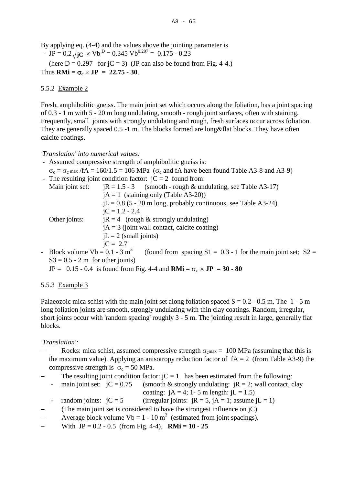By applying eq. (4-4) and the values above the jointing parameter is - JP =  $0.2\sqrt{jC} \times Vb^D$  = 0.345 Vb<sup>0.297</sup> = 0.175 - 0.23

(here  $D = 0.297$  for  $jC = 3$ ) (JP can also be found from Fig. 4-4.) Thus  $RMi = \sigma_c \times JP = 22.75 - 30$ .

# 5.5.2 Example 2

Fresh, amphibolitic gneiss. The main joint set which occurs along the foliation, has a joint spacing of 0.3 - 1 m with 5 - 20 m long undulating, smooth - rough joint surfaces, often with staining. Frequently, small joints with strongly undulating and rough, fresh surfaces occur across foliation. They are generally spaced 0.5 -1 m. The blocks formed are long&flat blocks. They have often calcite coatings.

## *'Translation' into numerical values:*

- Assumed compressive strength of amphibolitic gneiss is:
- $\sigma_c = \sigma_c$  max /fA = 160/1.5 = 106 MPa ( $\sigma_c$  and fA have been found Table A3-8 and A3-9) The resulting joint condition factor:  $iC = 2$  found from:

| The resulting joint condition ractor. $C = 2$ round from. |                                                                   |  |
|-----------------------------------------------------------|-------------------------------------------------------------------|--|
| Main joint set:                                           | $iR = 1.5 - 3$ (smooth - rough & undulating, see Table A3-17)     |  |
|                                                           | $iA = 1$ (staining only (Table A3-20))                            |  |
|                                                           | $iL = 0.8$ (5 - 20 m long, probably continuous, see Table A3-24)  |  |
|                                                           | $iC = 1.2 - 2.4$                                                  |  |
| Other joints:                                             | $iR = 4$ (rough & strongly undulating)                            |  |
|                                                           | $iA = 3$ (joint wall contact, calcite coating)                    |  |
|                                                           | $iL = 2$ (small joints)                                           |  |
|                                                           | $iC = 2.7$                                                        |  |
| - Block volume $Vb = 0.1 - 3$ m <sup>3</sup>              | (found from spacing $S1 = 0.3 - 1$ for the main joint set; $S2 =$ |  |
| $S3 = 0.5 - 2$ m for other joints)                        |                                                                   |  |

 $JP = 0.15 - 0.4$  is found from Fig. 4-4 and  $RMi = \sigma_c \times JP = 30 - 80$ 

## 5.5.3 Example 3

Palaeozoic mica schist with the main joint set along foliation spaced  $S = 0.2 - 0.5$  m. The 1 - 5 m long foliation joints are smooth, strongly undulating with thin clay coatings. Random, irregular, short joints occur with 'random spacing' roughly 3 - 5 m. The jointing result in large, generally flat blocks.

*'Translation':*

- Rocks: mica schist, assumed compressive strength  $\sigma_{\rm cmax} = 100$  MPa (assuming that this is the maximum value). Applying an anisotropy reduction factor of  $fA = 2$  (from Table A3-9) the compressive strength is  $\sigma_c = 50 \text{ MPa}$ .
- The resulting joint condition factor:  $iC = 1$  has been estimated from the following:
	- main joint set:  $jC = 0.75$  (smooth & strongly undulating:  $jR = 2$ ; wall contact, clay coating:  $jA = 4$ ; 1 - 5 m length:  $jL = 1.5$ )
		- random joints:  $iC = 5$  (irregular joints:  $iR = 5$ ,  $iA = 1$ ; assume  $iL = 1$ )
- (The main joint set is considered to have the strongest influence on  $i$ C)
- Average block volume Vb = 1 10 m<sup>3</sup> (estimated from joint spacings).
- With  $JP = 0.2 0.5$  (from Fig. 4-4), **RMi = 10 25**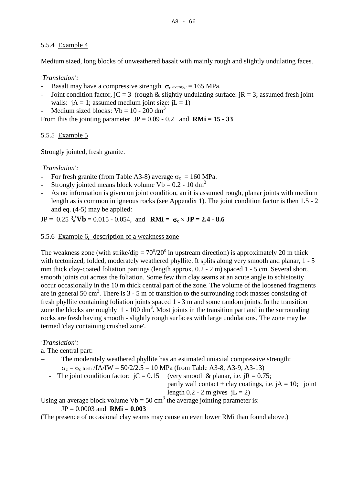# 5.5.4 Example 4

Medium sized, long blocks of unweathered basalt with mainly rough and slightly undulating faces.

# *'Translation':*

- Basalt may have a compressive strength  $\sigma_c$  average = 165 MPa.
- Joint condition factor,  $iC = 3$  (rough & slightly undulating surface:  $iR = 3$ ; assumed fresh joint walls:  $iA = 1$ ; assumed medium joint size:  $iL = 1$ )

Medium sized blocks:  $Vb = 10 - 200$  dm<sup>3</sup>

From this the jointing parameter  $JP = 0.09 - 0.2$  and  $RMi = 15 - 33$ 

5.5.5 Example 5

Strongly jointed, fresh granite.

*'Translation':*

- For fresh granite (from Table A3-8) average  $\sigma_c = 160 \text{ MPa}$ .
- Strongly jointed means block volume Vb =  $0.2 10$  dm<sup>3</sup>
- As no information is given on joint condition, an it is assumed rough, planar joints with medium length as is common in igneous rocks (see Appendix 1). The joint condition factor is then 1.5 - 2 and eq. (4-5) may be applied:

 $JP = 0.25 \sqrt[3]{Vb} = 0.015 - 0.054$ , and **RMi =**  $\sigma_c \times JP = 2.4 - 8.6$ 

# 5.5.6 Example 6, description of a weakness zone

The weakness zone (with strike/dip =  $70^{\circ}/20^{\circ}$  in upstream direction) is approximately 20 m thick with tectonized, folded, moderately weathered phyllite. It splits along very smooth and planar, 1 - 5 mm thick clay-coated foliation partings (length approx. 0.2 - 2 m) spaced 1 - 5 cm. Several short, smooth joints cut across the foliation. Some few thin clay seams at an acute angle to schistosity occur occasionally in the 10 m thick central part of the zone. The volume of the loosened fragments are in general 50 cm<sup>3</sup>. There is  $3 - 5$  m of transition to the surrounding rock masses consisting of fresh phyllite containing foliation joints spaced 1 - 3 m and some random joints. In the transition zone the blocks are roughly  $1 - 100$  dm<sup>3</sup>. Most joints in the transition part and in the surrounding rocks are fresh having smooth - slightly rough surfaces with large undulations. The zone may be termed 'clay containing crushed zone'.

# *'Translation':*

a. The central part:

The moderately weathered phyllite has an estimated uniaxial compressive strength:

 $\sigma_c = \sigma_c$  fresh /fA/fW = 50/2/2.5 = 10 MPa (from Table A3-8, A3-9, A3-13)

- The joint condition factor:  $\dot{C} = 0.15$  (very smooth & planar, i.e.  $\dot{R} = 0.75$ ;

partly wall contact + clay coatings, i.e.  $iA = 10$ ; joint length  $0.2 - 2$  m gives  $iL = 2$ )

Using an average block volume  $Vb = 50 \text{ cm}^3$  the average jointing parameter is:

# $JP = 0.0003$  and  $RMi = 0.003$

(The presence of occasional clay seams may cause an even lower RMi than found above.)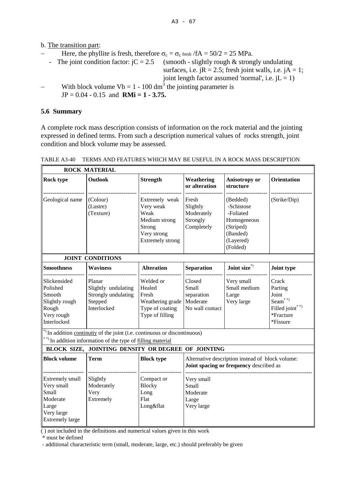- b. The transition part:
	- − Here, the phyllite is fresh, therefore  $\sigma_c = \sigma_c$  fresh /fA = 50/2 = 25 MPa.<br>
	 The joint condition factor: jC = 2.5 (smooth slightly rough & stron
	-

 $(smooth - slightly rough & strongly undulating)$ surfaces, i.e.  $iR = 2.5$ ; fresh joint walls, i.e.  $iA = 1$ ; joint length factor assumed 'normal', i.e.  $jL = 1$ )

With block volume Vb = 1 - 100 dm<sup>3</sup> the jointing parameter is JP = 0.04 - 0.15 and **RMi = 1 - 3.75.**

## **5.6 Summary**

Г

A complete rock mass description consists of information on the rock material and the jointing expressed in defined terms. From such a description numerical values of rocks strength, joint condition and block volume may be assessed.

|                                                                                                     | <b>ROCK MATERIAL</b>                                                                                                                     |                                                                                                   |                                                                                             |                                                                                                      |                                                                                 |  |
|-----------------------------------------------------------------------------------------------------|------------------------------------------------------------------------------------------------------------------------------------------|---------------------------------------------------------------------------------------------------|---------------------------------------------------------------------------------------------|------------------------------------------------------------------------------------------------------|---------------------------------------------------------------------------------|--|
| Rock type                                                                                           | <b>Outlook</b>                                                                                                                           | <b>Strength</b>                                                                                   | Weathering<br>or alteration                                                                 | Anisotropy or<br>structure                                                                           | <b>Orientation</b>                                                              |  |
| Geological name                                                                                     | (Colour)<br>(Lustre)<br>(Texture)                                                                                                        | Extremely weak<br>Very weak<br>Weak<br>Medium strong<br>Strong<br>Very strong<br>Extremely strong | Fresh<br>Slightly<br>Moderately<br>Strongly<br>Completely                                   | (Bedded)<br>-Schistose<br>-Foliated<br>Homogeneous<br>(Striped)<br>(Banded)<br>(Layered)<br>(Folded) | (Strike/Dip)                                                                    |  |
|                                                                                                     | <b>JOINT CONDITIONS</b>                                                                                                                  |                                                                                                   |                                                                                             |                                                                                                      |                                                                                 |  |
| <b>Smoothness</b>                                                                                   | <b>Waviness</b>                                                                                                                          | <b>Alteration</b>                                                                                 | <b>Separation</b>                                                                           | Joint size*)                                                                                         | <b>Joint type</b>                                                               |  |
| Slickensided<br>Polished<br>Smooth<br>Slightly rough<br>Rough<br>Very rough<br>Interlocked          | Planar<br>Slightly undulating<br>Strongly undulating<br>Stepped<br>Interlocked                                                           | Welded or<br>Healed<br>Fresh<br>Weathering grade<br>Type of coating<br>Type of filling            | Closed<br>Small<br>separation<br>Moderate<br>No wall contact                                | Very small<br>Small medium<br>Large<br>Very large                                                    | Crack<br>Parting<br>Joint<br>Seam $*$<br>Filled joint*<br>*Fracture<br>*Fissure |  |
|                                                                                                     | *) In addition continuity of the joint (i.e. continuous or discontinuous)<br>**) In addition information of the type of filling material |                                                                                                   |                                                                                             |                                                                                                      |                                                                                 |  |
|                                                                                                     | BLOCK SIZE, JOINTING DENSITY OR DEGREE OF JOINTING                                                                                       |                                                                                                   |                                                                                             |                                                                                                      |                                                                                 |  |
| <b>Block volume</b>                                                                                 | <b>Term</b>                                                                                                                              | <b>Block type</b>                                                                                 | Alternative description instead of block volume:<br>Joint spacing or frequency described as |                                                                                                      |                                                                                 |  |
| Extremely small<br>Very small<br>Small<br>Moderate<br>Large<br>Very large<br><b>Extremely large</b> | Slightly<br>Moderately<br>Very<br>Extremely                                                                                              | Compact or<br><b>Blocky</b><br>Long<br>Flat<br>Long♭                                              | Very small<br>Small<br>Moderate<br>Large<br>Very large                                      |                                                                                                      |                                                                                 |  |

TABLE A3-40 TERMS AND FEATURES WHICH MAY BE USEFUL IN A ROCK MASS DESCRIPTION

( ) not included in the definitions and numerical values given in this work

\* must be defined

- additional characteristic term (small, moderate, large, etc.) should preferably be given